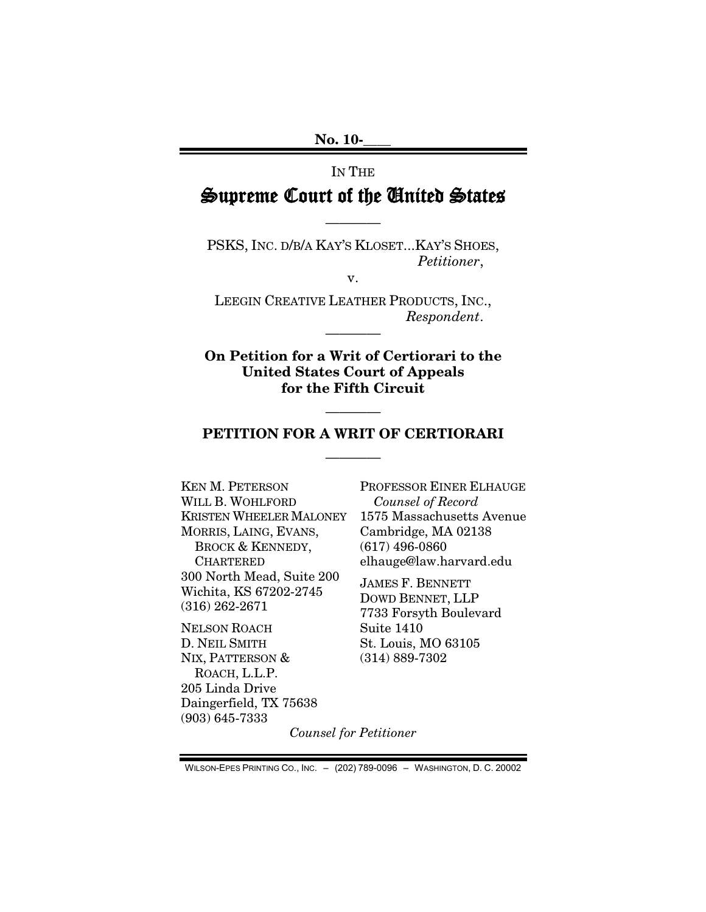### IN THE

## Supreme Court of the United States

————

PSKS, INC. D/B/A KAY'S KLOSET...KAY'S SHOES, *Petitioner*,

v.

LEEGIN CREATIVE LEATHER PRODUCTS, INC., *Respondent*.

————

**On Petition for a Writ of Certiorari to the United States Court of Appeals for the Fifth Circuit**

### **PETITION FOR A WRIT OF CERTIORARI** ————

————

KEN M. PETERSON WILL B. WOHLFORD KRISTEN WHEELER MALONEY MORRIS, LAING, EVANS, BROCK & KENNEDY, CHARTERED 300 North Mead, Suite 200 Wichita, KS 67202-2745 (316) 262-2671

NELSON ROACH D. NEIL SMITH NIX, PATTERSON & ROACH, L.L.P. 205 Linda Drive Daingerfield, TX 75638 (903) 645-7333

PROFESSOR EINER ELHAUGE *Counsel of Record* 1575 Massachusetts Avenue Cambridge, MA 02138 (617) 496-0860 elhauge@law.harvard.edu

JAMES F. BENNETT DOWD BENNET, LLP 7733 Forsyth Boulevard Suite 1410 St. Louis, MO 63105 (314) 889-7302

*Counsel for Petitioner*

WILSON-EPES PRINTING CO., INC. – (202) 789-0096 – WASHINGTON, D. C. 20002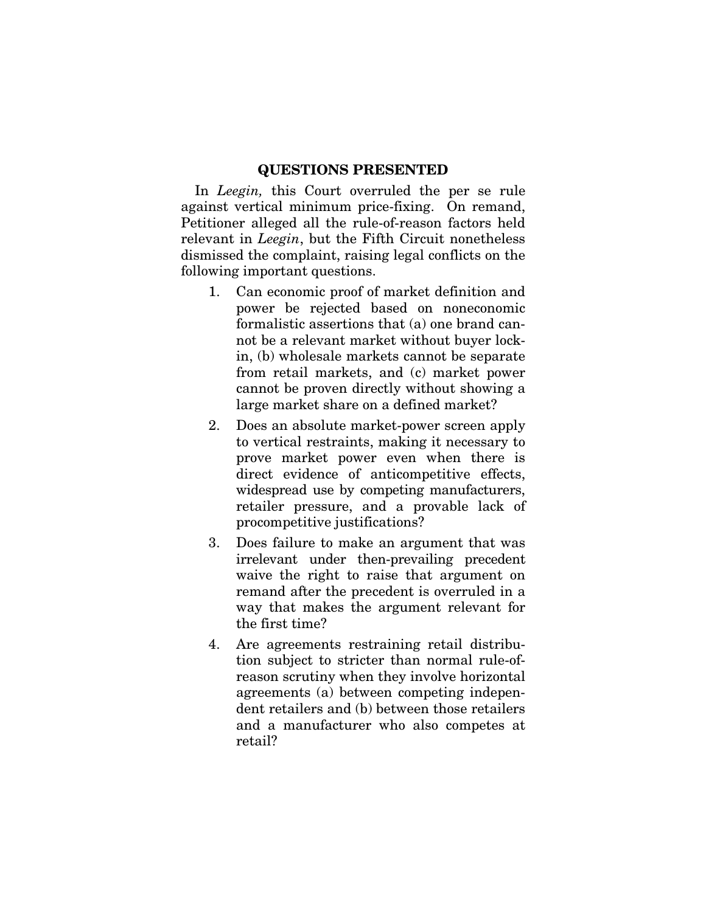#### **QUESTIONS PRESENTED**

In *Leegin,* this Court overruled the per se rule against vertical minimum price-fixing. On remand, Petitioner alleged all the rule-of-reason factors held relevant in *Leegin*, but the Fifth Circuit nonetheless dismissed the complaint, raising legal conflicts on the following important questions.

- 1. Can economic proof of market definition and power be rejected based on noneconomic formalistic assertions that (a) one brand cannot be a relevant market without buyer lockin, (b) wholesale markets cannot be separate from retail markets, and (c) market power cannot be proven directly without showing a large market share on a defined market?
- 2. Does an absolute market-power screen apply to vertical restraints, making it necessary to prove market power even when there is direct evidence of anticompetitive effects, widespread use by competing manufacturers, retailer pressure, and a provable lack of procompetitive justifications?
- 3. Does failure to make an argument that was irrelevant under then-prevailing precedent waive the right to raise that argument on remand after the precedent is overruled in a way that makes the argument relevant for the first time?
- 4. Are agreements restraining retail distribution subject to stricter than normal rule-ofreason scrutiny when they involve horizontal agreements (a) between competing independent retailers and (b) between those retailers and a manufacturer who also competes at retail?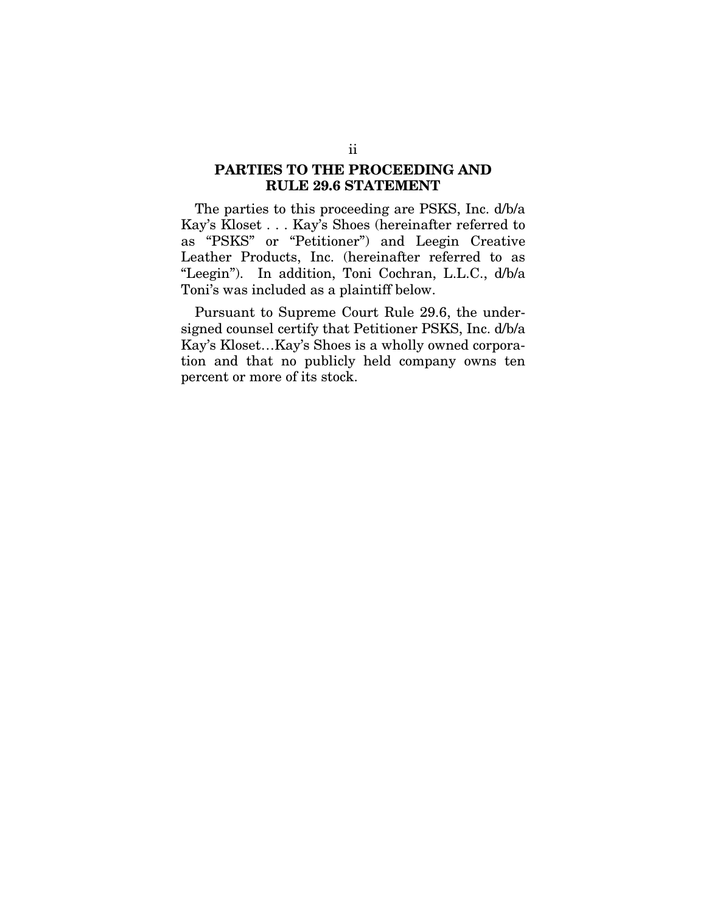### **PARTIES TO THE PROCEEDING AND RULE 29.6 STATEMENT**

The parties to this proceeding are PSKS, Inc. d/b/a Kay's Kloset . . . Kay's Shoes (hereinafter referred to as "PSKS" or "Petitioner") and Leegin Creative Leather Products, Inc. (hereinafter referred to as "Leegin"). In addition, Toni Cochran, L.L.C., d/b/a Toni's was included as a plaintiff below.

Pursuant to Supreme Court Rule 29.6, the undersigned counsel certify that Petitioner PSKS, Inc. d/b/a Kay's Kloset…Kay's Shoes is a wholly owned corporation and that no publicly held company owns ten percent or more of its stock.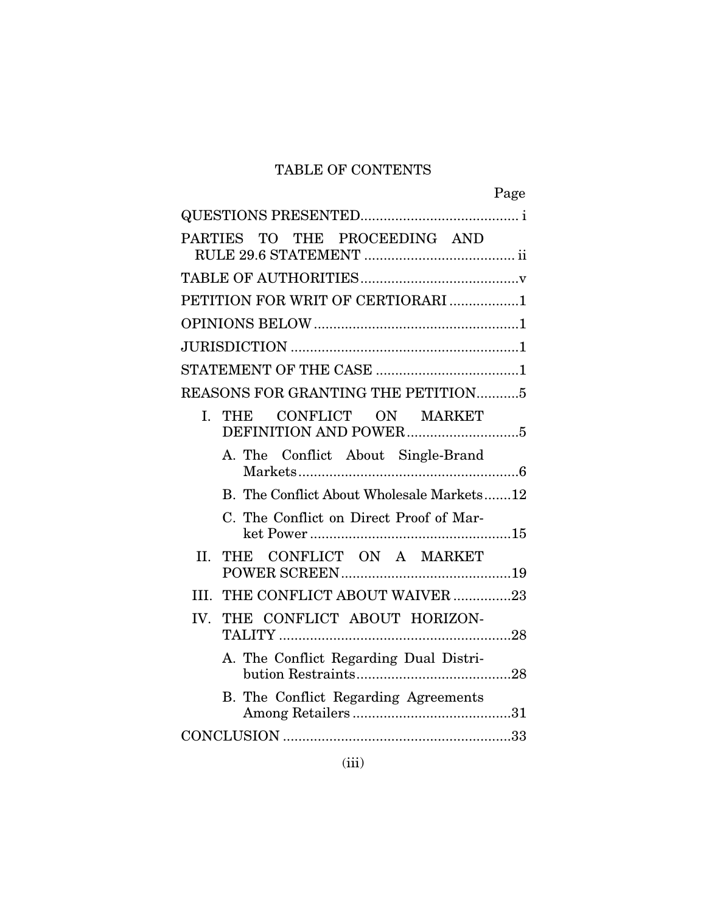### TABLE OF CONTENTS

|                                           | Page |
|-------------------------------------------|------|
|                                           |      |
| PARTIES TO THE PROCEEDING AND             |      |
|                                           |      |
| PETITION FOR WRIT OF CERTIORARI 1         |      |
|                                           |      |
|                                           |      |
|                                           |      |
| <b>REASONS FOR GRANTING THE PETITION5</b> |      |
| THE CONFLICT ON MARKET<br>L.              |      |
| A. The Conflict About Single-Brand        |      |
| B. The Conflict About Wholesale Markets12 |      |
| C. The Conflict on Direct Proof of Mar-   |      |
| THE CONFLICT ON A MARKET<br>II.           |      |
| THE CONFLICT ABOUT WAIVER 23<br>III.      |      |
| THE CONFLICT ABOUT HORIZON-<br>IV.        |      |
| A. The Conflict Regarding Dual Distri-    |      |
| B. The Conflict Regarding Agreements      |      |
|                                           |      |
|                                           |      |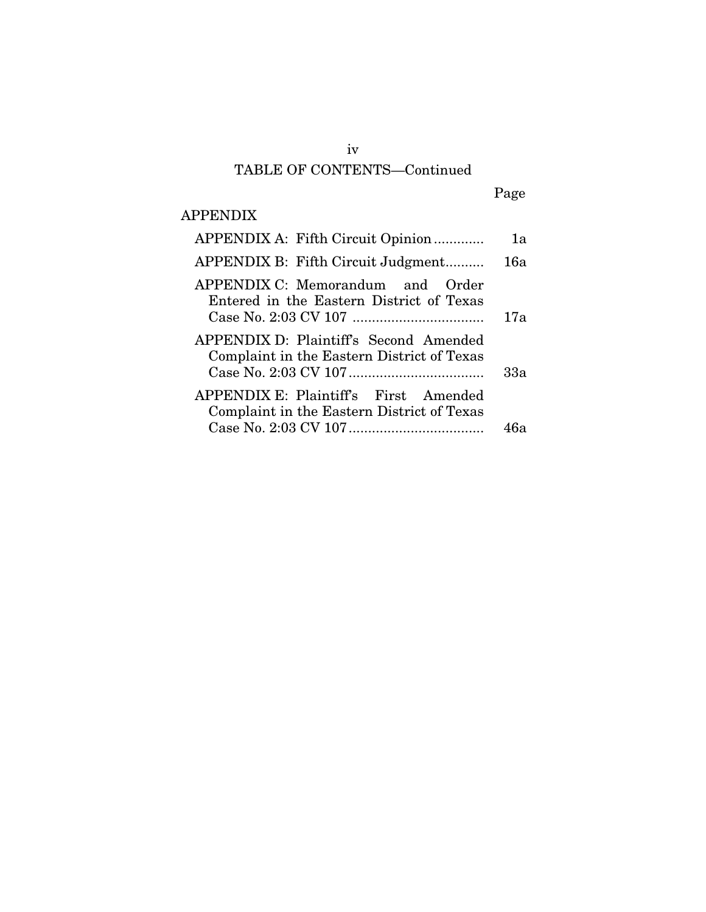# TABLE OF CONTENTS—Continued

# Page

### APPENDIX

| APPENDIX A: Fifth Circuit Opinion                                                    | 1a  |
|--------------------------------------------------------------------------------------|-----|
| APPENDIX B: Fifth Circuit Judgment                                                   | 16a |
| APPENDIX C: Memorandum and Order<br>Entered in the Eastern District of Texas         | 17a |
| APPENDIX D: Plaintiff's Second Amended<br>Complaint in the Eastern District of Texas | 33a |
| APPENDIX E: Plaintiff's First Amended<br>Complaint in the Eastern District of Texas  |     |
|                                                                                      | 46а |

iv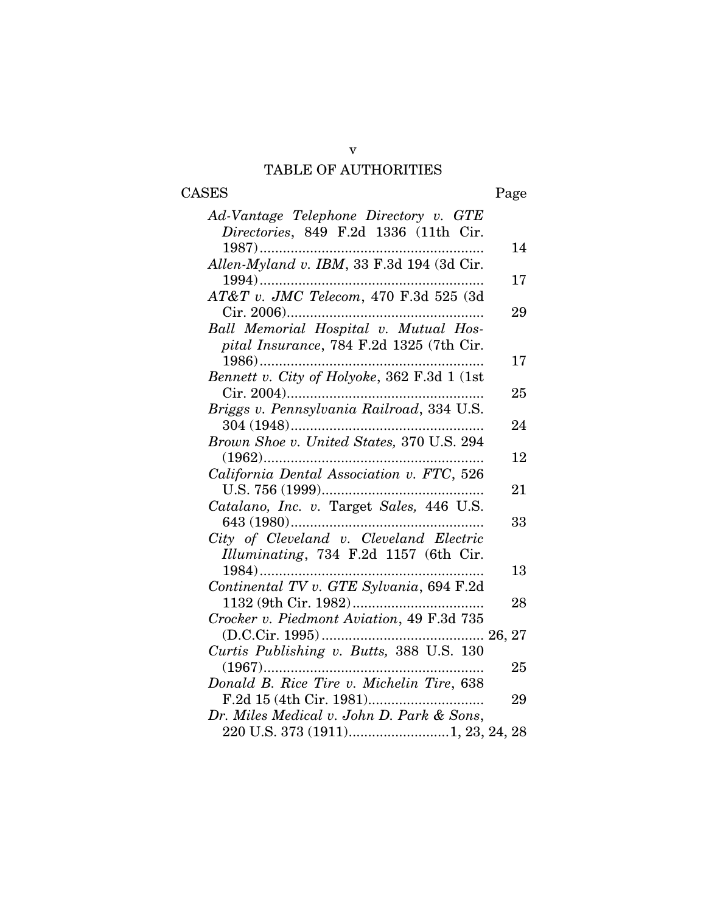### v TABLE OF AUTHORITIES

# CASES Page

| Ad-Vantage Telephone Directory v. GTE                                                                                                                                                                                                                                                                                                                                                                                                                                                                  |    |
|--------------------------------------------------------------------------------------------------------------------------------------------------------------------------------------------------------------------------------------------------------------------------------------------------------------------------------------------------------------------------------------------------------------------------------------------------------------------------------------------------------|----|
| Directories, 849 F.2d 1336 (11th Cir.                                                                                                                                                                                                                                                                                                                                                                                                                                                                  |    |
|                                                                                                                                                                                                                                                                                                                                                                                                                                                                                                        | 14 |
| Allen-Myland v. IBM, 33 F.3d 194 (3d Cir.                                                                                                                                                                                                                                                                                                                                                                                                                                                              |    |
|                                                                                                                                                                                                                                                                                                                                                                                                                                                                                                        | 17 |
| AT&T v. JMC Telecom, 470 F.3d 525 (3d                                                                                                                                                                                                                                                                                                                                                                                                                                                                  |    |
|                                                                                                                                                                                                                                                                                                                                                                                                                                                                                                        | 29 |
| Ball Memorial Hospital v. Mutual Hos-                                                                                                                                                                                                                                                                                                                                                                                                                                                                  |    |
| pital Insurance, 784 F.2d 1325 (7th Cir.                                                                                                                                                                                                                                                                                                                                                                                                                                                               |    |
|                                                                                                                                                                                                                                                                                                                                                                                                                                                                                                        | 17 |
| Bennett v. City of Holyoke, 362 F.3d 1 (1st                                                                                                                                                                                                                                                                                                                                                                                                                                                            |    |
|                                                                                                                                                                                                                                                                                                                                                                                                                                                                                                        | 25 |
| Briggs v. Pennsylvania Railroad, 334 U.S.                                                                                                                                                                                                                                                                                                                                                                                                                                                              |    |
|                                                                                                                                                                                                                                                                                                                                                                                                                                                                                                        | 24 |
| Brown Shoe v. United States, 370 U.S. 294                                                                                                                                                                                                                                                                                                                                                                                                                                                              |    |
|                                                                                                                                                                                                                                                                                                                                                                                                                                                                                                        | 12 |
| California Dental Association v. FTC, 526                                                                                                                                                                                                                                                                                                                                                                                                                                                              |    |
|                                                                                                                                                                                                                                                                                                                                                                                                                                                                                                        | 21 |
| $\label{eq:2} \text{U.S. 756 (1999)}. \quad \begin{minipage}{0.95\textwidth} \centering \begin{minipage}{0.95\textwidth} \centering \textbf{0.5} \end{minipage} \begin{minipage}{0.95\textwidth} \centering \begin{minipage}{0.95\textwidth} \centering \textbf{0.5} \end{minipage} \end{minipage} \begin{minipage}{0.95\textwidth} \centering \begin{minipage}{0.95\textwidth} \centering \textbf{0.5} \end{minipage} \end{minipage} \begin{minipage}{0.95\textwidth} \centering \begin{minipage}{0.$ |    |
|                                                                                                                                                                                                                                                                                                                                                                                                                                                                                                        | 33 |
| City of Cleveland v. Cleveland Electric                                                                                                                                                                                                                                                                                                                                                                                                                                                                |    |
| Illuminating, 734 F.2d 1157 (6th Cir.                                                                                                                                                                                                                                                                                                                                                                                                                                                                  |    |
| $1984)$                                                                                                                                                                                                                                                                                                                                                                                                                                                                                                | 13 |
| Continental TV v. GTE Sylvania, 694 F.2d                                                                                                                                                                                                                                                                                                                                                                                                                                                               |    |
|                                                                                                                                                                                                                                                                                                                                                                                                                                                                                                        | 28 |
| Crocker v. Piedmont Aviation, 49 F.3d 735                                                                                                                                                                                                                                                                                                                                                                                                                                                              |    |
|                                                                                                                                                                                                                                                                                                                                                                                                                                                                                                        |    |
|                                                                                                                                                                                                                                                                                                                                                                                                                                                                                                        |    |
|                                                                                                                                                                                                                                                                                                                                                                                                                                                                                                        | 25 |
| Donald B. Rice Tire v. Michelin Tire, 638                                                                                                                                                                                                                                                                                                                                                                                                                                                              |    |
|                                                                                                                                                                                                                                                                                                                                                                                                                                                                                                        | 29 |
| Dr. Miles Medical v. John D. Park & Sons,                                                                                                                                                                                                                                                                                                                                                                                                                                                              |    |
| 220 U.S. 373 (1911)1, 23, 24, 28                                                                                                                                                                                                                                                                                                                                                                                                                                                                       |    |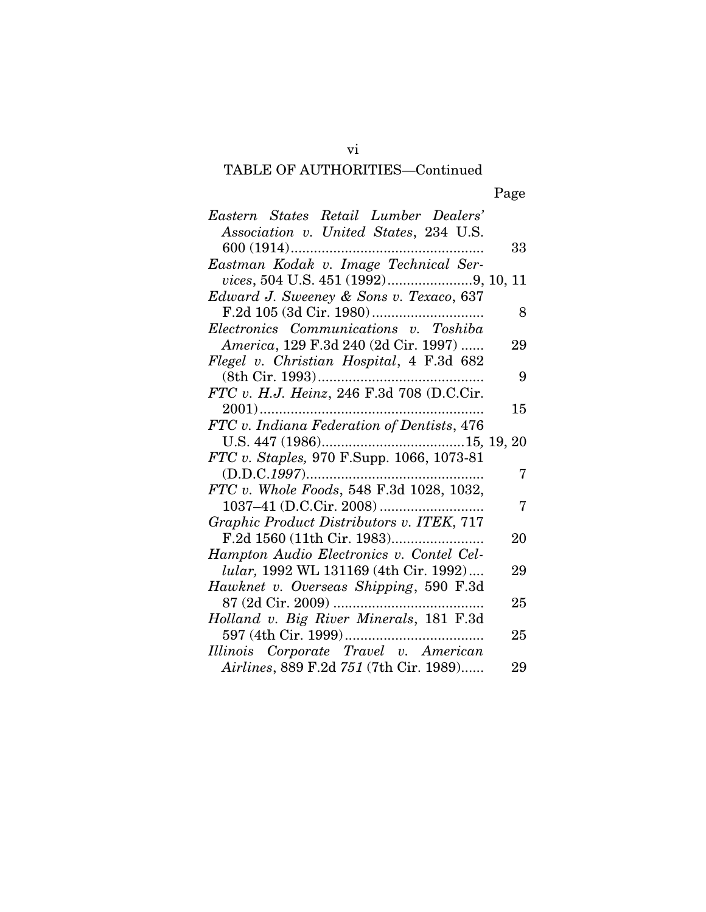### TABLE OF AUTHORITIES—Continued

Page

| Eastern States Retail Lumber Dealers'         |    |
|-----------------------------------------------|----|
| Association v. United States, 234 U.S.        |    |
|                                               | 33 |
| Eastman Kodak v. Image Technical Ser-         |    |
|                                               |    |
| Edward J. Sweeney & Sons v. Texaco, 637       |    |
|                                               | 8  |
| Electronics Communications v. Toshiba         |    |
| America, 129 F.3d 240 (2d Cir. 1997)          | 29 |
| Flegel v. Christian Hospital, 4 F.3d 682      |    |
|                                               | 9  |
| FTC v. H.J. Heinz, 246 F.3d 708 (D.C.Cir.     |    |
|                                               | 15 |
| FTC v. Indiana Federation of Dentists, 476    |    |
|                                               |    |
|                                               |    |
| $(D.D.C.1997)$                                | 7  |
| FTC v. Whole Foods, 548 F.3d 1028, 1032,      |    |
|                                               | 7  |
| Graphic Product Distributors v. ITEK, 717     |    |
|                                               | 20 |
| Hampton Audio Electronics v. Contel Cel-      |    |
| <i>lular</i> , 1992 WL 131169 (4th Cir. 1992) | 29 |
| Hawknet v. Overseas Shipping, 590 F.3d        |    |
|                                               | 25 |
| Holland v. Big River Minerals, 181 F.3d       |    |
|                                               | 25 |
| Illinois Corporate Travel v. American         |    |
| Airlines, 889 F.2d 751 (7th Cir. 1989)        | 29 |

vi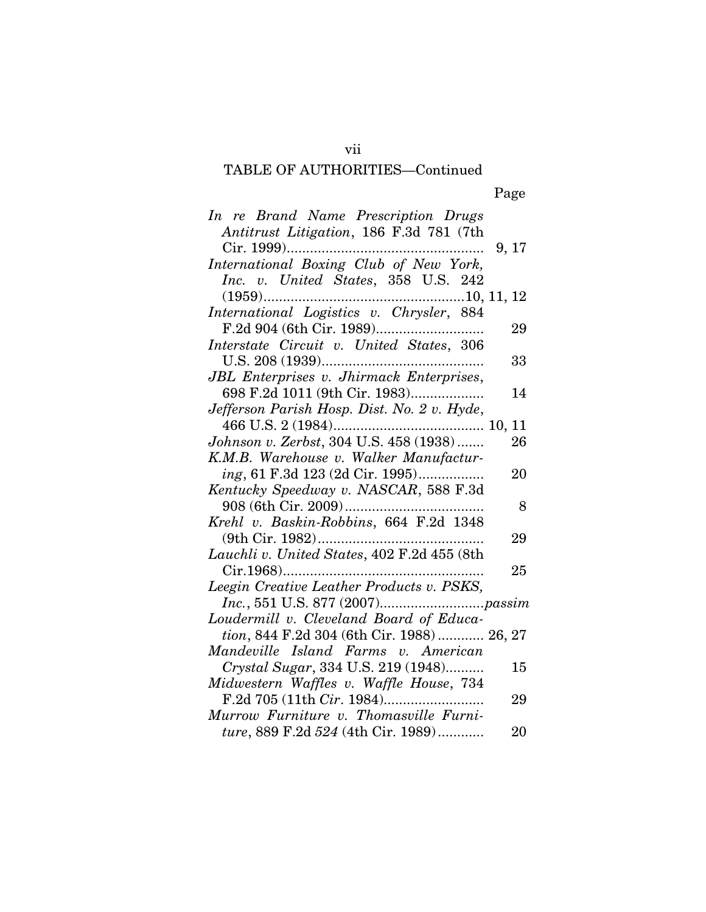### TABLE OF AUTHORITIES—Continued

Page

| 29                                        |
|-------------------------------------------|
|                                           |
| 33                                        |
|                                           |
| 14                                        |
|                                           |
|                                           |
| 26                                        |
|                                           |
| 20                                        |
|                                           |
| 8                                         |
|                                           |
| 29                                        |
|                                           |
| 25                                        |
|                                           |
|                                           |
|                                           |
| tion, 844 F.2d 304 (6th Cir. 1988) 26, 27 |
|                                           |
| 15                                        |
|                                           |
| 29                                        |
|                                           |
| 20                                        |
|                                           |

vii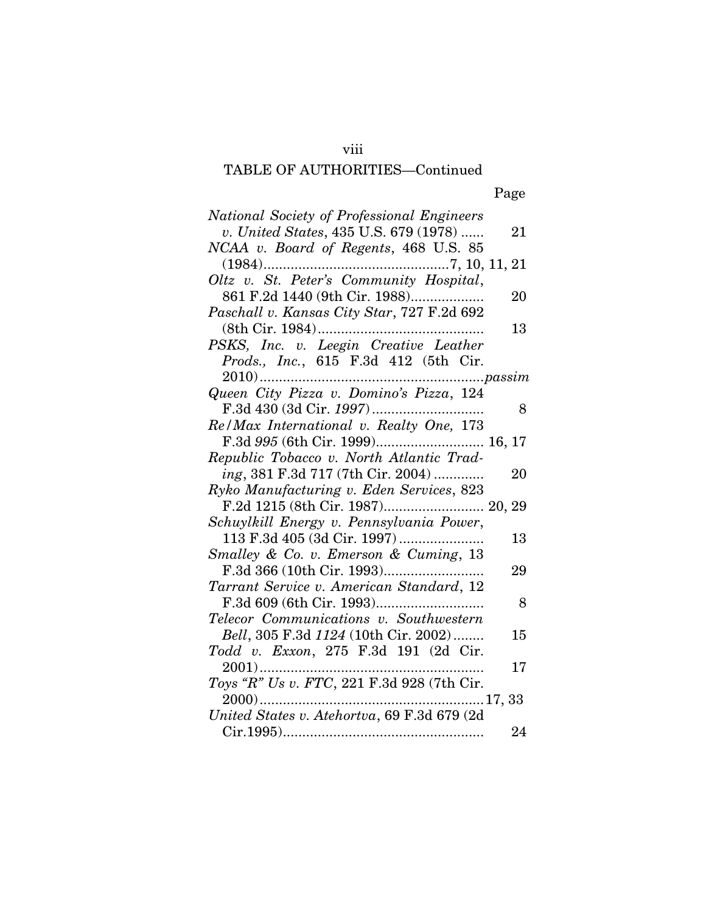# viii

### TABLE OF AUTHORITIES—Continued

Page

| National Society of Professional Engineers                                                                                                                                                                                                                                                                                                                                                                                 |    |
|----------------------------------------------------------------------------------------------------------------------------------------------------------------------------------------------------------------------------------------------------------------------------------------------------------------------------------------------------------------------------------------------------------------------------|----|
| v. United States, 435 U.S. 679 (1978)                                                                                                                                                                                                                                                                                                                                                                                      | 21 |
| NCAA v. Board of Regents, 468 U.S. 85                                                                                                                                                                                                                                                                                                                                                                                      |    |
|                                                                                                                                                                                                                                                                                                                                                                                                                            |    |
|                                                                                                                                                                                                                                                                                                                                                                                                                            |    |
| 861 F.2d 1440 (9th Cir. 1988)                                                                                                                                                                                                                                                                                                                                                                                              | 20 |
| Paschall v. Kansas City Star, 727 F.2d 692                                                                                                                                                                                                                                                                                                                                                                                 |    |
| (8th Cir. 1984)                                                                                                                                                                                                                                                                                                                                                                                                            | 13 |
| PSKS, Inc. v. Leegin Creative Leather                                                                                                                                                                                                                                                                                                                                                                                      |    |
| Prods., Inc., 615 F.3d 412 (5th Cir.                                                                                                                                                                                                                                                                                                                                                                                       |    |
|                                                                                                                                                                                                                                                                                                                                                                                                                            |    |
| $\begin{minipage}{0.9\linewidth} \textbf{2010} \textbf{.} \textbf{.} \textbf{.} \textbf{.} \textbf{.} \textbf{.} \textbf{.} \textbf{.} \textbf{.} \textbf{.} \textbf{.} \textbf{.} \textbf{.} \textbf{.} \textbf{.} \textbf{.} \textbf{.} \textbf{.} \textbf{.} \textbf{.} \textbf{.} \textbf{.} \textbf{.} \textbf{.} \textbf{.} \textbf{.} \textbf{.} \textbf{.} \textbf{.} \textbf{.} \textbf{.} \textbf{.} \textbf{.}$ |    |
|                                                                                                                                                                                                                                                                                                                                                                                                                            | 8  |
| Re/Max International v. Realty One, 173                                                                                                                                                                                                                                                                                                                                                                                    |    |
| F.3d 995 (6th Cir. 1999) 16, 17                                                                                                                                                                                                                                                                                                                                                                                            |    |
| Republic Tobacco v. North Atlantic Trad-                                                                                                                                                                                                                                                                                                                                                                                   |    |
| ing, 381 F.3d 717 (7th Cir. 2004)                                                                                                                                                                                                                                                                                                                                                                                          | 20 |
| Ryko Manufacturing v. Eden Services, 823                                                                                                                                                                                                                                                                                                                                                                                   |    |
| F.2d 1215 (8th Cir. 1987) 20, 29                                                                                                                                                                                                                                                                                                                                                                                           |    |
| Schuylkill Energy v. Pennsylvania Power,                                                                                                                                                                                                                                                                                                                                                                                   |    |
|                                                                                                                                                                                                                                                                                                                                                                                                                            | 13 |
| Smalley & Co. v. Emerson & Cuming, 13                                                                                                                                                                                                                                                                                                                                                                                      |    |
|                                                                                                                                                                                                                                                                                                                                                                                                                            | 29 |
| Tarrant Service v. American Standard, 12                                                                                                                                                                                                                                                                                                                                                                                   |    |
|                                                                                                                                                                                                                                                                                                                                                                                                                            | 8  |
| Telecor Communications v. Southwestern                                                                                                                                                                                                                                                                                                                                                                                     |    |
| Bell, 305 F.3d 1124 (10th Cir. 2002)                                                                                                                                                                                                                                                                                                                                                                                       | 15 |
| Todd v. Exxon, 275 F.3d 191 (2d Cir.                                                                                                                                                                                                                                                                                                                                                                                       |    |
| $2001)$                                                                                                                                                                                                                                                                                                                                                                                                                    | 17 |
| Toys "R" Us v. FTC, 221 F.3d 928 (7th Cir.                                                                                                                                                                                                                                                                                                                                                                                 |    |
|                                                                                                                                                                                                                                                                                                                                                                                                                            |    |
| United States v. Atehortva, 69 F.3d 679 (2d                                                                                                                                                                                                                                                                                                                                                                                |    |
|                                                                                                                                                                                                                                                                                                                                                                                                                            | 24 |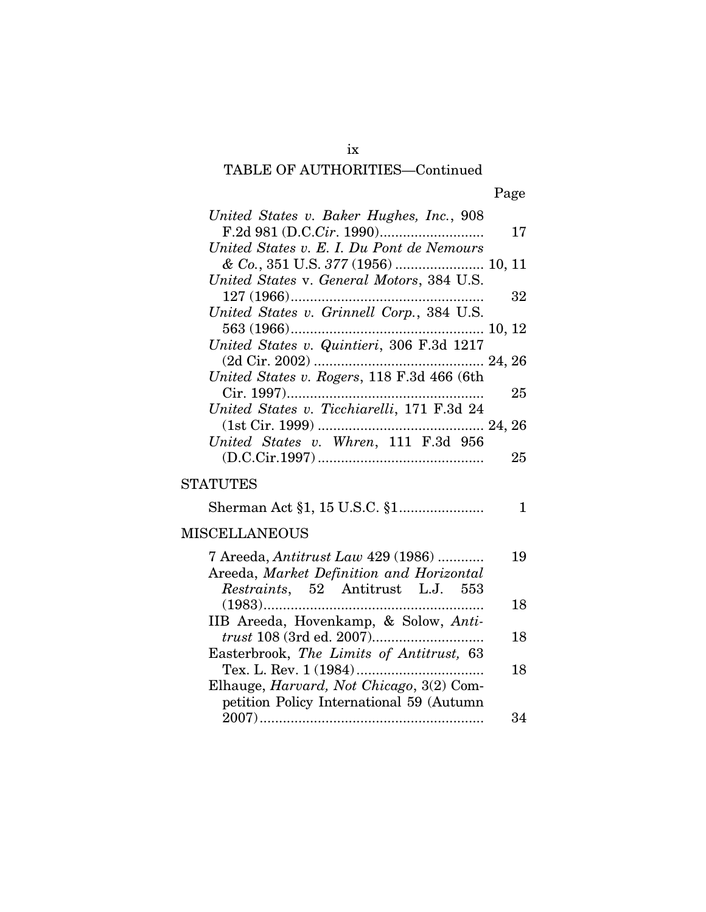### TABLE OF AUTHORITIES—Continued

| United States v. Baker Hughes, Inc., 908   |    |
|--------------------------------------------|----|
|                                            | 17 |
| United States v. E. I. Du Pont de Nemours  |    |
| & Co., 351 U.S. 377 (1956)  10, 11         |    |
| United States v. General Motors, 384 U.S.  |    |
| $127(1966)$                                | 32 |
| United States v. Grinnell Corp., 384 U.S.  |    |
|                                            |    |
| United States v. Quintieri, 306 F.3d 1217  |    |
|                                            |    |
|                                            |    |
|                                            | 25 |
| United States v. Ticchiarelli, 171 F.3d 24 |    |
|                                            |    |
| United States v. Whren, 111 F.3d 956       |    |
|                                            | 25 |
| <b>STATUTES</b>                            |    |
|                                            | 1  |
| <b>MISCELLANEOUS</b>                       |    |
| 7 Areeda, Antitrust Law 429 (1986)         | 19 |
| Areeda, Market Definition and Horizontal   |    |
| Restraints, 52 Antitrust L.J. 553          |    |
|                                            | 18 |
| IIB Areeda, Hovenkamp, & Solow, Anti-      |    |
|                                            | 18 |
| Easterbrook, The Limits of Antitrust, 63   |    |
| Tex. L. Rev. 1 (1984)                      | 18 |
| Elhauge, Harvard, Not Chicago, 3(2) Com-   |    |
| petition Policy International 59 (Autumn   |    |
|                                            | 34 |

ix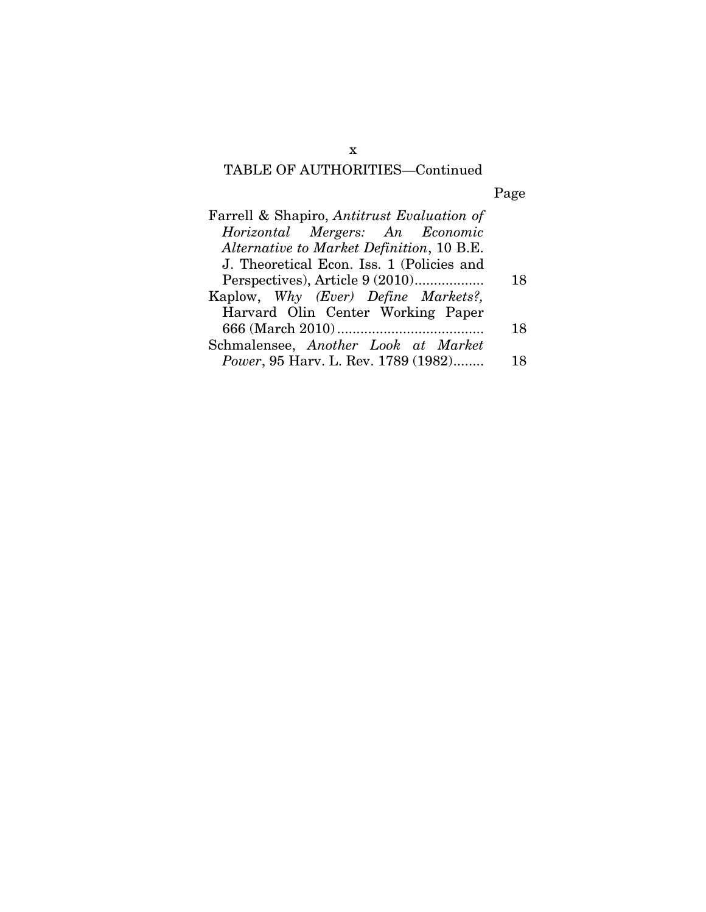### TABLE OF AUTHORITIES—Continued

Page

| Farrell & Shapiro, Antitrust Evaluation of  |    |
|---------------------------------------------|----|
| Horizontal Mergers: An Economic             |    |
| Alternative to Market Definition, 10 B.E.   |    |
| J. Theoretical Econ. Iss. 1 (Policies and   |    |
| Perspectives), Article 9 (2010)             | 18 |
| Kaplow, Why (Ever) Define Markets?,         |    |
| Harvard Olin Center Working Paper           |    |
|                                             | 18 |
| Schmalensee, Another Look at Market         |    |
| <i>Power</i> , 95 Harv. L. Rev. 1789 (1982) | 18 |

x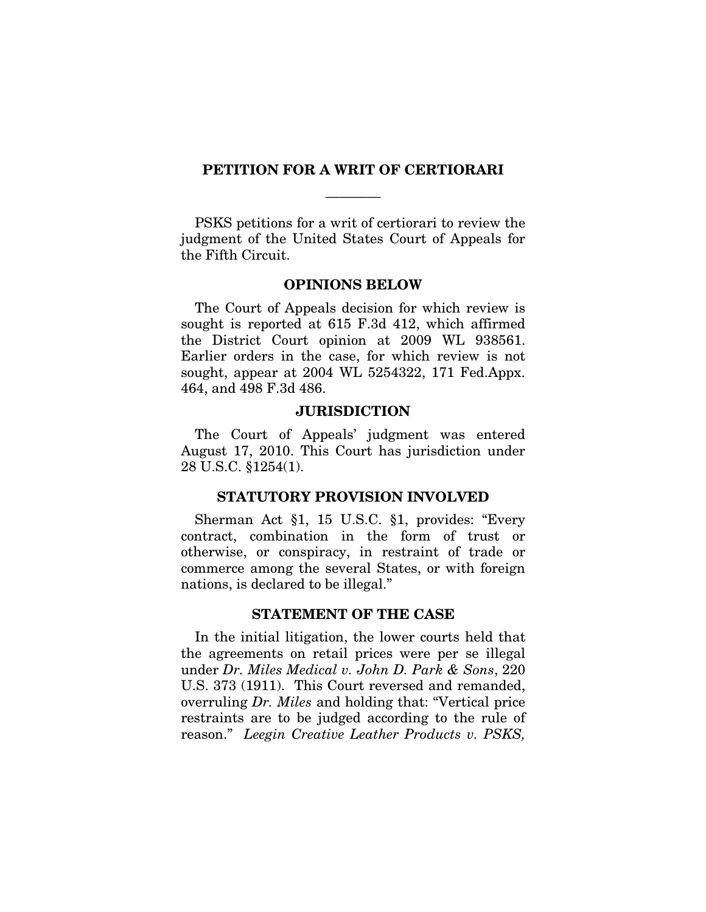#### **PETITION FOR A WRIT OF CERTIORARI**

————

PSKS petitions for a writ of certiorari to review the judgment of the United States Court of Appeals for the Fifth Circuit.

#### **OPINIONS BELOW**

The Court of Appeals decision for which review is sought is reported at 615 F.3d 412, which affirmed the District Court opinion at 2009 WL 938561. Earlier orders in the case, for which review is not sought, appear at 2004 WL 5254322, 171 Fed.Appx. 464, and 498 F.3d 486.

#### **JURISDICTION**

The Court of Appeals' judgment was entered August 17, 2010. This Court has jurisdiction under 28 U.S.C. §1254(1).

#### **STATUTORY PROVISION INVOLVED**

Sherman Act §1, 15 U.S.C. §1, provides: "Every contract, combination in the form of trust or otherwise, or conspiracy, in restraint of trade or commerce among the several States, or with foreign nations, is declared to be illegal."

### **STATEMENT OF THE CASE**

In the initial litigation, the lower courts held that the agreements on retail prices were per se illegal under *Dr. Miles Medical v. John D. Park & Sons*, 220 U.S. 373 (1911). This Court reversed and remanded, overruling *Dr. Miles* and holding that: "Vertical price restraints are to be judged according to the rule of reason." *Leegin Creative Leather Products v. PSKS,*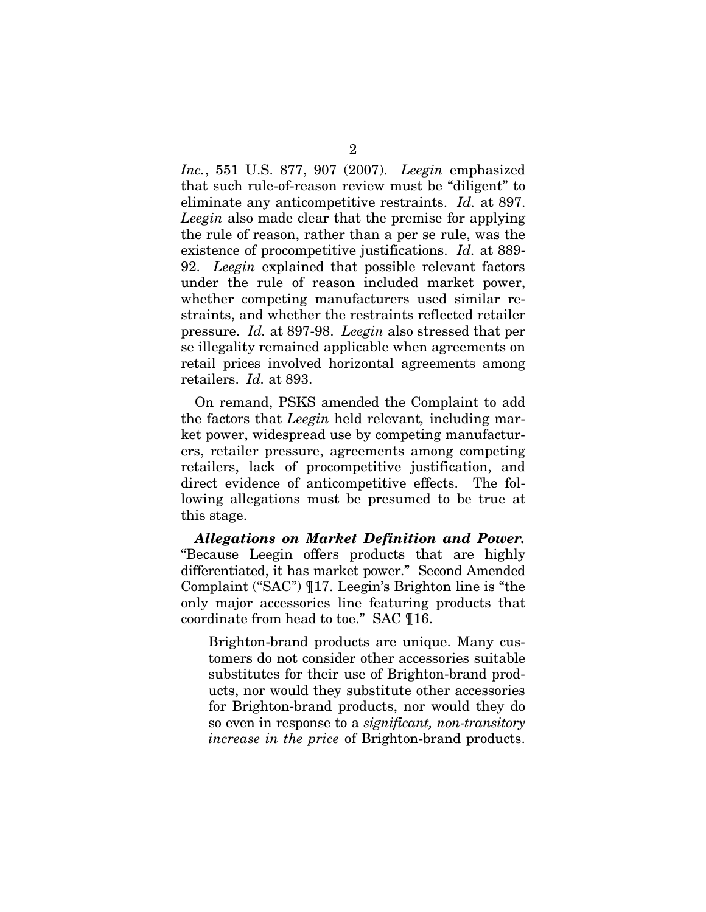*Inc.*, 551 U.S. 877, 907 (2007). *Leegin* emphasized that such rule-of-reason review must be "diligent" to eliminate any anticompetitive restraints. *Id.* at 897. *Leegin* also made clear that the premise for applying the rule of reason, rather than a per se rule, was the existence of procompetitive justifications. *Id.* at 889- 92. *Leegin* explained that possible relevant factors under the rule of reason included market power, whether competing manufacturers used similar restraints, and whether the restraints reflected retailer pressure. *Id.* at 897-98. *Leegin* also stressed that per se illegality remained applicable when agreements on retail prices involved horizontal agreements among retailers. *Id.* at 893.

On remand, PSKS amended the Complaint to add the factors that *Leegin* held relevant*,* including market power, widespread use by competing manufacturers, retailer pressure, agreements among competing retailers, lack of procompetitive justification, and direct evidence of anticompetitive effects. The following allegations must be presumed to be true at this stage.

*Allegations on Market Definition and Power.* "Because Leegin offers products that are highly differentiated, it has market power." Second Amended Complaint ("SAC") ¶17. Leegin's Brighton line is "the only major accessories line featuring products that coordinate from head to toe." SAC ¶16.

Brighton-brand products are unique. Many customers do not consider other accessories suitable substitutes for their use of Brighton-brand products, nor would they substitute other accessories for Brighton-brand products, nor would they do so even in response to a *significant, non-transitory increase in the price* of Brighton-brand products.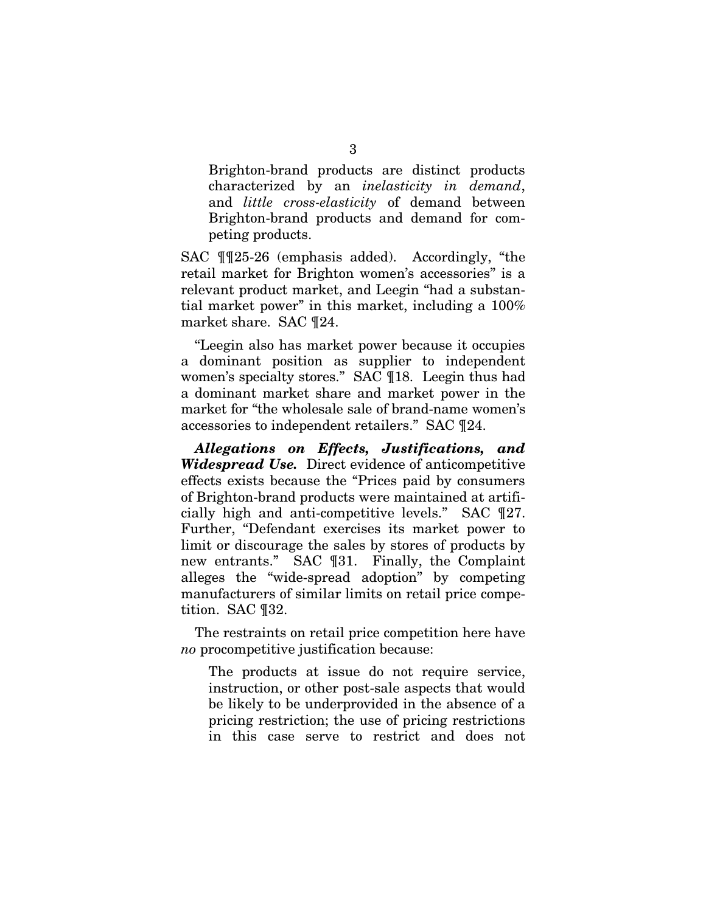Brighton-brand products are distinct products characterized by an *inelasticity in demand*, and *little cross-elasticity* of demand between Brighton-brand products and demand for competing products.

SAC ¶¶25-26 (emphasis added). Accordingly, "the retail market for Brighton women's accessories" is a relevant product market, and Leegin "had a substantial market power" in this market, including a 100% market share. SAC ¶24.

"Leegin also has market power because it occupies a dominant position as supplier to independent women's specialty stores." SAC ¶18. Leegin thus had a dominant market share and market power in the market for "the wholesale sale of brand-name women's accessories to independent retailers." SAC ¶24.

*Allegations on Effects, Justifications, and Widespread Use.* Direct evidence of anticompetitive effects exists because the "Prices paid by consumers of Brighton-brand products were maintained at artificially high and anti-competitive levels." SAC ¶27. Further, "Defendant exercises its market power to limit or discourage the sales by stores of products by new entrants." SAC ¶31. Finally, the Complaint alleges the "wide-spread adoption" by competing manufacturers of similar limits on retail price competition. SAC ¶32.

The restraints on retail price competition here have *no* procompetitive justification because:

The products at issue do not require service, instruction, or other post-sale aspects that would be likely to be underprovided in the absence of a pricing restriction; the use of pricing restrictions in this case serve to restrict and does not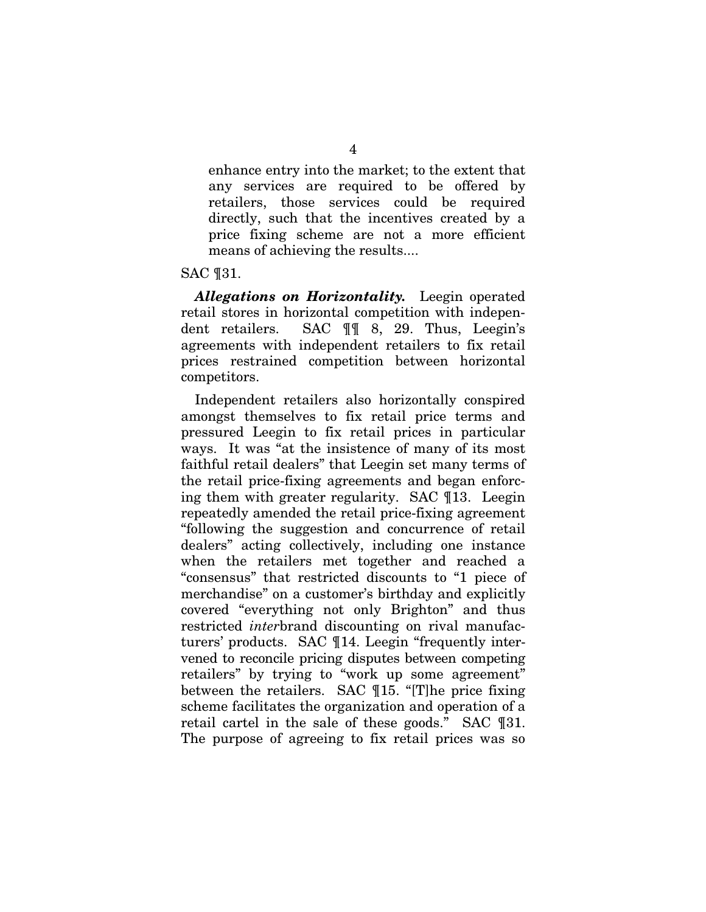enhance entry into the market; to the extent that any services are required to be offered by retailers, those services could be required directly, such that the incentives created by a price fixing scheme are not a more efficient means of achieving the results....

#### SAC ¶31.

*Allegations on Horizontality.* Leegin operated retail stores in horizontal competition with independent retailers. SAC ¶¶ 8, 29. Thus, Leegin's agreements with independent retailers to fix retail prices restrained competition between horizontal competitors.

Independent retailers also horizontally conspired amongst themselves to fix retail price terms and pressured Leegin to fix retail prices in particular ways. It was "at the insistence of many of its most faithful retail dealers" that Leegin set many terms of the retail price-fixing agreements and began enforcing them with greater regularity. SAC ¶13. Leegin repeatedly amended the retail price-fixing agreement "following the suggestion and concurrence of retail dealers" acting collectively, including one instance when the retailers met together and reached a "consensus" that restricted discounts to "1 piece of merchandise" on a customer's birthday and explicitly covered "everything not only Brighton" and thus restricted *inter*brand discounting on rival manufacturers' products. SAC ¶14. Leegin "frequently intervened to reconcile pricing disputes between competing retailers" by trying to "work up some agreement" between the retailers. SAC ¶15. "[T]he price fixing scheme facilitates the organization and operation of a retail cartel in the sale of these goods." SAC ¶31. The purpose of agreeing to fix retail prices was so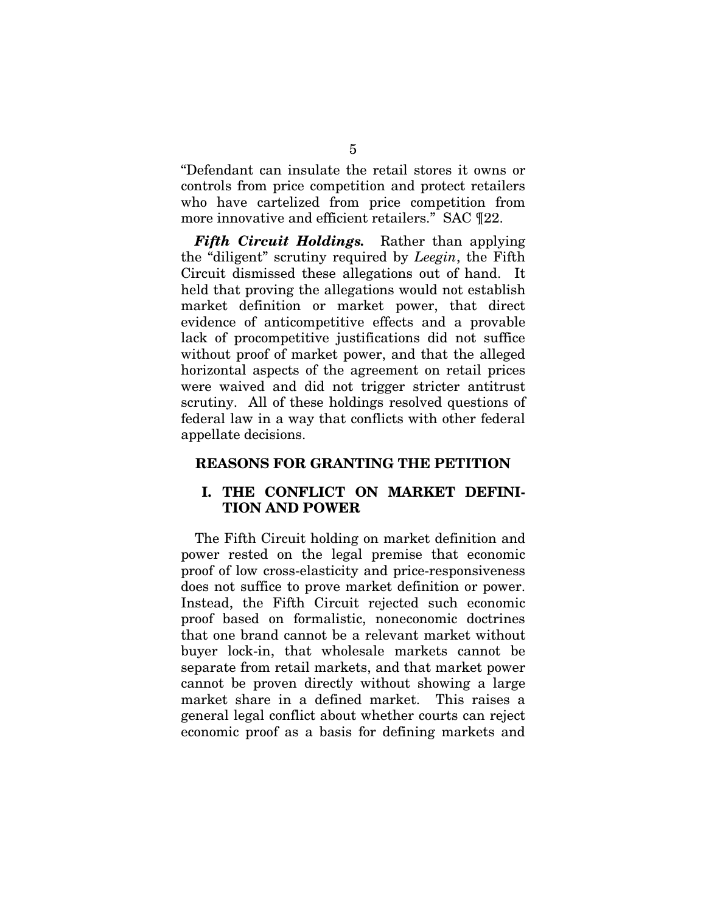"Defendant can insulate the retail stores it owns or controls from price competition and protect retailers who have cartelized from price competition from more innovative and efficient retailers." SAC ¶22.

*Fifth Circuit Holdings.* Rather than applying the "diligent" scrutiny required by *Leegin*, the Fifth Circuit dismissed these allegations out of hand. It held that proving the allegations would not establish market definition or market power, that direct evidence of anticompetitive effects and a provable lack of procompetitive justifications did not suffice without proof of market power, and that the alleged horizontal aspects of the agreement on retail prices were waived and did not trigger stricter antitrust scrutiny. All of these holdings resolved questions of federal law in a way that conflicts with other federal appellate decisions.

### **REASONS FOR GRANTING THE PETITION**

### **I. THE CONFLICT ON MARKET DEFINI-TION AND POWER**

The Fifth Circuit holding on market definition and power rested on the legal premise that economic proof of low cross-elasticity and price-responsiveness does not suffice to prove market definition or power. Instead, the Fifth Circuit rejected such economic proof based on formalistic, noneconomic doctrines that one brand cannot be a relevant market without buyer lock-in, that wholesale markets cannot be separate from retail markets, and that market power cannot be proven directly without showing a large market share in a defined market. This raises a general legal conflict about whether courts can reject economic proof as a basis for defining markets and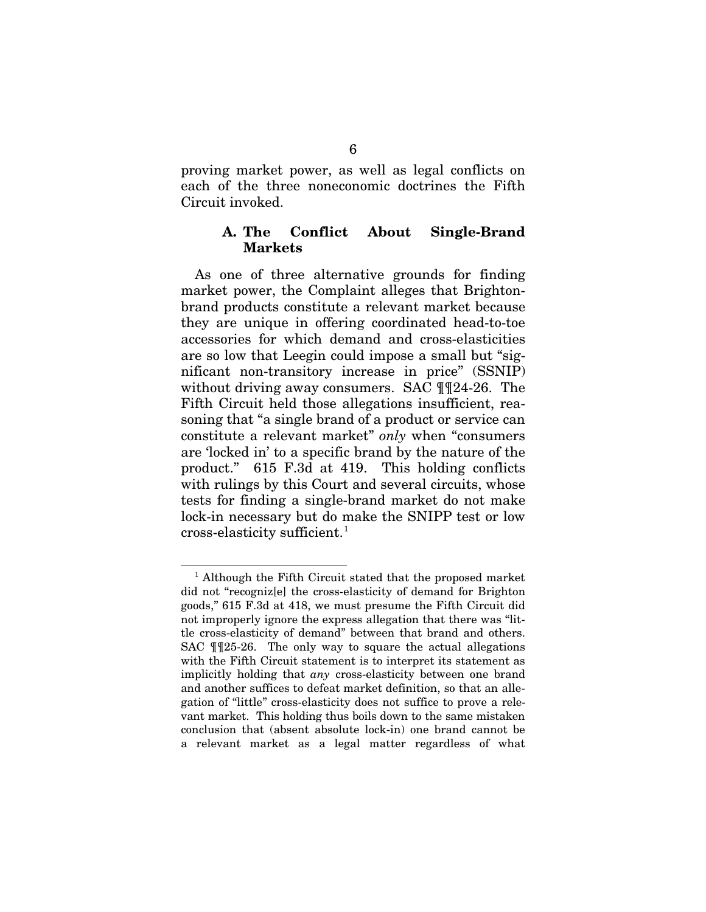proving market power, as well as legal conflicts on each of the three noneconomic doctrines the Fifth Circuit invoked.

### **A. The Conflict About Single-Brand Markets**

As one of three alternative grounds for finding market power, the Complaint alleges that Brightonbrand products constitute a relevant market because they are unique in offering coordinated head-to-toe accessories for which demand and cross-elasticities are so low that Leegin could impose a small but "significant non-transitory increase in price" (SSNIP) without driving away consumers. SAC ¶¶24-26. The Fifth Circuit held those allegations insufficient, reasoning that "a single brand of a product or service can constitute a relevant market" *only* when "consumers are 'locked in' to a specific brand by the nature of the product." 615 F.3d at 419. This holding conflicts with rulings by this Court and several circuits, whose tests for finding a single-brand market do not make lock-in necessary but do make the SNIPP test or low  $\alpha$ cross-elasticity sufficient.<sup>[1](#page-16-0)</sup>

<span id="page-16-0"></span><sup>&</sup>lt;sup>1</sup> Although the Fifth Circuit stated that the proposed market did not "recogniz[e] the cross-elasticity of demand for Brighton goods," 615 F.3d at 418, we must presume the Fifth Circuit did not improperly ignore the express allegation that there was "little cross-elasticity of demand" between that brand and others. SAC ¶¶25-26. The only way to square the actual allegations with the Fifth Circuit statement is to interpret its statement as implicitly holding that *any* cross-elasticity between one brand and another suffices to defeat market definition, so that an allegation of "little" cross-elasticity does not suffice to prove a relevant market. This holding thus boils down to the same mistaken conclusion that (absent absolute lock-in) one brand cannot be a relevant market as a legal matter regardless of what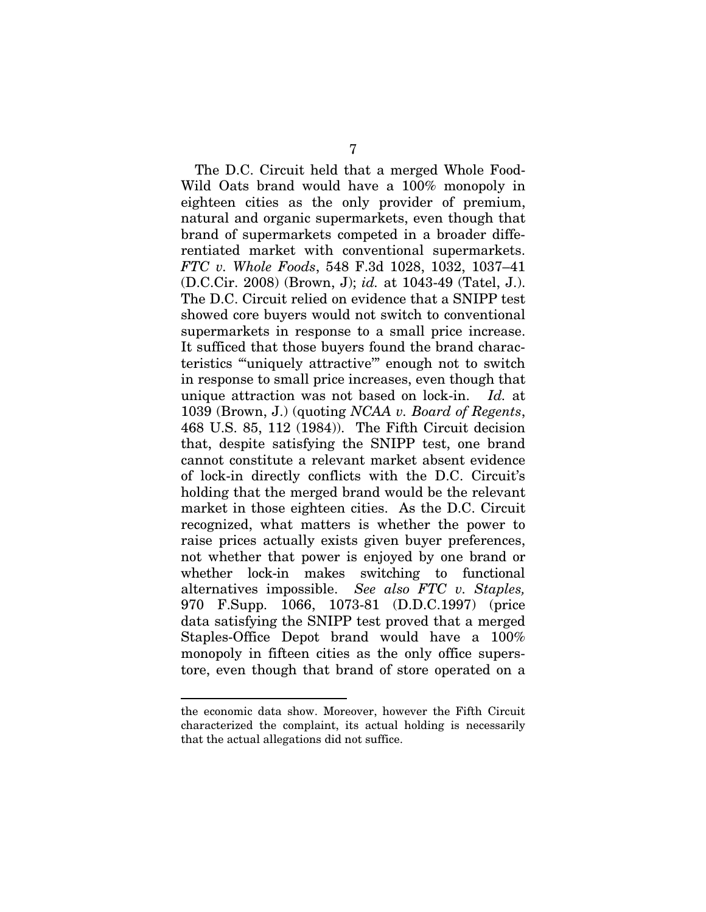The D.C. Circuit held that a merged Whole Food-Wild Oats brand would have a 100% monopoly in eighteen cities as the only provider of premium, natural and organic supermarkets, even though that brand of supermarkets competed in a broader differentiated market with conventional supermarkets. *FTC v. Whole Foods*, 548 F.3d 1028, 1032, 1037–41 (D.C.Cir. 2008) (Brown, J); *id.* at 1043-49 (Tatel, J.). The D.C. Circuit relied on evidence that a SNIPP test showed core buyers would not switch to conventional supermarkets in response to a small price increase. It sufficed that those buyers found the brand characteristics "'uniquely attractive'" enough not to switch in response to small price increases, even though that unique attraction was not based on lock-in. *Id.* at 1039 (Brown, J.) (quoting *NCAA v. Board of Regents*, 468 U.S. 85, 112 (1984)). The Fifth Circuit decision that, despite satisfying the SNIPP test, one brand cannot constitute a relevant market absent evidence of lock-in directly conflicts with the D.C. Circuit's holding that the merged brand would be the relevant market in those eighteen cities. As the D.C. Circuit recognized, what matters is whether the power to raise prices actually exists given buyer preferences, not whether that power is enjoyed by one brand or whether lock-in makes switching to functional alternatives impossible. *See also FTC v. Staples,* 970 F.Supp. 1066, 1073-81 (D.D.C.1997) (price data satisfying the SNIPP test proved that a merged Staples-Office Depot brand would have a 100% monopoly in fifteen cities as the only office superstore, even though that brand of store operated on a

the economic data show. Moreover, however the Fifth Circuit characterized the complaint, its actual holding is necessarily that the actual allegations did not suffice.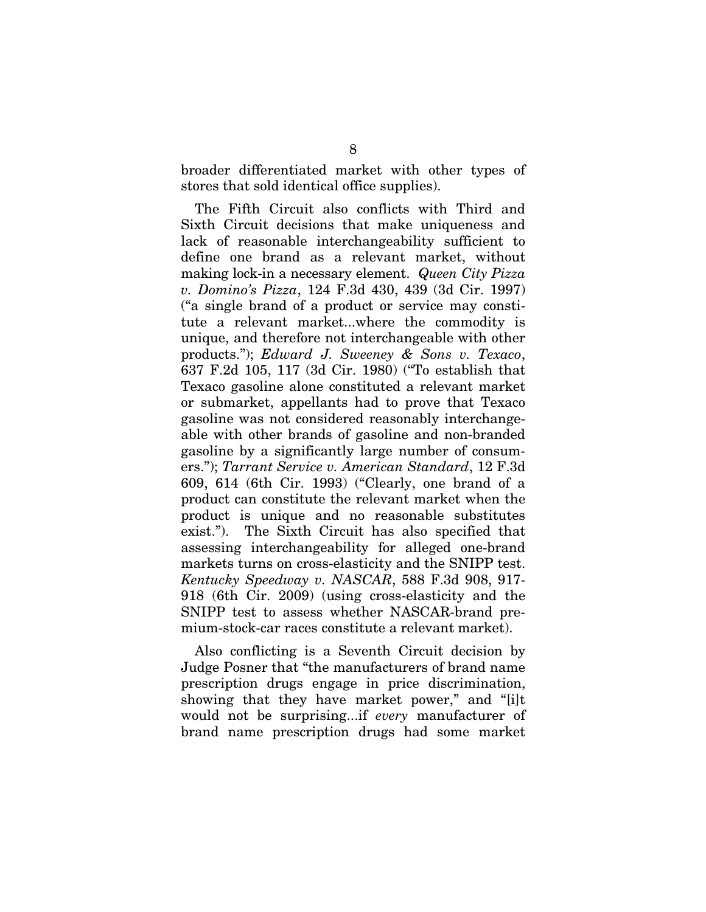broader differentiated market with other types of stores that sold identical office supplies).

The Fifth Circuit also conflicts with Third and Sixth Circuit decisions that make uniqueness and lack of reasonable interchangeability sufficient to define one brand as a relevant market, without making lock-in a necessary element. *Queen City Pizza v. Domino's Pizza*, 124 F.3d 430, 439 (3d Cir. 1997) ("a single brand of a product or service may constitute a relevant market...where the commodity is unique, and therefore not interchangeable with other products."); *Edward J. Sweeney & Sons v. Texaco*, 637 F.2d 105, 117 (3d Cir. 1980) ("To establish that Texaco gasoline alone constituted a relevant market or submarket, appellants had to prove that Texaco gasoline was not considered reasonably interchangeable with other brands of gasoline and non-branded gasoline by a significantly large number of consumers."); *Tarrant Service v. American Standard*, 12 F.3d 609, 614 (6th Cir. 1993) ("Clearly, one brand of a product can constitute the relevant market when the product is unique and no reasonable substitutes exist."). The Sixth Circuit has also specified that assessing interchangeability for alleged one-brand markets turns on cross-elasticity and the SNIPP test. *Kentucky Speedway v. NASCAR*, 588 F.3d 908, 917- 918 (6th Cir. 2009) (using cross-elasticity and the SNIPP test to assess whether NASCAR-brand premium-stock-car races constitute a relevant market).

Also conflicting is a Seventh Circuit decision by Judge Posner that "the manufacturers of brand name prescription drugs engage in price discrimination, showing that they have market power," and "[i]t would not be surprising...if *every* manufacturer of brand name prescription drugs had some market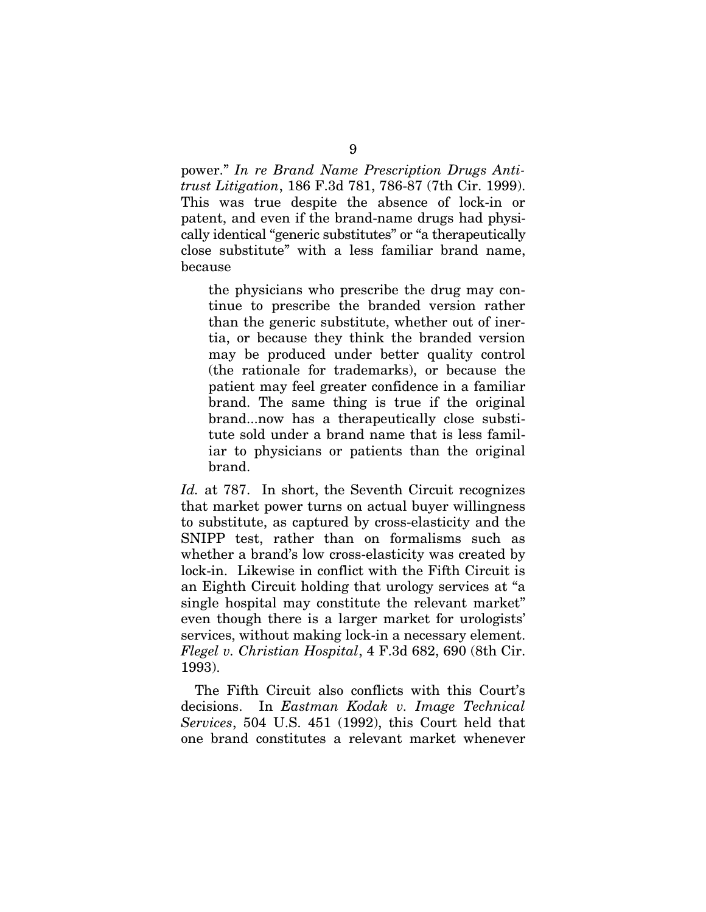power." *In re Brand Name Prescription Drugs Antitrust Litigation*, 186 F.3d 781, 786-87 (7th Cir. 1999). This was true despite the absence of lock-in or patent, and even if the brand-name drugs had physically identical "generic substitutes" or "a therapeutically close substitute" with a less familiar brand name, because

the physicians who prescribe the drug may continue to prescribe the branded version rather than the generic substitute, whether out of inertia, or because they think the branded version may be produced under better quality control (the rationale for trademarks), or because the patient may feel greater confidence in a familiar brand. The same thing is true if the original brand...now has a therapeutically close substitute sold under a brand name that is less familiar to physicians or patients than the original brand.

*Id.* at 787. In short, the Seventh Circuit recognizes that market power turns on actual buyer willingness to substitute, as captured by cross-elasticity and the SNIPP test, rather than on formalisms such as whether a brand's low cross-elasticity was created by lock-in. Likewise in conflict with the Fifth Circuit is an Eighth Circuit holding that urology services at "a single hospital may constitute the relevant market" even though there is a larger market for urologists' services, without making lock-in a necessary element. *Flegel v. Christian Hospital*, 4 F.3d 682, 690 (8th Cir. 1993).

The Fifth Circuit also conflicts with this Court's decisions. In *Eastman Kodak v. Image Technical Services*, 504 U.S. 451 (1992), this Court held that one brand constitutes a relevant market whenever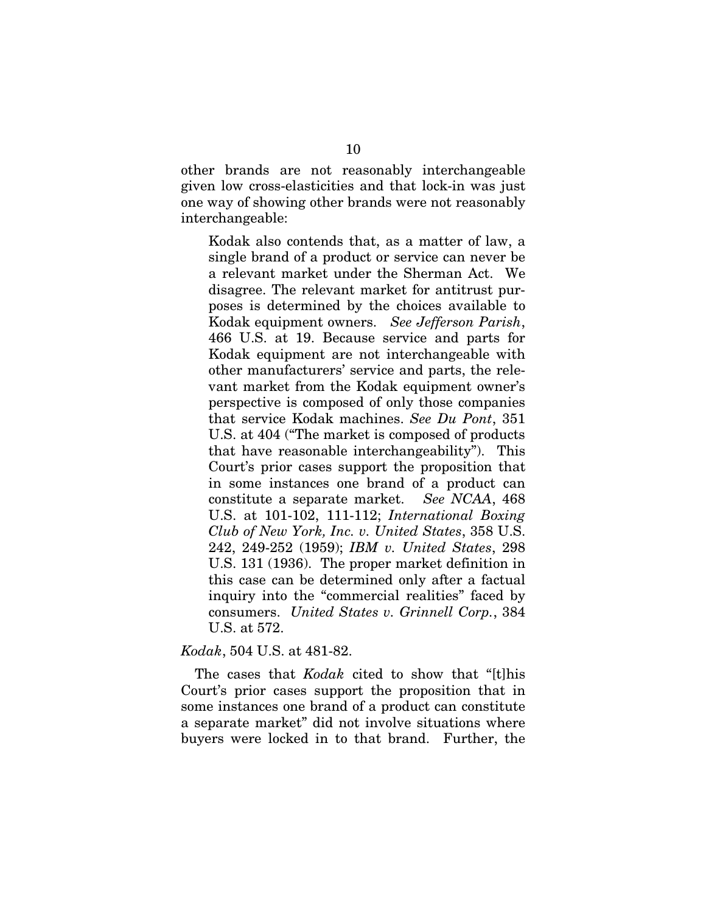other brands are not reasonably interchangeable given low cross-elasticities and that lock-in was just one way of showing other brands were not reasonably interchangeable:

Kodak also contends that, as a matter of law, a single brand of a product or service can never be a relevant market under the Sherman Act. We disagree. The relevant market for antitrust purposes is determined by the choices available to Kodak equipment owners. *See Jefferson Parish*, 466 U.S. at 19. Because service and parts for Kodak equipment are not interchangeable with other manufacturers' service and parts, the relevant market from the Kodak equipment owner's perspective is composed of only those companies that service Kodak machines. *See Du Pont*, 351 U.S. at 404 ("The market is composed of products that have reasonable interchangeability"). This Court's prior cases support the proposition that in some instances one brand of a product can constitute a separate market. *See NCAA*, 468 U.S. at 101-102, 111-112; *International Boxing Club of New York, Inc. v. United States*, 358 U.S. 242, 249-252 (1959); *IBM v. United States*, 298 U.S. 131 (1936). The proper market definition in this case can be determined only after a factual inquiry into the "commercial realities" faced by consumers. *United States v. Grinnell Corp.*, 384 U.S. at 572.

#### *Kodak*, 504 U.S. at 481-82.

The cases that *Kodak* cited to show that "[t]his Court's prior cases support the proposition that in some instances one brand of a product can constitute a separate market" did not involve situations where buyers were locked in to that brand. Further, the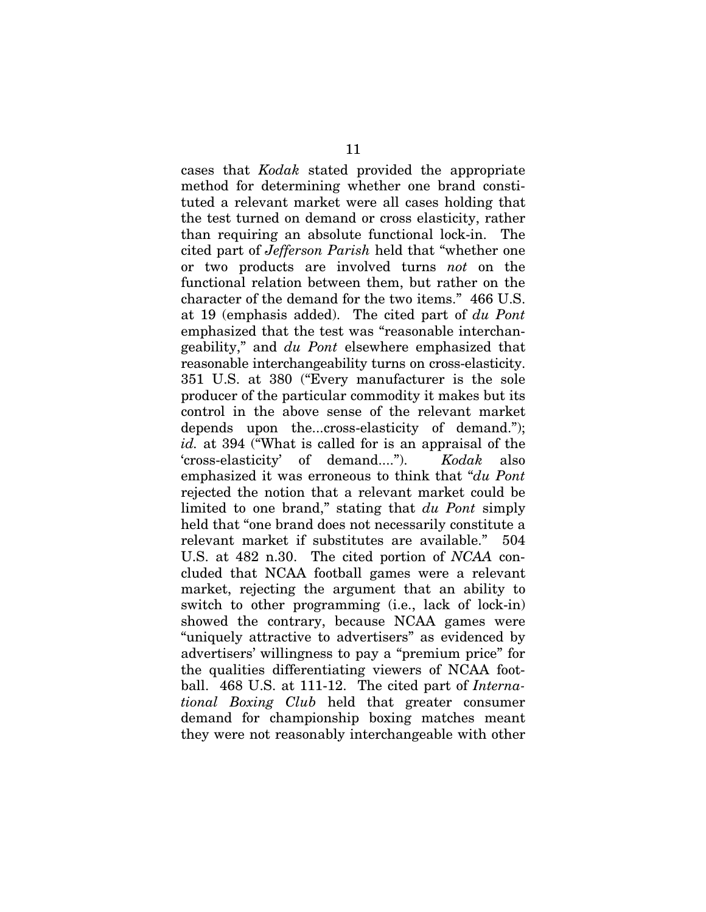cases that *Kodak* stated provided the appropriate method for determining whether one brand constituted a relevant market were all cases holding that the test turned on demand or cross elasticity, rather than requiring an absolute functional lock-in. The cited part of *Jefferson Parish* held that "whether one or two products are involved turns *not* on the functional relation between them, but rather on the character of the demand for the two items." 466 U.S. at 19 (emphasis added). The cited part of *du Pont* emphasized that the test was "reasonable interchangeability," and *du Pont* elsewhere emphasized that reasonable interchangeability turns on cross-elasticity. 351 U.S. at 380 ("Every manufacturer is the sole producer of the particular commodity it makes but its control in the above sense of the relevant market depends upon the...cross-elasticity of demand."); *id.* at 394 ("What is called for is an appraisal of the 'cross-elasticity' of demand...."). *Kodak* also emphasized it was erroneous to think that "*du Pont* rejected the notion that a relevant market could be limited to one brand," stating that *du Pont* simply held that "one brand does not necessarily constitute a relevant market if substitutes are available." 504 U.S. at 482 n.30. The cited portion of *NCAA* concluded that NCAA football games were a relevant market, rejecting the argument that an ability to switch to other programming (i.e., lack of lock-in) showed the contrary, because NCAA games were "uniquely attractive to advertisers" as evidenced by advertisers' willingness to pay a "premium price" for the qualities differentiating viewers of NCAA football. 468 U.S. at 111-12. The cited part of *International Boxing Club* held that greater consumer demand for championship boxing matches meant they were not reasonably interchangeable with other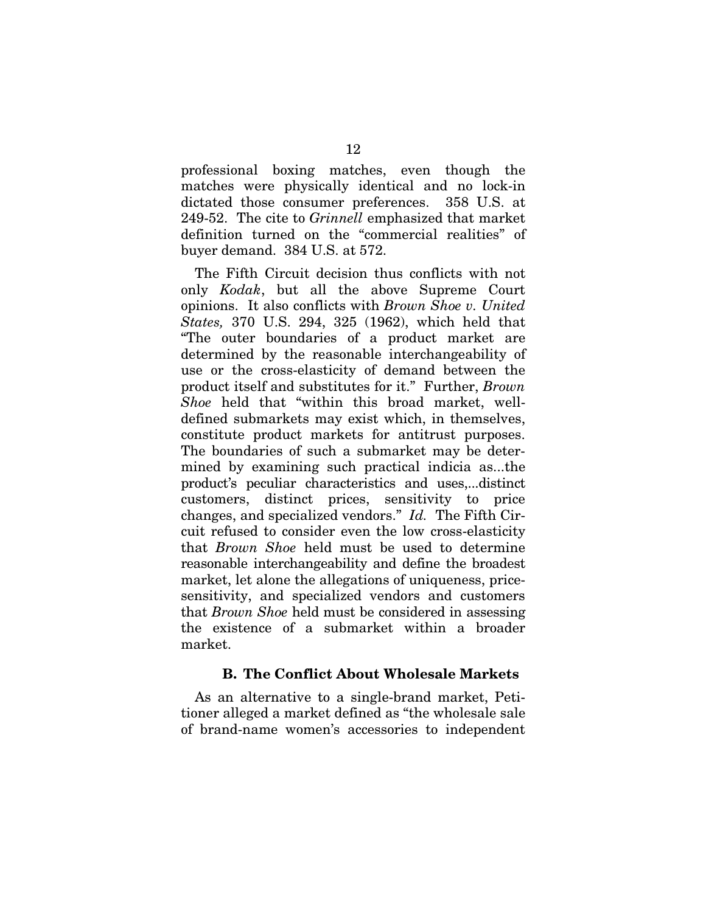professional boxing matches, even though the matches were physically identical and no lock-in dictated those consumer preferences. 358 U.S. at 249-52. The cite to *Grinnell* emphasized that market definition turned on the "commercial realities" of buyer demand. 384 U.S. at 572.

The Fifth Circuit decision thus conflicts with not only *Kodak*, but all the above Supreme Court opinions. It also conflicts with *Brown Shoe v. United States,* 370 U.S. 294, 325 (1962), which held that "The outer boundaries of a product market are determined by the reasonable interchangeability of use or the cross-elasticity of demand between the product itself and substitutes for it." Further, *Brown Shoe* held that "within this broad market, welldefined submarkets may exist which, in themselves, constitute product markets for antitrust purposes. The boundaries of such a submarket may be determined by examining such practical indicia as...the product's peculiar characteristics and uses,...distinct customers, distinct prices, sensitivity to price changes, and specialized vendors." *Id.* The Fifth Circuit refused to consider even the low cross-elasticity that *Brown Shoe* held must be used to determine reasonable interchangeability and define the broadest market, let alone the allegations of uniqueness, pricesensitivity, and specialized vendors and customers that *Brown Shoe* held must be considered in assessing the existence of a submarket within a broader market.

### **B. The Conflict About Wholesale Markets**

As an alternative to a single-brand market, Petitioner alleged a market defined as "the wholesale sale of brand-name women's accessories to independent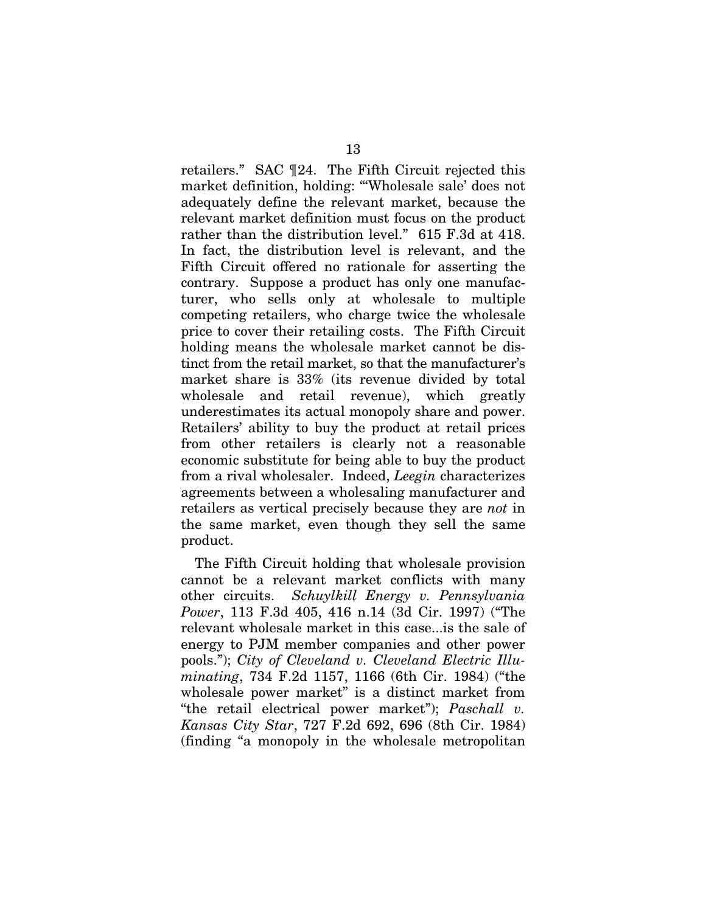retailers." SAC ¶24. The Fifth Circuit rejected this market definition, holding: "'Wholesale sale' does not adequately define the relevant market, because the relevant market definition must focus on the product rather than the distribution level." 615 F.3d at 418. In fact, the distribution level is relevant, and the Fifth Circuit offered no rationale for asserting the contrary. Suppose a product has only one manufacturer, who sells only at wholesale to multiple competing retailers, who charge twice the wholesale price to cover their retailing costs. The Fifth Circuit holding means the wholesale market cannot be distinct from the retail market, so that the manufacturer's market share is 33% (its revenue divided by total wholesale and retail revenue), which greatly underestimates its actual monopoly share and power. Retailers' ability to buy the product at retail prices from other retailers is clearly not a reasonable economic substitute for being able to buy the product from a rival wholesaler. Indeed, *Leegin* characterizes agreements between a wholesaling manufacturer and retailers as vertical precisely because they are *not* in the same market, even though they sell the same product.

The Fifth Circuit holding that wholesale provision cannot be a relevant market conflicts with many other circuits. *Schuylkill Energy v. Pennsylvania Power*, 113 F.3d 405, 416 n.14 (3d Cir. 1997) ("The relevant wholesale market in this case...is the sale of energy to PJM member companies and other power pools."); *City of Cleveland v. Cleveland Electric Illuminating*, 734 F.2d 1157, 1166 (6th Cir. 1984) ("the wholesale power market" is a distinct market from "the retail electrical power market"); *Paschall v. Kansas City Star*, 727 F.2d 692, 696 (8th Cir. 1984) (finding "a monopoly in the wholesale metropolitan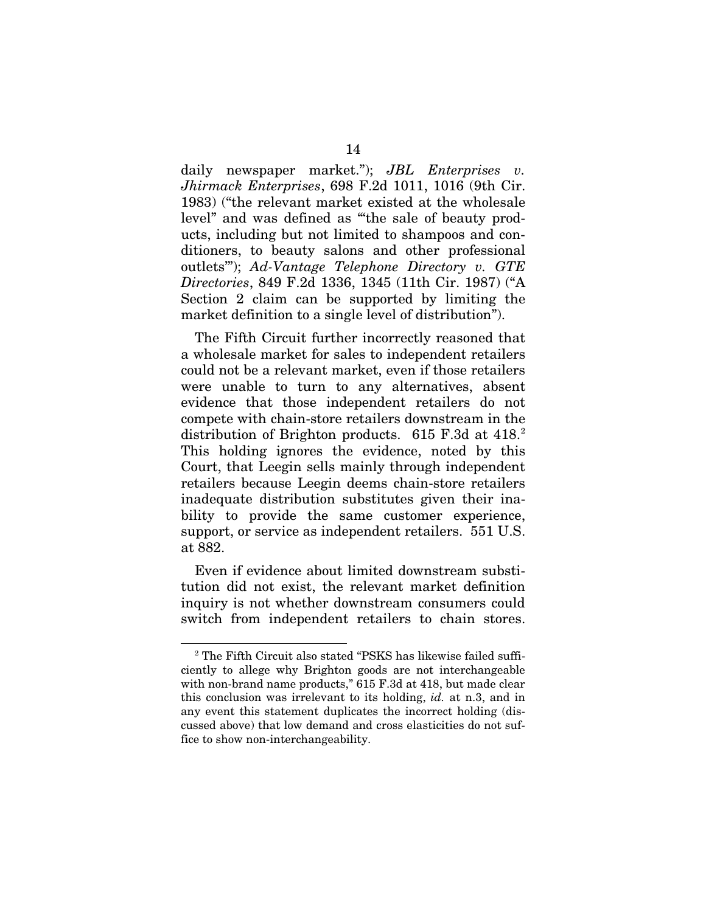daily newspaper market."); *JBL Enterprises v. Jhirmack Enterprises*, 698 F.2d 1011, 1016 (9th Cir. 1983) ("the relevant market existed at the wholesale level" and was defined as "'the sale of beauty products, including but not limited to shampoos and conditioners, to beauty salons and other professional outlets'"); *Ad-Vantage Telephone Directory v. GTE Directories*, 849 F.2d 1336, 1345 (11th Cir. 1987) ("A Section 2 claim can be supported by limiting the market definition to a single level of distribution").

The Fifth Circuit further incorrectly reasoned that a wholesale market for sales to independent retailers could not be a relevant market, even if those retailers were unable to turn to any alternatives, absent evidence that those independent retailers do not compete with chain-store retailers downstream in the distribution of Brighton products.  $615$  F.3d at  $418.<sup>2</sup>$  $418.<sup>2</sup>$  $418.<sup>2</sup>$ This holding ignores the evidence, noted by this Court, that Leegin sells mainly through independent retailers because Leegin deems chain-store retailers inadequate distribution substitutes given their inability to provide the same customer experience, support, or service as independent retailers. 551 U.S. at 882.

Even if evidence about limited downstream substitution did not exist, the relevant market definition inquiry is not whether downstream consumers could switch from independent retailers to chain stores.

<span id="page-24-0"></span><sup>&</sup>lt;sup>2</sup> The Fifth Circuit also stated "PSKS has likewise failed sufficiently to allege why Brighton goods are not interchangeable with non-brand name products," 615 F.3d at 418, but made clear this conclusion was irrelevant to its holding, *id.* at n.3, and in any event this statement duplicates the incorrect holding (discussed above) that low demand and cross elasticities do not suffice to show non-interchangeability.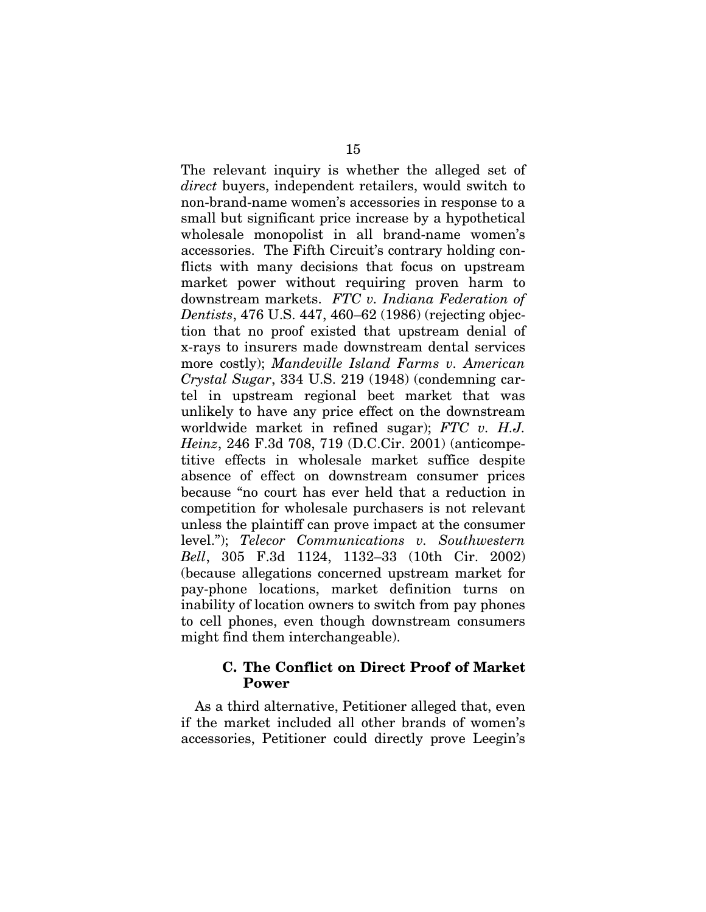The relevant inquiry is whether the alleged set of *direct* buyers, independent retailers, would switch to non-brand-name women's accessories in response to a small but significant price increase by a hypothetical wholesale monopolist in all brand-name women's accessories. The Fifth Circuit's contrary holding conflicts with many decisions that focus on upstream market power without requiring proven harm to downstream markets. *FTC v. Indiana Federation of Dentists*, 476 U.S. 447, 460–62 (1986) (rejecting objection that no proof existed that upstream denial of x-rays to insurers made downstream dental services more costly); *Mandeville Island Farms v. American Crystal Sugar*, 334 U.S. 219 (1948) (condemning cartel in upstream regional beet market that was unlikely to have any price effect on the downstream worldwide market in refined sugar); *FTC v. H.J. Heinz*, 246 F.3d 708, 719 (D.C.Cir. 2001) (anticompetitive effects in wholesale market suffice despite absence of effect on downstream consumer prices because "no court has ever held that a reduction in competition for wholesale purchasers is not relevant unless the plaintiff can prove impact at the consumer level."); *Telecor Communications v. Southwestern Bell*, 305 F.3d 1124, 1132–33 (10th Cir. 2002) (because allegations concerned upstream market for pay-phone locations, market definition turns on inability of location owners to switch from pay phones to cell phones, even though downstream consumers might find them interchangeable).

### **C. The Conflict on Direct Proof of Market Power**

As a third alternative, Petitioner alleged that, even if the market included all other brands of women's accessories, Petitioner could directly prove Leegin's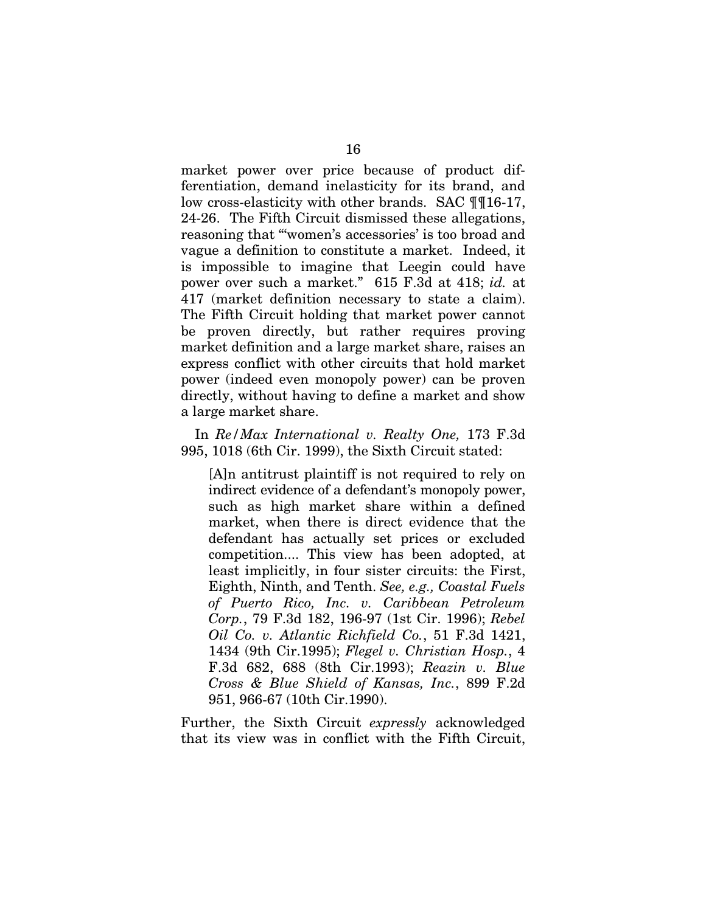market power over price because of product differentiation, demand inelasticity for its brand, and low cross-elasticity with other brands. SAC ¶¶16-17, 24-26. The Fifth Circuit dismissed these allegations, reasoning that "'women's accessories' is too broad and vague a definition to constitute a market. Indeed, it is impossible to imagine that Leegin could have power over such a market." 615 F.3d at 418; *id.* at 417 (market definition necessary to state a claim). The Fifth Circuit holding that market power cannot be proven directly, but rather requires proving market definition and a large market share, raises an express conflict with other circuits that hold market power (indeed even monopoly power) can be proven directly, without having to define a market and show a large market share.

In *Re/Max International v. Realty One,* 173 F.3d 995, 1018 (6th Cir. 1999), the Sixth Circuit stated:

[A]n antitrust plaintiff is not required to rely on indirect evidence of a defendant's monopoly power, such as high market share within a defined market, when there is direct evidence that the defendant has actually set prices or excluded competition.... This view has been adopted, at least implicitly, in four sister circuits: the First, Eighth, Ninth, and Tenth. *See, e.g., Coastal Fuels of Puerto Rico, Inc. v. Caribbean Petroleum Corp.*, 79 F.3d 182, 196-97 (1st Cir. 1996); *Rebel Oil Co. v. Atlantic Richfield Co.*, 51 F.3d 1421, 1434 (9th Cir.1995); *Flegel v. Christian Hosp.*, 4 F.3d 682, 688 (8th Cir.1993); *Reazin v. Blue Cross & Blue Shield of Kansas, Inc.*, 899 F.2d 951, 966-67 (10th Cir.1990).

Further, the Sixth Circuit *expressly* acknowledged that its view was in conflict with the Fifth Circuit,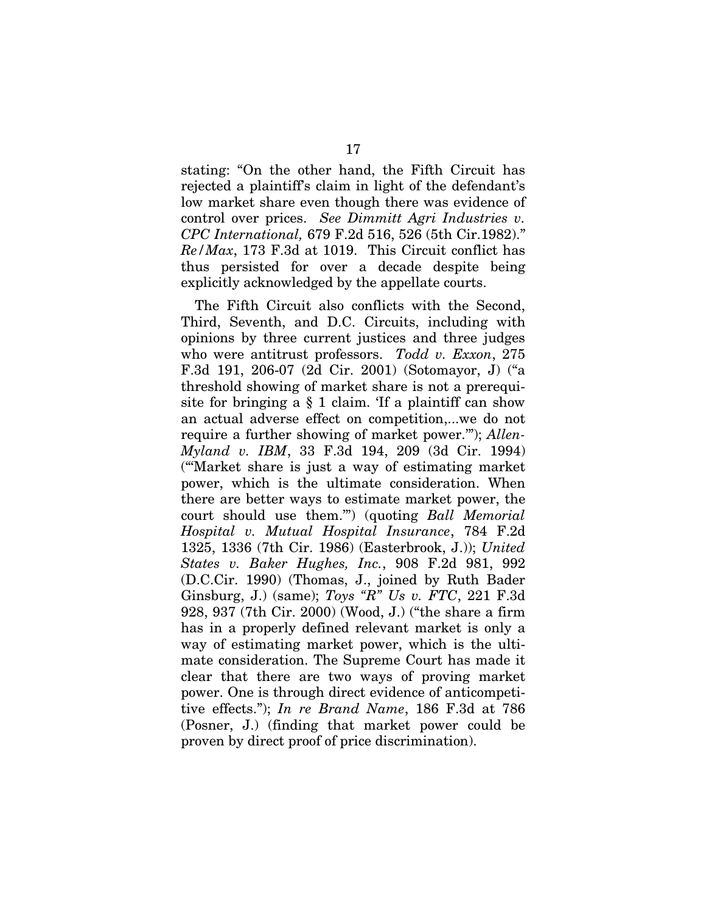stating: "On the other hand, the Fifth Circuit has rejected a plaintiff's claim in light of the defendant's low market share even though there was evidence of control over prices. *See Dimmitt Agri Industries v. CPC International,* 679 F.2d 516, 526 (5th Cir.1982)." *Re/Max*, 173 F.3d at 1019. This Circuit conflict has thus persisted for over a decade despite being explicitly acknowledged by the appellate courts.

The Fifth Circuit also conflicts with the Second, Third, Seventh, and D.C. Circuits, including with opinions by three current justices and three judges who were antitrust professors. *Todd v. Exxon*, 275 F.3d 191, 206-07 (2d Cir. 2001) (Sotomayor, J) ("a threshold showing of market share is not a prerequisite for bringing a  $\S$  1 claim. If a plaintiff can show an actual adverse effect on competition,...we do not require a further showing of market power.'"); *Allen-Myland v. IBM*, 33 F.3d 194, 209 (3d Cir. 1994) ("'Market share is just a way of estimating market power, which is the ultimate consideration. When there are better ways to estimate market power, the court should use them.'") (quoting *Ball Memorial Hospital v. Mutual Hospital Insurance*, 784 F.2d 1325, 1336 (7th Cir. 1986) (Easterbrook, J.)); *United States v. Baker Hughes, Inc.*, 908 F.2d 981, 992 (D.C.Cir. 1990) (Thomas, J., joined by Ruth Bader Ginsburg, J.) (same); *Toys "R" Us v. FTC*, 221 F.3d 928, 937 (7th Cir. 2000) (Wood, J.) ("the share a firm has in a properly defined relevant market is only a way of estimating market power, which is the ultimate consideration. The Supreme Court has made it clear that there are two ways of proving market power. One is through direct evidence of anticompetitive effects."); *In re Brand Name*, 186 F.3d at 786 (Posner, J.) (finding that market power could be proven by direct proof of price discrimination).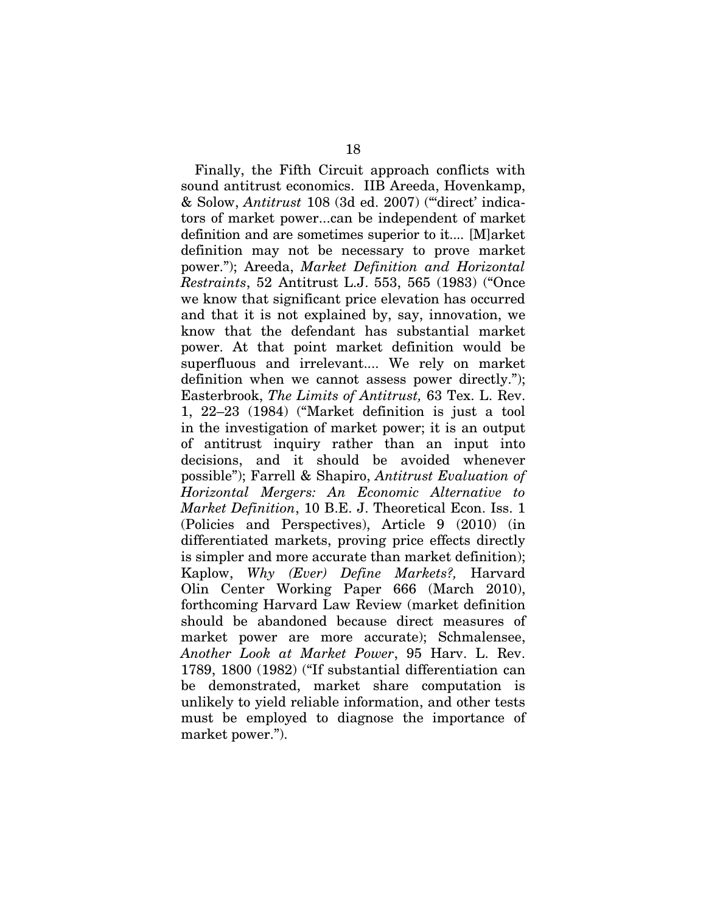Finally, the Fifth Circuit approach conflicts with sound antitrust economics. IIB Areeda, Hovenkamp, & Solow, *Antitrust* 108 (3d ed. 2007) ("'direct' indicators of market power...can be independent of market definition and are sometimes superior to it.... [M]arket definition may not be necessary to prove market power."); Areeda, *Market Definition and Horizontal Restraints*, 52 Antitrust L.J. 553, 565 (1983) ("Once we know that significant price elevation has occurred and that it is not explained by, say, innovation, we know that the defendant has substantial market power. At that point market definition would be superfluous and irrelevant.... We rely on market definition when we cannot assess power directly."); Easterbrook, *The Limits of Antitrust,* 63 Tex. L. Rev. 1, 22–23 (1984) ("Market definition is just a tool in the investigation of market power; it is an output of antitrust inquiry rather than an input into decisions, and it should be avoided whenever possible"); Farrell & Shapiro, *Antitrust Evaluation of Horizontal Mergers: An Economic Alternative to Market Definition*, 10 B.E. J. Theoretical Econ. Iss. 1 (Policies and Perspectives), Article 9 (2010) (in differentiated markets, proving price effects directly is simpler and more accurate than market definition); Kaplow, *Why (Ever) Define Markets?,* Harvard Olin Center Working Paper 666 (March 2010), forthcoming Harvard Law Review (market definition should be abandoned because direct measures of market power are more accurate); Schmalensee, *Another Look at Market Power*, 95 Harv. L. Rev. 1789, 1800 (1982) ("If substantial differentiation can be demonstrated, market share computation is unlikely to yield reliable information, and other tests must be employed to diagnose the importance of market power.").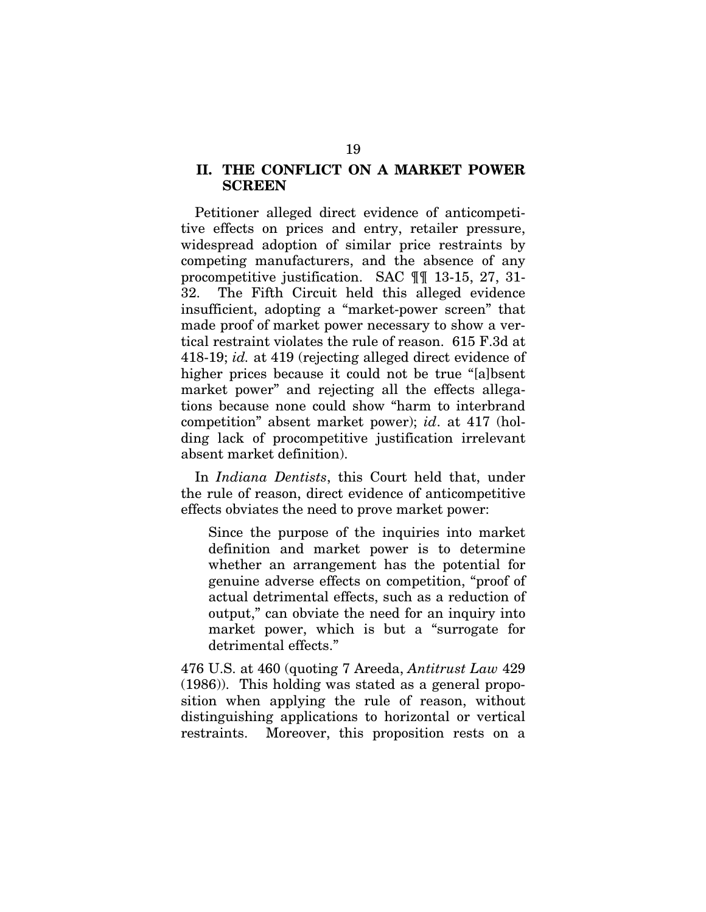### **II. THE CONFLICT ON A MARKET POWER SCREEN**

Petitioner alleged direct evidence of anticompetitive effects on prices and entry, retailer pressure, widespread adoption of similar price restraints by competing manufacturers, and the absence of any procompetitive justification. SAC ¶¶ 13-15, 27, 31- 32. The Fifth Circuit held this alleged evidence insufficient, adopting a "market-power screen" that made proof of market power necessary to show a vertical restraint violates the rule of reason. 615 F.3d at 418-19; *id.* at 419 (rejecting alleged direct evidence of higher prices because it could not be true "[a]bsent market power" and rejecting all the effects allegations because none could show "harm to interbrand competition" absent market power); *id*. at 417 (holding lack of procompetitive justification irrelevant absent market definition).

In *Indiana Dentists*, this Court held that, under the rule of reason, direct evidence of anticompetitive effects obviates the need to prove market power:

Since the purpose of the inquiries into market definition and market power is to determine whether an arrangement has the potential for genuine adverse effects on competition, "proof of actual detrimental effects, such as a reduction of output," can obviate the need for an inquiry into market power, which is but a "surrogate for detrimental effects."

476 U.S. at 460 (quoting 7 Areeda, *Antitrust Law* 429 (1986)). This holding was stated as a general proposition when applying the rule of reason, without distinguishing applications to horizontal or vertical restraints. Moreover, this proposition rests on a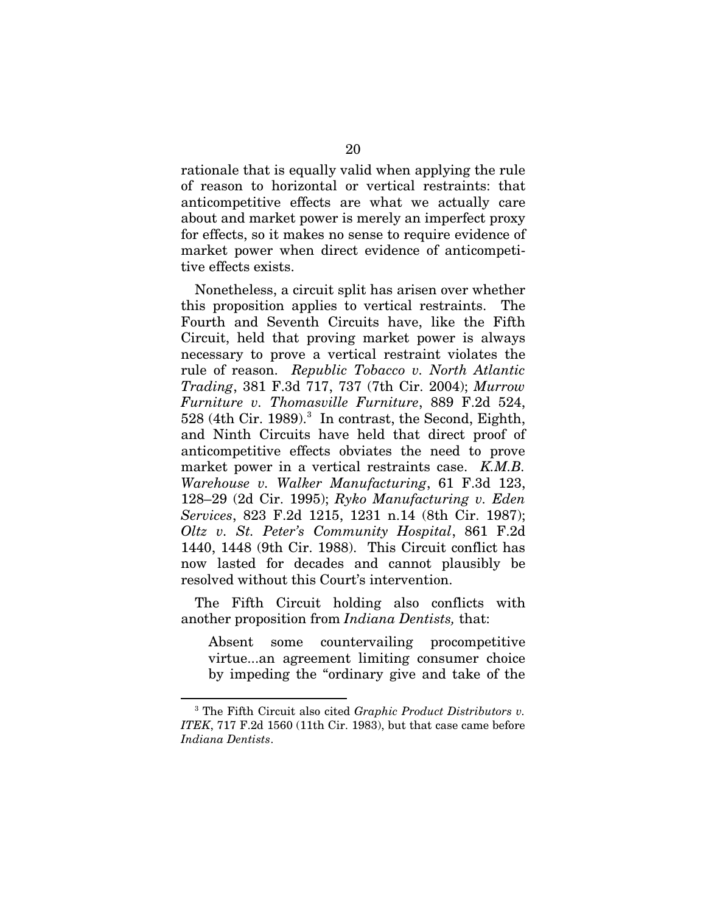rationale that is equally valid when applying the rule of reason to horizontal or vertical restraints: that anticompetitive effects are what we actually care about and market power is merely an imperfect proxy for effects, so it makes no sense to require evidence of market power when direct evidence of anticompetitive effects exists.

Nonetheless, a circuit split has arisen over whether this proposition applies to vertical restraints. The Fourth and Seventh Circuits have, like the Fifth Circuit, held that proving market power is always necessary to prove a vertical restraint violates the rule of reason. *Republic Tobacco v. North Atlantic Trading*, 381 F.3d 717, 737 (7th Cir. 2004); *Murrow Furniture v. Thomasville Furniture*, 889 F.2d 524, 528 (4th Cir. 1989).<sup>3</sup> In contrast, the Second, Eighth, and Ninth Circuits have held that direct proof of anticompetitive effects obviates the need to prove market power in a vertical restraints case. *K.M.B. Warehouse v. Walker Manufacturing*, 61 F.3d 123, 128–29 (2d Cir. 1995); *Ryko Manufacturing v. Eden Services*, 823 F.2d 1215, 1231 n.14 (8th Cir. 1987); *Oltz v. St. Peter's Community Hospital*, 861 F.2d 1440, 1448 (9th Cir. 1988). This Circuit conflict has now lasted for decades and cannot plausibly be resolved without this Court's intervention.

The Fifth Circuit holding also conflicts with another proposition from *Indiana Dentists,* that:

Absent some countervailing procompetitive virtue...an agreement limiting consumer choice by impeding the "ordinary give and take of the

<span id="page-30-0"></span><sup>3</sup> The Fifth Circuit also cited *Graphic Product Distributors v. ITEK*, 717 F.2d 1560 (11th Cir. 1983), but that case came before *Indiana Dentists*.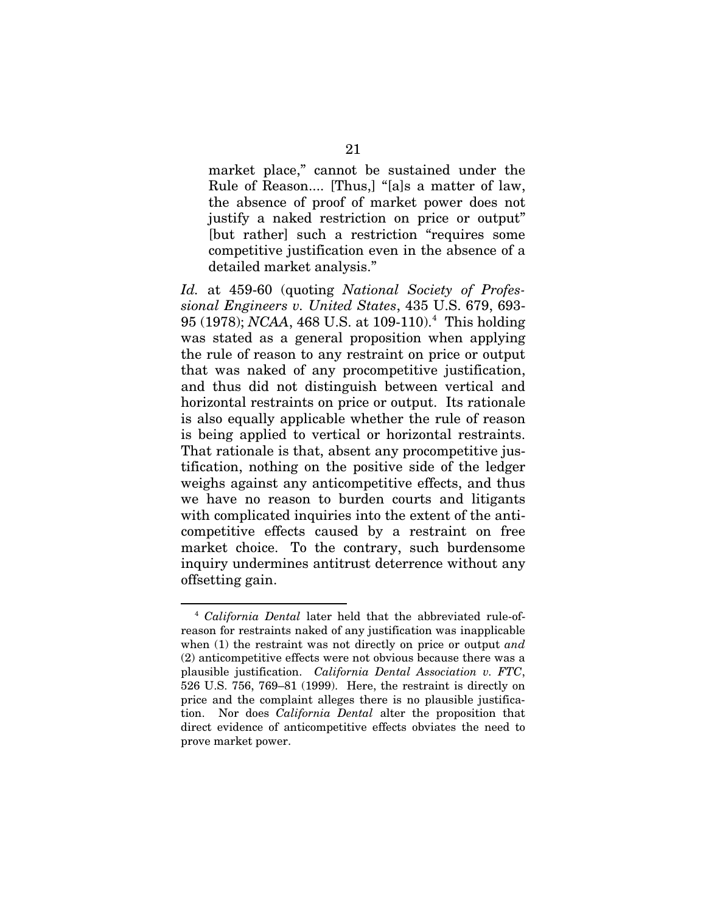market place," cannot be sustained under the Rule of Reason.... [Thus,] "[a]s a matter of law, the absence of proof of market power does not justify a naked restriction on price or output" [but rather] such a restriction "requires some competitive justification even in the absence of a detailed market analysis."

*Id.* at 459-60 (quoting *National Society of Professional Engineers v. United States*, 435 U.S. 679, 693- 95 (1978); *NCAA*, [4](#page-31-0)68 U.S. at 109-110).<sup>4</sup> This holding was stated as a general proposition when applying the rule of reason to any restraint on price or output that was naked of any procompetitive justification, and thus did not distinguish between vertical and horizontal restraints on price or output. Its rationale is also equally applicable whether the rule of reason is being applied to vertical or horizontal restraints. That rationale is that, absent any procompetitive justification, nothing on the positive side of the ledger weighs against any anticompetitive effects, and thus we have no reason to burden courts and litigants with complicated inquiries into the extent of the anticompetitive effects caused by a restraint on free market choice. To the contrary, such burdensome inquiry undermines antitrust deterrence without any offsetting gain.

<span id="page-31-0"></span><sup>4</sup> *California Dental* later held that the abbreviated rule-ofreason for restraints naked of any justification was inapplicable when (1) the restraint was not directly on price or output *and* (2) anticompetitive effects were not obvious because there was a plausible justification. *California Dental Association v. FTC*, 526 U.S. 756, 769–81 (1999). Here, the restraint is directly on price and the complaint alleges there is no plausible justification. Nor does *California Dental* alter the proposition that direct evidence of anticompetitive effects obviates the need to prove market power.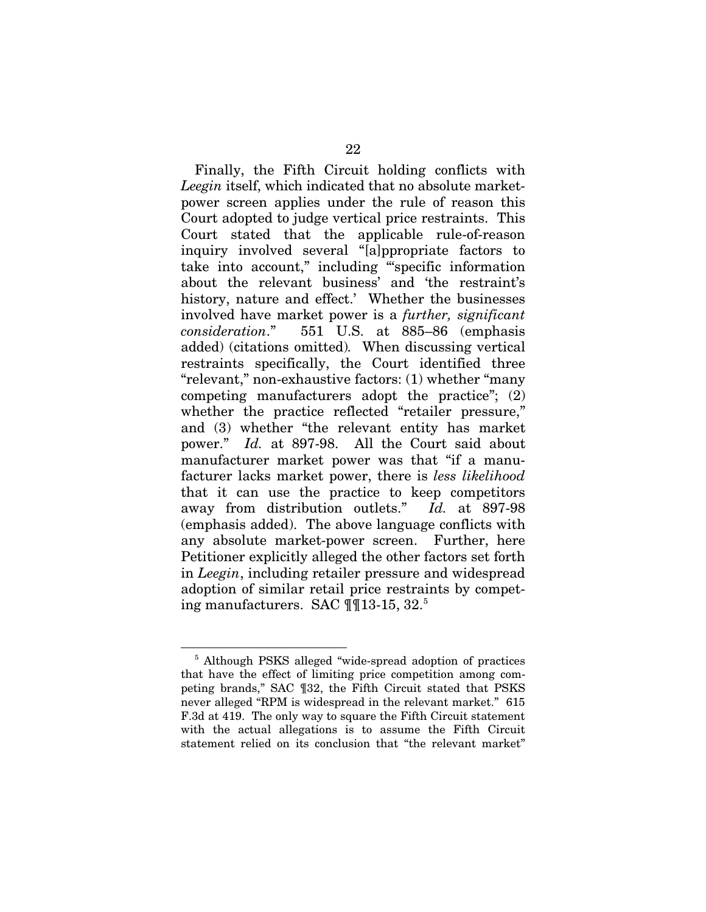Finally, the Fifth Circuit holding conflicts with *Leegin* itself, which indicated that no absolute marketpower screen applies under the rule of reason this Court adopted to judge vertical price restraints. This Court stated that the applicable rule-of-reason inquiry involved several "[a]ppropriate factors to take into account," including "'specific information about the relevant business' and 'the restraint's history, nature and effect.' Whether the businesses involved have market power is a *further, significant consideration*." 551 U.S. at 885–86 (emphasis added) (citations omitted)*.* When discussing vertical restraints specifically, the Court identified three "relevant," non-exhaustive factors: (1) whether "many competing manufacturers adopt the practice"; (2) whether the practice reflected "retailer pressure," and (3) whether "the relevant entity has market power." *Id.* at 897-98. All the Court said about manufacturer market power was that "if a manufacturer lacks market power, there is *less likelihood* that it can use the practice to keep competitors away from distribution outlets." *Id.* at 897-98 (emphasis added). The above language conflicts with any absolute market-power screen. Further, here Petitioner explicitly alleged the other factors set forth in *Leegin*, including retailer pressure and widespread adoption of similar retail price restraints by competing manufacturers. SAC ¶¶13-15, 32[.5](#page-32-0)

<span id="page-32-0"></span><sup>!!!!!!!!!!!!!!!!!!!!!!!!!!!!!!!!!!!!!!!!!!!!!!!!!!!!!!!!!!!!</sup> <sup>5</sup> Although PSKS alleged "wide-spread adoption of practices that have the effect of limiting price competition among competing brands," SAC ¶32, the Fifth Circuit stated that PSKS never alleged "RPM is widespread in the relevant market." 615 F.3d at 419. The only way to square the Fifth Circuit statement with the actual allegations is to assume the Fifth Circuit statement relied on its conclusion that "the relevant market"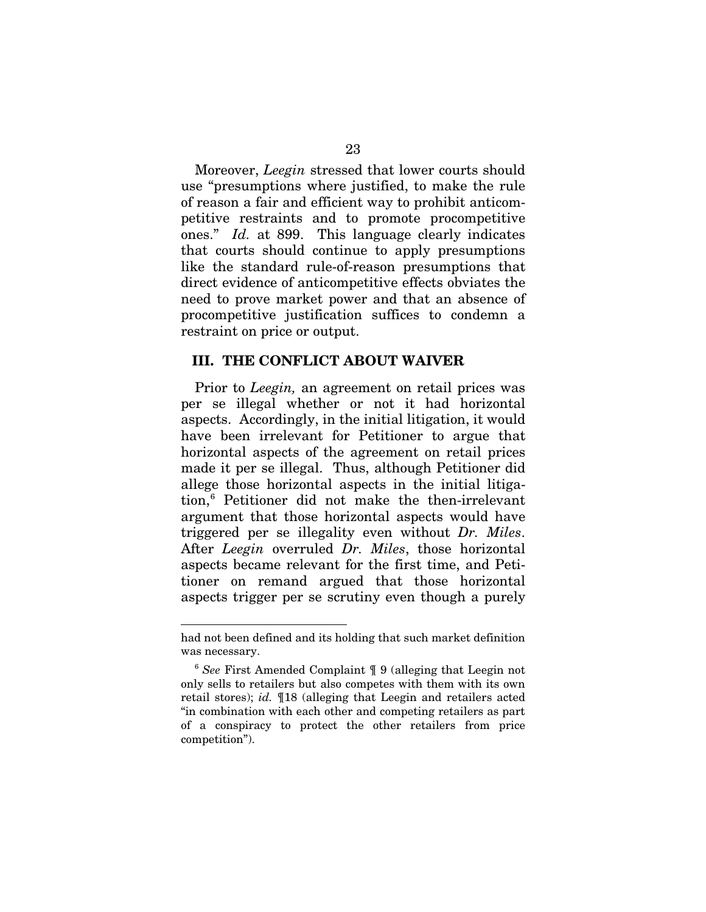Moreover, *Leegin* stressed that lower courts should use "presumptions where justified, to make the rule of reason a fair and efficient way to prohibit anticompetitive restraints and to promote procompetitive ones." *Id.* at 899. This language clearly indicates that courts should continue to apply presumptions like the standard rule-of-reason presumptions that direct evidence of anticompetitive effects obviates the need to prove market power and that an absence of procompetitive justification suffices to condemn a restraint on price or output.

### **III. THE CONFLICT ABOUT WAIVER**

Prior to *Leegin,* an agreement on retail prices was per se illegal whether or not it had horizontal aspects. Accordingly, in the initial litigation, it would have been irrelevant for Petitioner to argue that horizontal aspects of the agreement on retail prices made it per se illegal. Thus, although Petitioner did allege those horizontal aspects in the initial litigation,[6](#page-33-0) Petitioner did not make the then-irrelevant argument that those horizontal aspects would have triggered per se illegality even without *Dr. Miles*. After *Leegin* overruled *Dr. Miles*, those horizontal aspects became relevant for the first time, and Petitioner on remand argued that those horizontal aspects trigger per se scrutiny even though a purely

had not been defined and its holding that such market definition was necessary.

<span id="page-33-0"></span><sup>6</sup> *See* First Amended Complaint ¶ 9 (alleging that Leegin not only sells to retailers but also competes with them with its own retail stores); *id.* ¶18 (alleging that Leegin and retailers acted "in combination with each other and competing retailers as part of a conspiracy to protect the other retailers from price competition").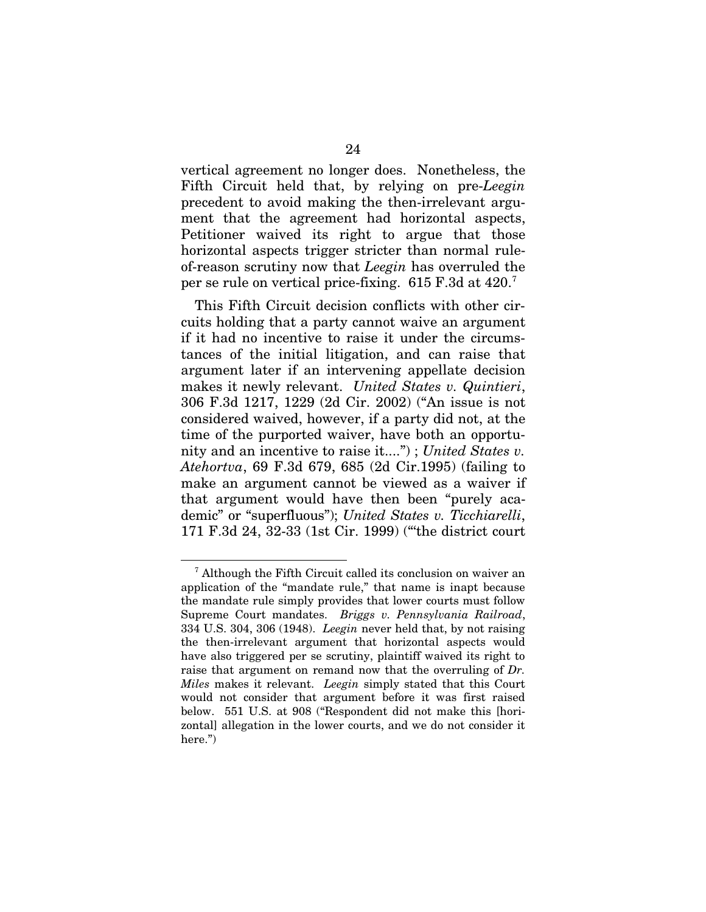vertical agreement no longer does. Nonetheless, the Fifth Circuit held that, by relying on pre-*Leegin* precedent to avoid making the then-irrelevant argument that the agreement had horizontal aspects, Petitioner waived its right to argue that those horizontal aspects trigger stricter than normal ruleof-reason scrutiny now that *Leegin* has overruled the per se rule on vertical price-fixing.  $615$  F.3d at  $420$ .

This Fifth Circuit decision conflicts with other circuits holding that a party cannot waive an argument if it had no incentive to raise it under the circumstances of the initial litigation, and can raise that argument later if an intervening appellate decision makes it newly relevant. *United States v. Quintieri*, 306 F.3d 1217, 1229 (2d Cir. 2002) ("An issue is not considered waived, however, if a party did not, at the time of the purported waiver, have both an opportunity and an incentive to raise it....") ; *United States v. Atehortva*, 69 F.3d 679, 685 (2d Cir.1995) (failing to make an argument cannot be viewed as a waiver if that argument would have then been "purely academic" or "superfluous"); *United States v. Ticchiarelli*, 171 F.3d 24, 32-33 (1st Cir. 1999) ("'the district court

<span id="page-34-0"></span><sup>7</sup> Although the Fifth Circuit called its conclusion on waiver an application of the "mandate rule," that name is inapt because the mandate rule simply provides that lower courts must follow Supreme Court mandates. *Briggs v. Pennsylvania Railroad*, 334 U.S. 304, 306 (1948). *Leegin* never held that, by not raising the then-irrelevant argument that horizontal aspects would have also triggered per se scrutiny, plaintiff waived its right to raise that argument on remand now that the overruling of *Dr. Miles* makes it relevant. *Leegin* simply stated that this Court would not consider that argument before it was first raised below. 551 U.S. at 908 ("Respondent did not make this [horizontal] allegation in the lower courts, and we do not consider it here.")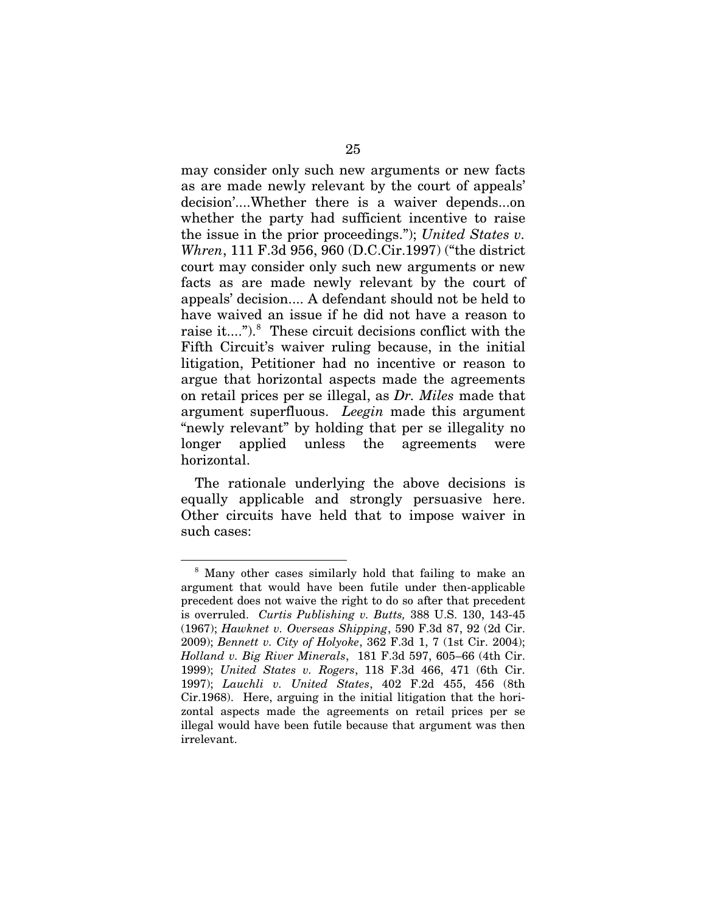may consider only such new arguments or new facts as are made newly relevant by the court of appeals' decision'....Whether there is a waiver depends...on whether the party had sufficient incentive to raise the issue in the prior proceedings."); *United States v. Whren*, 111 F.3d 956, 960 (D.C.Cir.1997) ("the district court may consider only such new arguments or new facts as are made newly relevant by the court of appeals' decision.... A defendant should not be held to have waived an issue if he did not have a reason to raise it....").<sup>8</sup> These circuit decisions conflict with the Fifth Circuit's waiver ruling because, in the initial litigation, Petitioner had no incentive or reason to argue that horizontal aspects made the agreements on retail prices per se illegal, as *Dr. Miles* made that argument superfluous. *Leegin* made this argument "newly relevant" by holding that per se illegality no longer applied unless the agreements were horizontal.

The rationale underlying the above decisions is equally applicable and strongly persuasive here. Other circuits have held that to impose waiver in such cases:

<span id="page-35-0"></span><sup>8</sup> Many other cases similarly hold that failing to make an argument that would have been futile under then-applicable precedent does not waive the right to do so after that precedent is overruled. *Curtis Publishing v. Butts,* 388 U.S. 130, 143-45 (1967); *Hawknet v. Overseas Shipping*, 590 F.3d 87, 92 (2d Cir. 2009); *Bennett v. City of Holyoke*, 362 F.3d 1, 7 (1st Cir. 2004); *Holland v. Big River Minerals*, 181 F.3d 597, 605–66 (4th Cir. 1999); *United States v. Rogers*, 118 F.3d 466, 471 (6th Cir. 1997); *Lauchli v. United States*, 402 F.2d 455, 456 (8th Cir.1968). Here, arguing in the initial litigation that the horizontal aspects made the agreements on retail prices per se illegal would have been futile because that argument was then irrelevant.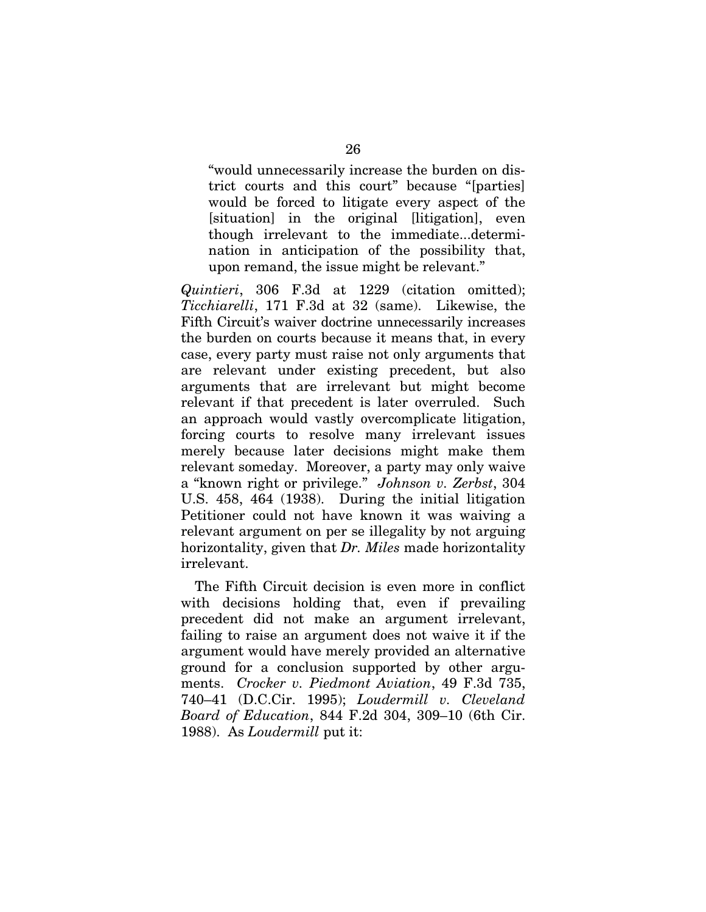"would unnecessarily increase the burden on district courts and this court" because "[parties] would be forced to litigate every aspect of the [situation] in the original [litigation], even though irrelevant to the immediate...determination in anticipation of the possibility that, upon remand, the issue might be relevant."

*Quintieri*, 306 F.3d at 1229 (citation omitted); *Ticchiarelli*, 171 F.3d at 32 (same). Likewise, the Fifth Circuit's waiver doctrine unnecessarily increases the burden on courts because it means that, in every case, every party must raise not only arguments that are relevant under existing precedent, but also arguments that are irrelevant but might become relevant if that precedent is later overruled. Such an approach would vastly overcomplicate litigation, forcing courts to resolve many irrelevant issues merely because later decisions might make them relevant someday. Moreover, a party may only waive a "known right or privilege." *Johnson v. Zerbst*, 304 U.S. 458, 464 (1938). During the initial litigation Petitioner could not have known it was waiving a relevant argument on per se illegality by not arguing horizontality, given that *Dr. Miles* made horizontality irrelevant.

The Fifth Circuit decision is even more in conflict with decisions holding that, even if prevailing precedent did not make an argument irrelevant, failing to raise an argument does not waive it if the argument would have merely provided an alternative ground for a conclusion supported by other arguments. *Crocker v. Piedmont Aviation*, 49 F.3d 735, 740–41 (D.C.Cir. 1995); *Loudermill v. Cleveland Board of Education*, 844 F.2d 304, 309–10 (6th Cir. 1988). As *Loudermill* put it: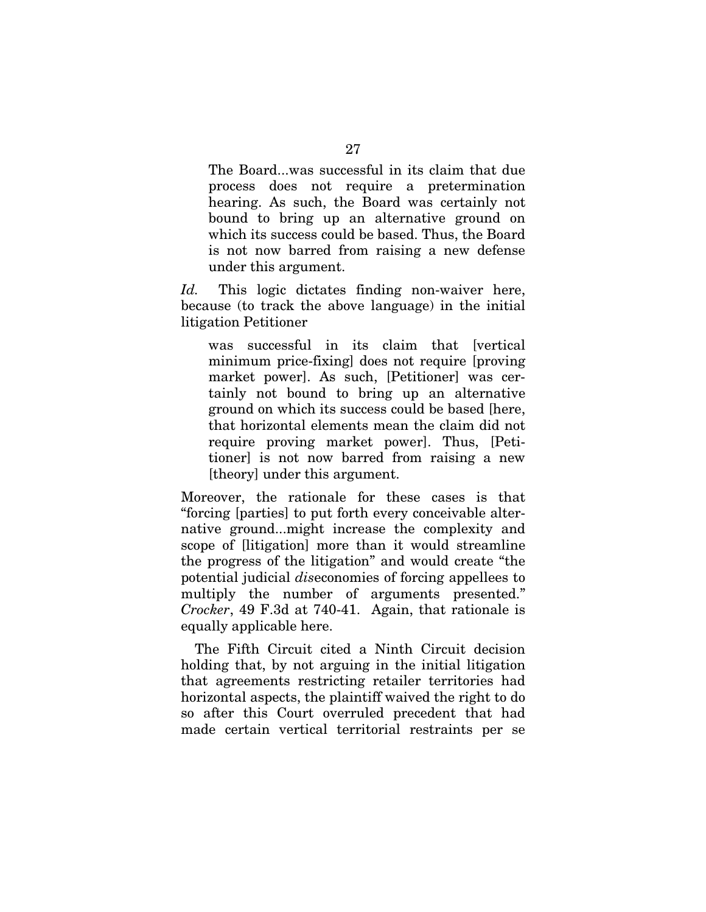The Board...was successful in its claim that due process does not require a pretermination hearing. As such, the Board was certainly not bound to bring up an alternative ground on which its success could be based. Thus, the Board is not now barred from raising a new defense under this argument.

*Id.* This logic dictates finding non-waiver here, because (to track the above language) in the initial litigation Petitioner

was successful in its claim that [vertical] minimum price-fixing] does not require [proving market power]. As such, [Petitioner] was certainly not bound to bring up an alternative ground on which its success could be based [here, that horizontal elements mean the claim did not require proving market power]. Thus, [Petitioner] is not now barred from raising a new [theory] under this argument.

Moreover, the rationale for these cases is that "forcing [parties] to put forth every conceivable alternative ground...might increase the complexity and scope of [litigation] more than it would streamline the progress of the litigation" and would create "the potential judicial *dis*economies of forcing appellees to multiply the number of arguments presented." *Crocker*, 49 F.3d at 740-41. Again, that rationale is equally applicable here.

The Fifth Circuit cited a Ninth Circuit decision holding that, by not arguing in the initial litigation that agreements restricting retailer territories had horizontal aspects, the plaintiff waived the right to do so after this Court overruled precedent that had made certain vertical territorial restraints per se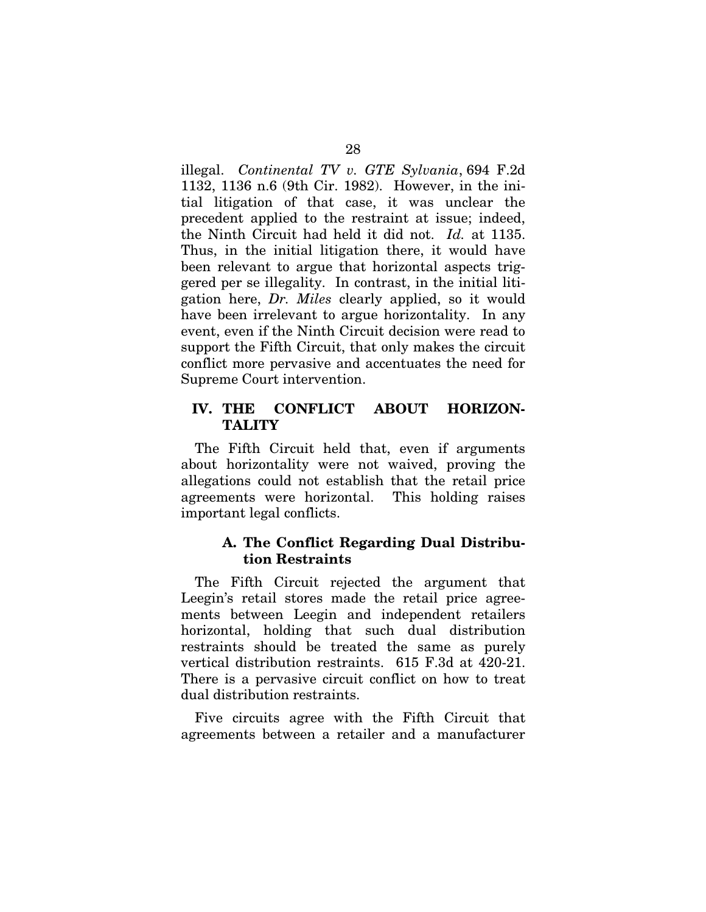illegal. *Continental TV v. GTE Sylvania*, 694 F.2d 1132, 1136 n.6 (9th Cir. 1982). However, in the initial litigation of that case, it was unclear the precedent applied to the restraint at issue; indeed, the Ninth Circuit had held it did not. *Id.* at 1135. Thus, in the initial litigation there, it would have been relevant to argue that horizontal aspects triggered per se illegality. In contrast, in the initial litigation here, *Dr. Miles* clearly applied, so it would have been irrelevant to argue horizontality. In any event, even if the Ninth Circuit decision were read to support the Fifth Circuit, that only makes the circuit conflict more pervasive and accentuates the need for Supreme Court intervention.

# **IV. THE CONFLICT ABOUT HORIZON-TALITY**

The Fifth Circuit held that, even if arguments about horizontality were not waived, proving the allegations could not establish that the retail price agreements were horizontal. This holding raises important legal conflicts.

# **A. The Conflict Regarding Dual Distribution Restraints**

The Fifth Circuit rejected the argument that Leegin's retail stores made the retail price agreements between Leegin and independent retailers horizontal, holding that such dual distribution restraints should be treated the same as purely vertical distribution restraints. 615 F.3d at 420-21. There is a pervasive circuit conflict on how to treat dual distribution restraints.

Five circuits agree with the Fifth Circuit that agreements between a retailer and a manufacturer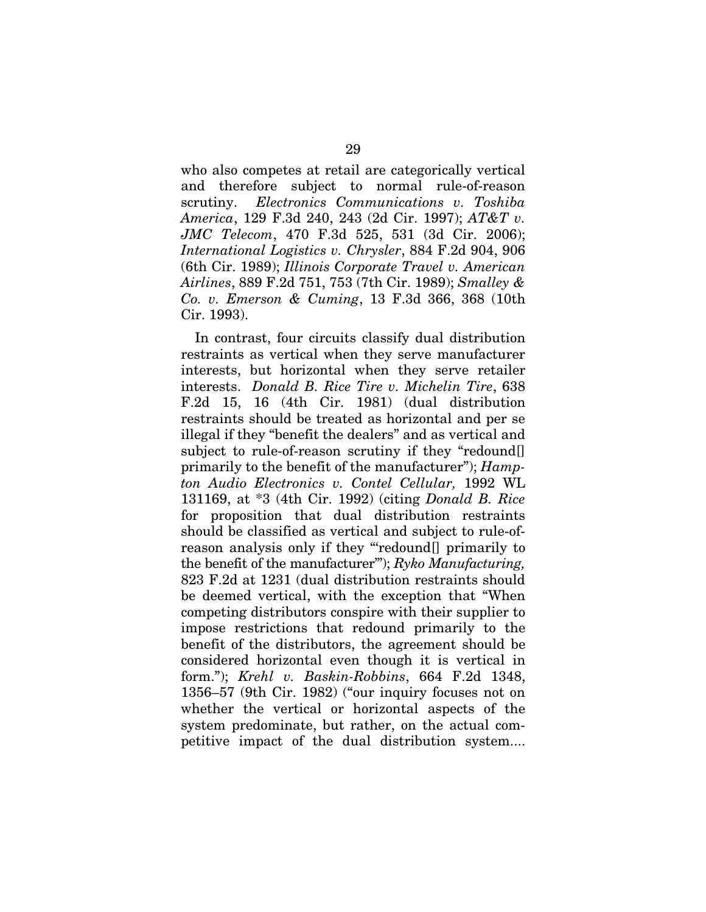who also competes at retail are categorically vertical and therefore subject to normal rule-of-reason scrutiny. *Electronics Communications v. Toshiba America*, 129 F.3d 240, 243 (2d Cir. 1997); *AT&T v. JMC Telecom*, 470 F.3d 525, 531 (3d Cir. 2006); *International Logistics v. Chrysler*, 884 F.2d 904, 906 (6th Cir. 1989); *Illinois Corporate Travel v. American Airlines*, 889 F.2d 751, 753 (7th Cir. 1989); *Smalley & Co. v. Emerson & Cuming*, 13 F.3d 366, 368 (10th Cir. 1993).

In contrast, four circuits classify dual distribution restraints as vertical when they serve manufacturer interests, but horizontal when they serve retailer interests. *Donald B. Rice Tire v. Michelin Tire*, 638 F.2d 15, 16 (4th Cir. 1981) (dual distribution restraints should be treated as horizontal and per se illegal if they "benefit the dealers" and as vertical and subject to rule-of-reason scrutiny if they "redound primarily to the benefit of the manufacturer"); *Hampton Audio Electronics v. Contel Cellular,* 1992 WL 131169, at \*3 (4th Cir. 1992) (citing *Donald B. Rice* for proposition that dual distribution restraints should be classified as vertical and subject to rule-ofreason analysis only if they "'redound[] primarily to the benefit of the manufacturer'"); *Ryko Manufacturing,* 823 F.2d at 1231 (dual distribution restraints should be deemed vertical, with the exception that "When competing distributors conspire with their supplier to impose restrictions that redound primarily to the benefit of the distributors, the agreement should be considered horizontal even though it is vertical in form."); *Krehl v. Baskin-Robbins*, 664 F.2d 1348, 1356–57 (9th Cir. 1982) ("our inquiry focuses not on whether the vertical or horizontal aspects of the system predominate, but rather, on the actual competitive impact of the dual distribution system....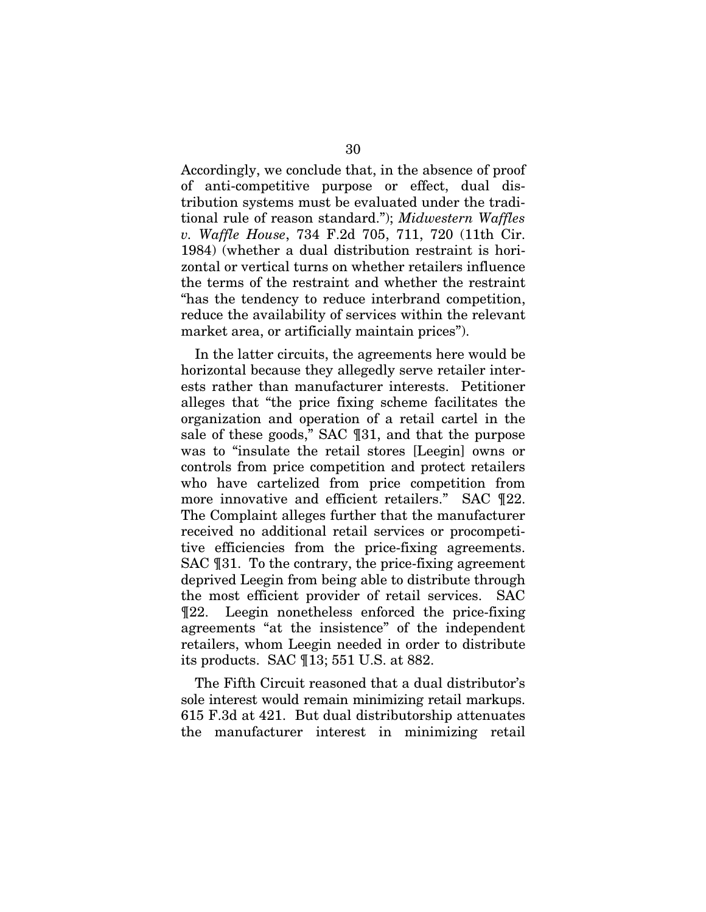Accordingly, we conclude that, in the absence of proof of anti-competitive purpose or effect, dual distribution systems must be evaluated under the traditional rule of reason standard."); *Midwestern Waffles v. Waffle House*, 734 F.2d 705, 711, 720 (11th Cir. 1984) (whether a dual distribution restraint is horizontal or vertical turns on whether retailers influence the terms of the restraint and whether the restraint "has the tendency to reduce interbrand competition, reduce the availability of services within the relevant market area, or artificially maintain prices").

In the latter circuits, the agreements here would be horizontal because they allegedly serve retailer interests rather than manufacturer interests. Petitioner alleges that "the price fixing scheme facilitates the organization and operation of a retail cartel in the sale of these goods," SAC ¶31, and that the purpose was to "insulate the retail stores [Leegin] owns or controls from price competition and protect retailers who have cartelized from price competition from more innovative and efficient retailers." SAC ¶22. The Complaint alleges further that the manufacturer received no additional retail services or procompetitive efficiencies from the price-fixing agreements. SAC ¶31. To the contrary, the price-fixing agreement deprived Leegin from being able to distribute through the most efficient provider of retail services. SAC ¶22. Leegin nonetheless enforced the price-fixing agreements "at the insistence" of the independent retailers, whom Leegin needed in order to distribute its products. SAC ¶13; 551 U.S. at 882.

The Fifth Circuit reasoned that a dual distributor's sole interest would remain minimizing retail markups. 615 F.3d at 421. But dual distributorship attenuates the manufacturer interest in minimizing retail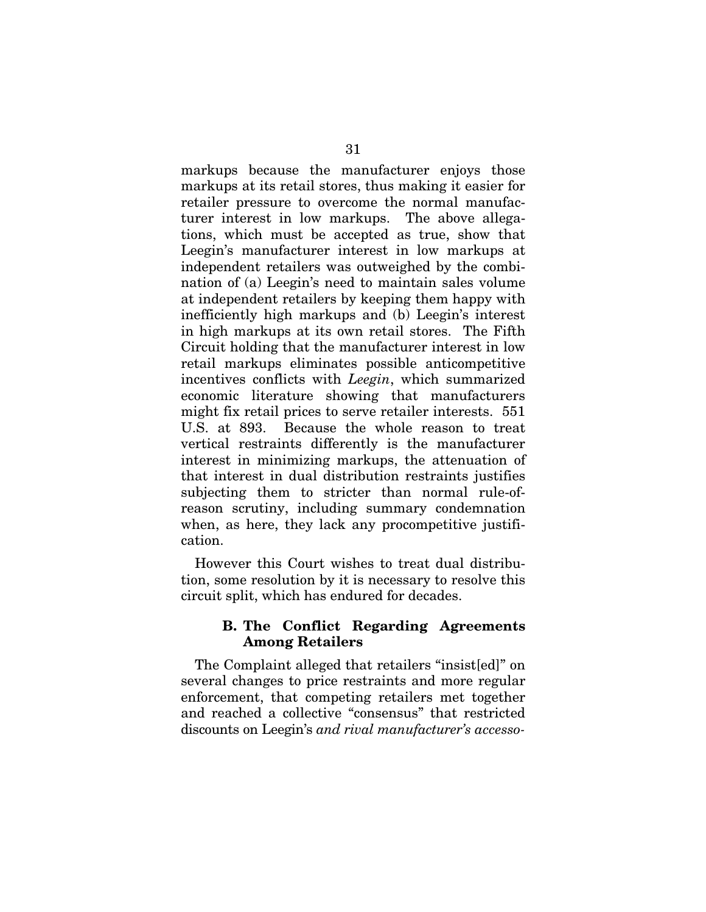markups because the manufacturer enjoys those markups at its retail stores, thus making it easier for retailer pressure to overcome the normal manufacturer interest in low markups. The above allegations, which must be accepted as true, show that Leegin's manufacturer interest in low markups at independent retailers was outweighed by the combination of (a) Leegin's need to maintain sales volume at independent retailers by keeping them happy with inefficiently high markups and (b) Leegin's interest in high markups at its own retail stores. The Fifth Circuit holding that the manufacturer interest in low retail markups eliminates possible anticompetitive incentives conflicts with *Leegin*, which summarized economic literature showing that manufacturers might fix retail prices to serve retailer interests. 551 U.S. at 893. Because the whole reason to treat vertical restraints differently is the manufacturer interest in minimizing markups, the attenuation of that interest in dual distribution restraints justifies subjecting them to stricter than normal rule-ofreason scrutiny, including summary condemnation when, as here, they lack any procompetitive justification.

However this Court wishes to treat dual distribution, some resolution by it is necessary to resolve this circuit split, which has endured for decades.

# **B. The Conflict Regarding Agreements Among Retailers**

The Complaint alleged that retailers "insist[ed]" on several changes to price restraints and more regular enforcement, that competing retailers met together and reached a collective "consensus" that restricted discounts on Leegin's *and rival manufacturer's accesso-*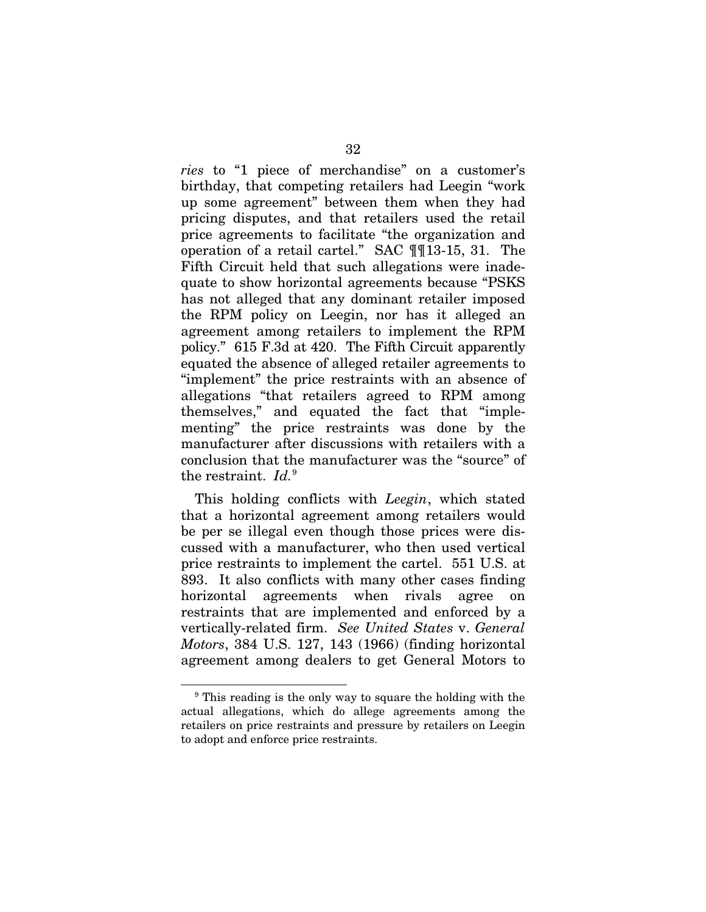*ries* to "1 piece of merchandise" on a customer's birthday, that competing retailers had Leegin "work up some agreement" between them when they had pricing disputes, and that retailers used the retail price agreements to facilitate "the organization and operation of a retail cartel." SAC ¶¶13-15, 31. The Fifth Circuit held that such allegations were inadequate to show horizontal agreements because "PSKS has not alleged that any dominant retailer imposed the RPM policy on Leegin, nor has it alleged an agreement among retailers to implement the RPM policy." 615 F.3d at 420. The Fifth Circuit apparently equated the absence of alleged retailer agreements to "implement" the price restraints with an absence of allegations "that retailers agreed to RPM among themselves," and equated the fact that "implementing" the price restraints was done by the manufacturer after discussions with retailers with a conclusion that the manufacturer was the "source" of the restraint. *Id.*<sup>[9](#page-42-0)</sup>

This holding conflicts with *Leegin*, which stated that a horizontal agreement among retailers would be per se illegal even though those prices were discussed with a manufacturer, who then used vertical price restraints to implement the cartel. 551 U.S. at 893. It also conflicts with many other cases finding horizontal agreements when rivals agree on restraints that are implemented and enforced by a vertically-related firm. *See United States* v. *General Motors*, 384 U.S. 127, 143 (1966) (finding horizontal agreement among dealers to get General Motors to

!!!!!!!!!!!!!!!!!!!!!!!!!!!!!!!!!!!!!!!!!!!!!!!!!!!!!!!!!!!!

<span id="page-42-0"></span><sup>&</sup>lt;sup>9</sup> This reading is the only way to square the holding with the actual allegations, which do allege agreements among the retailers on price restraints and pressure by retailers on Leegin to adopt and enforce price restraints.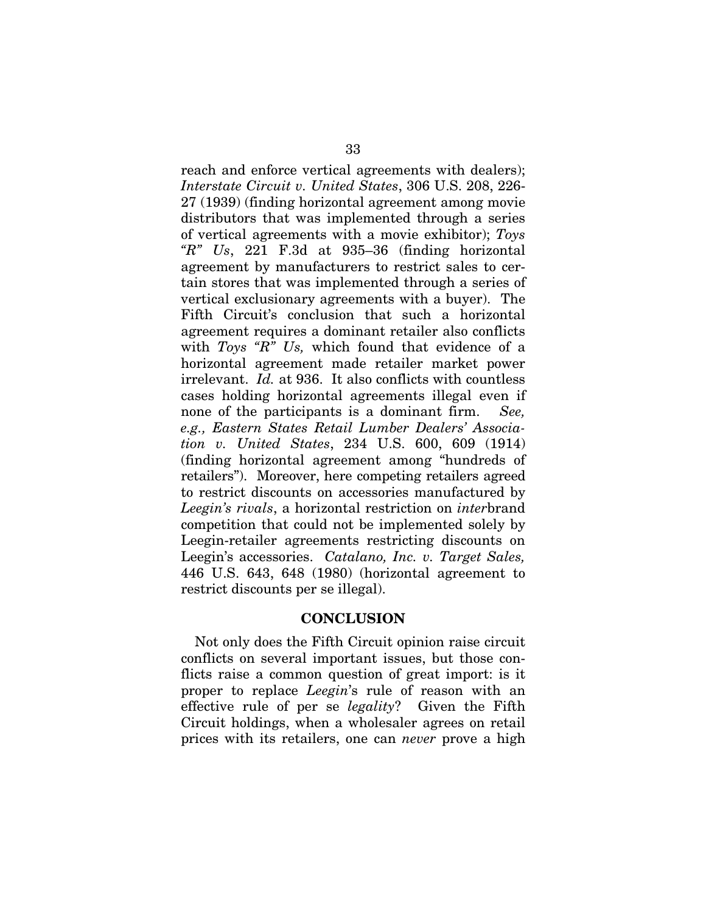reach and enforce vertical agreements with dealers); *Interstate Circuit v. United States*, 306 U.S. 208, 226- 27 (1939) (finding horizontal agreement among movie distributors that was implemented through a series of vertical agreements with a movie exhibitor); *Toys "R" Us*, 221 F.3d at 935–36 (finding horizontal agreement by manufacturers to restrict sales to certain stores that was implemented through a series of vertical exclusionary agreements with a buyer). The Fifth Circuit's conclusion that such a horizontal agreement requires a dominant retailer also conflicts with *Toys "R" Us,* which found that evidence of a horizontal agreement made retailer market power irrelevant. *Id.* at 936. It also conflicts with countless cases holding horizontal agreements illegal even if none of the participants is a dominant firm. *See, e.g., Eastern States Retail Lumber Dealers' Association v. United States*, 234 U.S. 600, 609 (1914) (finding horizontal agreement among "hundreds of retailers"). Moreover, here competing retailers agreed to restrict discounts on accessories manufactured by *Leegin's rivals*, a horizontal restriction on *inter*brand competition that could not be implemented solely by Leegin-retailer agreements restricting discounts on Leegin's accessories. *Catalano, Inc. v. Target Sales,* 446 U.S. 643, 648 (1980) (horizontal agreement to restrict discounts per se illegal).

### **CONCLUSION**

Not only does the Fifth Circuit opinion raise circuit conflicts on several important issues, but those conflicts raise a common question of great import: is it proper to replace *Leegin*'s rule of reason with an effective rule of per se *legality*? Given the Fifth Circuit holdings, when a wholesaler agrees on retail prices with its retailers, one can *never* prove a high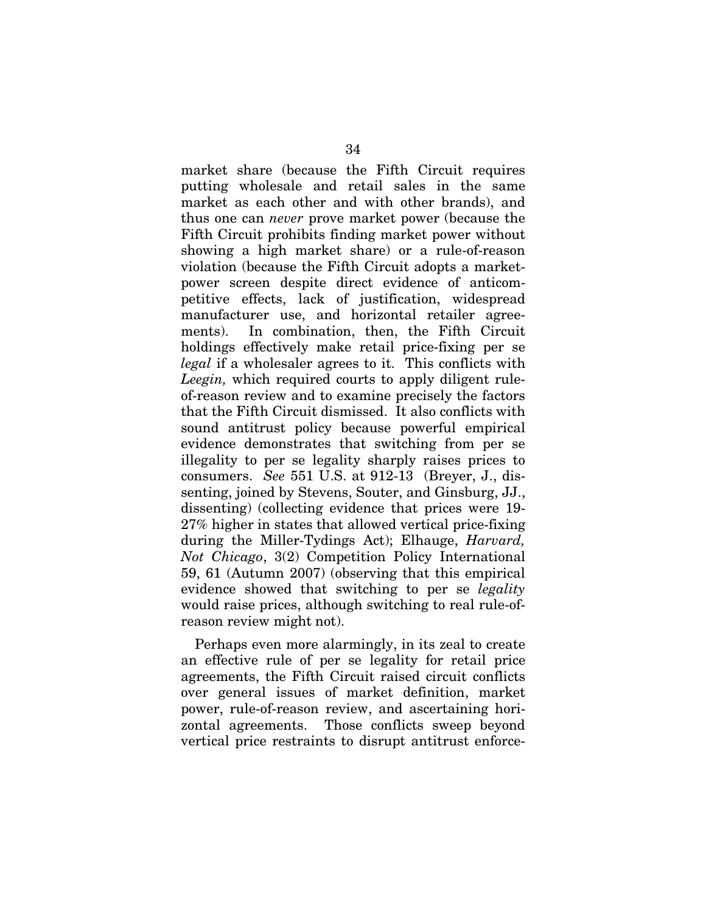market share (because the Fifth Circuit requires putting wholesale and retail sales in the same market as each other and with other brands), and thus one can *never* prove market power (because the Fifth Circuit prohibits finding market power without showing a high market share) or a rule-of-reason violation (because the Fifth Circuit adopts a marketpower screen despite direct evidence of anticompetitive effects, lack of justification, widespread manufacturer use, and horizontal retailer agreements). In combination, then, the Fifth Circuit holdings effectively make retail price-fixing per se *legal* if a wholesaler agrees to it. This conflicts with *Leegin,* which required courts to apply diligent ruleof-reason review and to examine precisely the factors that the Fifth Circuit dismissed. It also conflicts with sound antitrust policy because powerful empirical evidence demonstrates that switching from per se illegality to per se legality sharply raises prices to consumers. *See* 551 U.S. at 912-13 (Breyer, J., dissenting, joined by Stevens, Souter, and Ginsburg, JJ., dissenting) (collecting evidence that prices were 19- 27% higher in states that allowed vertical price-fixing during the Miller-Tydings Act); Elhauge, *Harvard, Not Chicago*, 3(2) Competition Policy International 59, 61 (Autumn 2007) (observing that this empirical evidence showed that switching to per se *legality* would raise prices, although switching to real rule-ofreason review might not).

Perhaps even more alarmingly, in its zeal to create an effective rule of per se legality for retail price agreements, the Fifth Circuit raised circuit conflicts over general issues of market definition, market power, rule-of-reason review, and ascertaining horizontal agreements. Those conflicts sweep beyond vertical price restraints to disrupt antitrust enforce-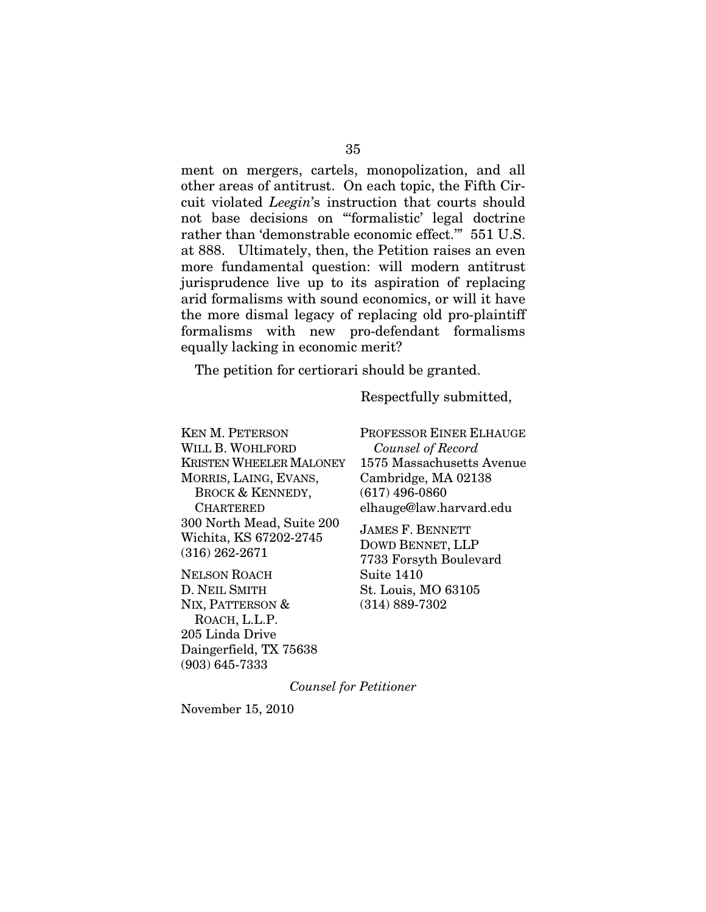ment on mergers, cartels, monopolization, and all other areas of antitrust. On each topic, the Fifth Circuit violated *Leegin*'s instruction that courts should not base decisions on "'formalistic' legal doctrine rather than 'demonstrable economic effect.'" 551 U.S. at 888. Ultimately, then, the Petition raises an even more fundamental question: will modern antitrust jurisprudence live up to its aspiration of replacing arid formalisms with sound economics, or will it have the more dismal legacy of replacing old pro-plaintiff formalisms with new pro-defendant formalisms equally lacking in economic merit?

The petition for certiorari should be granted.

Respectfully submitted,

KEN M. PETERSON WILL B. WOHLFORD KRISTEN WHEELER MALONEY MORRIS, LAING, EVANS, BROCK & KENNEDY, CHARTERED 300 North Mead, Suite 200 Wichita, KS 67202-2745 (316) 262-2671

NELSON ROACH D. NEIL SMITH NIX, PATTERSON & ROACH, L.L.P. 205 Linda Drive Daingerfield, TX 75638 (903) 645-7333

PROFESSOR EINER ELHAUGE *Counsel of Record* 1575 Massachusetts Avenue Cambridge, MA 02138 (617) 496-0860 elhauge@law.harvard.edu

JAMES F. BENNETT DOWD BENNET, LLP 7733 Forsyth Boulevard Suite 1410 St. Louis, MO 63105 (314) 889-7302

*Counsel for Petitioner*

November 15, 2010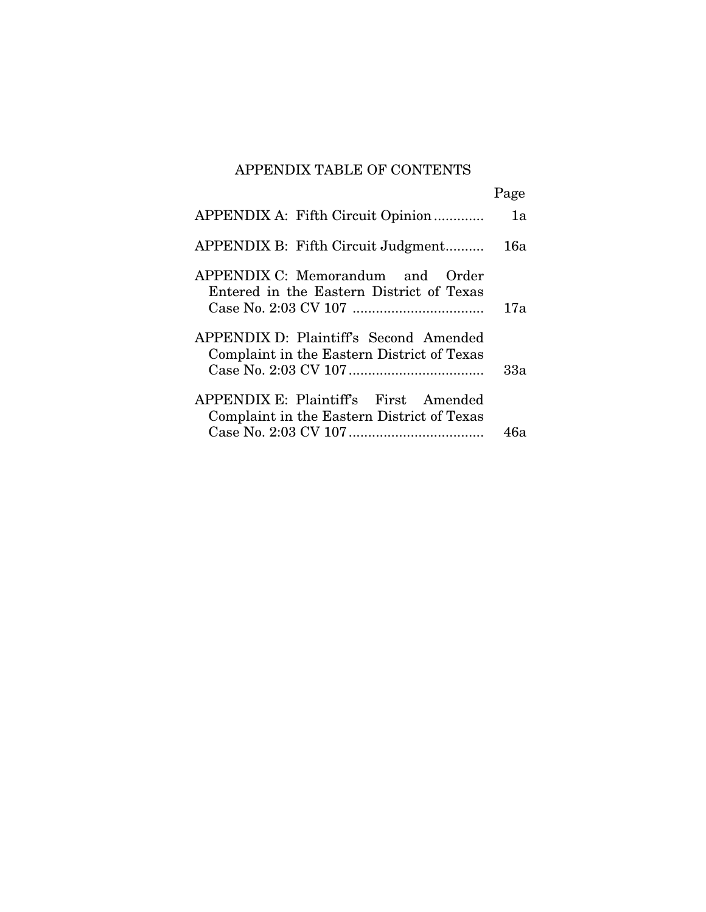# APPENDIX TABLE OF CONTENTS

|                                                                                      | Page |
|--------------------------------------------------------------------------------------|------|
| APPENDIX A: Fifth Circuit Opinion                                                    | 1a   |
| APPENDIX B: Fifth Circuit Judgment                                                   | 16a  |
| APPENDIX C: Memorandum and Order<br>Entered in the Eastern District of Texas         | 17a  |
| APPENDIX D: Plaintiff's Second Amended<br>Complaint in the Eastern District of Texas | 33а  |
| APPENDIX E: Plaintiff's First Amended<br>Complaint in the Eastern District of Texas  | 46a  |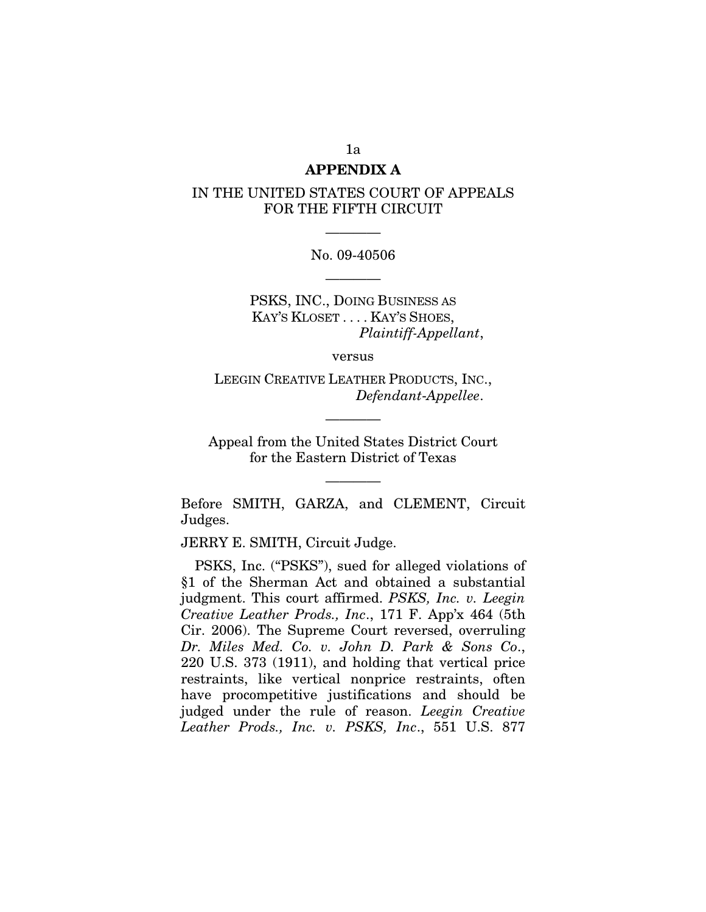### **APPENDIX A**

## IN THE UNITED STATES COURT OF APPEALS FOR THE FIFTH CIRCUIT

# No. 09-40506 ————

————

PSKS, INC., DOING BUSINESS AS KAY'S KLOSET . . . . KAY'S SHOES, *Plaintiff-Appellant*,

versus

LEEGIN CREATIVE LEATHER PRODUCTS, INC., *Defendant*-*Appellee*.

————

Appeal from the United States District Court for the Eastern District of Texas

————

Before SMITH, GARZA, and CLEMENT, Circuit Judges.

JERRY E. SMITH, Circuit Judge.

PSKS, Inc. ("PSKS"), sued for alleged violations of §1 of the Sherman Act and obtained a substantial judgment. This court affirmed. *PSKS, Inc. v. Leegin Creative Leather Prods., Inc*., 171 F. App'x 464 (5th Cir. 2006). The Supreme Court reversed, overruling *Dr. Miles Med. Co. v. John D. Park & Sons Co*., 220 U.S. 373 (1911), and holding that vertical price restraints, like vertical nonprice restraints, often have procompetitive justifications and should be judged under the rule of reason. *Leegin Creative Leather Prods., Inc. v. PSKS, Inc*., 551 U.S. 877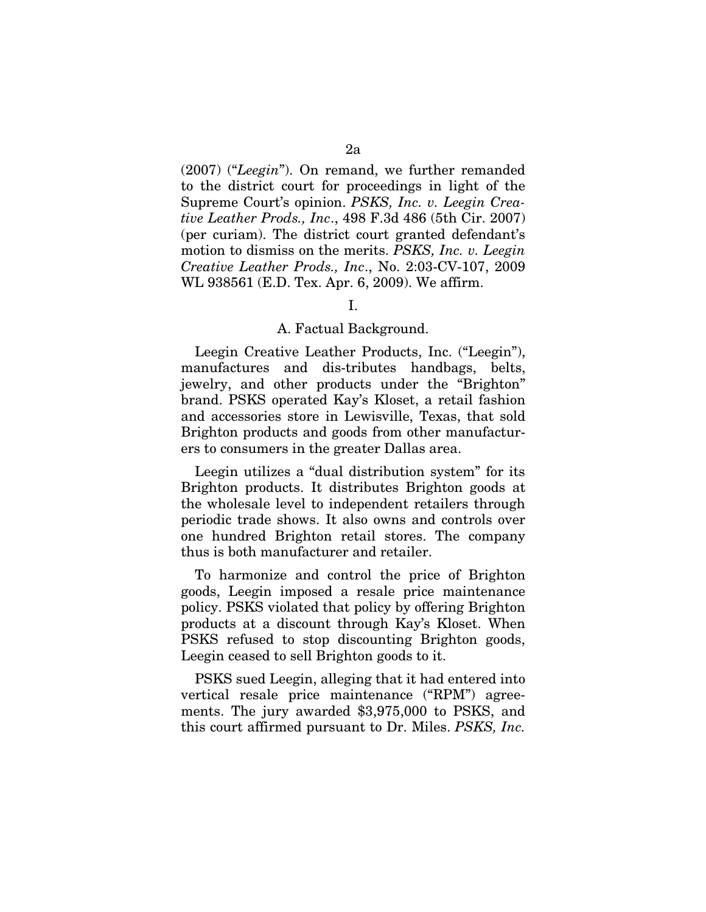(2007) ("*Leegin*"). On remand, we further remanded to the district court for proceedings in light of the Supreme Court's opinion. *PSKS, Inc. v. Leegin Creative Leather Prods., Inc*., 498 F.3d 486 (5th Cir. 2007) (per curiam). The district court granted defendant's motion to dismiss on the merits. *PSKS, Inc. v. Leegin Creative Leather Prods., Inc*., No. 2:03-CV-107, 2009 WL 938561 (E.D. Tex. Apr. 6, 2009). We affirm.

#### I.

#### A. Factual Background.

Leegin Creative Leather Products, Inc. ("Leegin"), manufactures and dis-tributes handbags, belts, jewelry, and other products under the "Brighton" brand. PSKS operated Kay's Kloset, a retail fashion and accessories store in Lewisville, Texas, that sold Brighton products and goods from other manufacturers to consumers in the greater Dallas area.

Leegin utilizes a "dual distribution system" for its Brighton products. It distributes Brighton goods at the wholesale level to independent retailers through periodic trade shows. It also owns and controls over one hundred Brighton retail stores. The company thus is both manufacturer and retailer.

To harmonize and control the price of Brighton goods, Leegin imposed a resale price maintenance policy. PSKS violated that policy by offering Brighton products at a discount through Kay's Kloset. When PSKS refused to stop discounting Brighton goods, Leegin ceased to sell Brighton goods to it.

PSKS sued Leegin, alleging that it had entered into vertical resale price maintenance ("RPM") agreements. The jury awarded \$3,975,000 to PSKS, and this court affirmed pursuant to Dr. Miles. *PSKS, Inc.*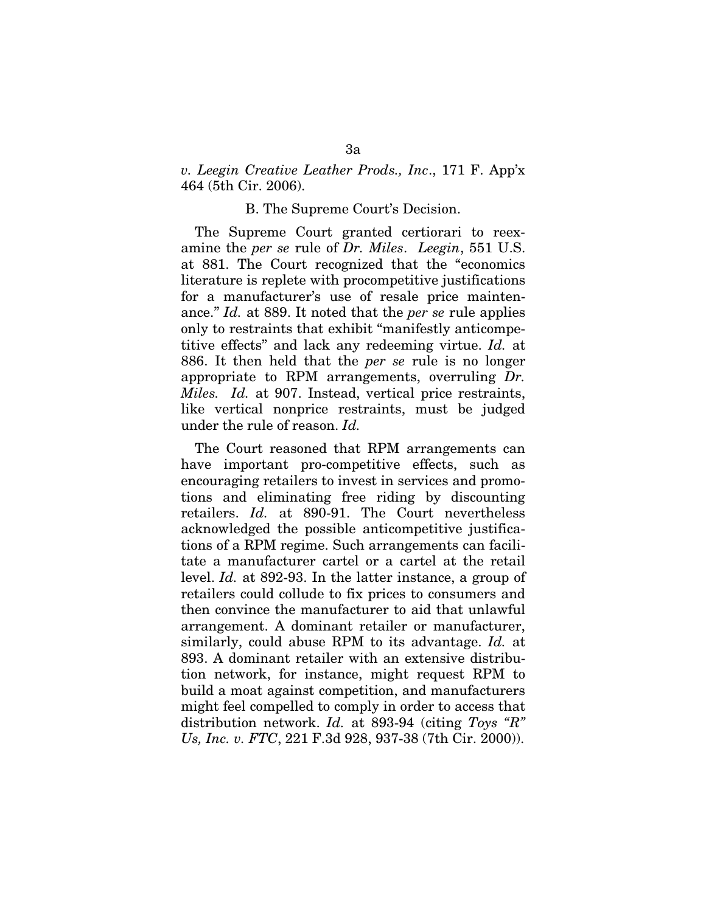*v. Leegin Creative Leather Prods., Inc*., 171 F. App'x 464 (5th Cir. 2006).

#### B. The Supreme Court's Decision.

The Supreme Court granted certiorari to reexamine the *per se* rule of *Dr. Miles*. *Leegin*, 551 U.S. at 881. The Court recognized that the "economics literature is replete with procompetitive justifications for a manufacturer's use of resale price maintenance." *Id.* at 889. It noted that the *per se* rule applies only to restraints that exhibit "manifestly anticompetitive effects" and lack any redeeming virtue. *Id.* at 886. It then held that the *per se* rule is no longer appropriate to RPM arrangements, overruling *Dr. Miles. Id.* at 907. Instead, vertical price restraints, like vertical nonprice restraints, must be judged under the rule of reason. *Id.*

The Court reasoned that RPM arrangements can have important pro-competitive effects, such as encouraging retailers to invest in services and promotions and eliminating free riding by discounting retailers. *Id.* at 890-91. The Court nevertheless acknowledged the possible anticompetitive justifications of a RPM regime. Such arrangements can facilitate a manufacturer cartel or a cartel at the retail level. *Id.* at 892-93. In the latter instance, a group of retailers could collude to fix prices to consumers and then convince the manufacturer to aid that unlawful arrangement. A dominant retailer or manufacturer, similarly, could abuse RPM to its advantage. *Id.* at 893. A dominant retailer with an extensive distribution network, for instance, might request RPM to build a moat against competition, and manufacturers might feel compelled to comply in order to access that distribution network. *Id.* at 893-94 (citing *Toys "R" Us, Inc. v. FTC*, 221 F.3d 928, 937-38 (7th Cir. 2000)).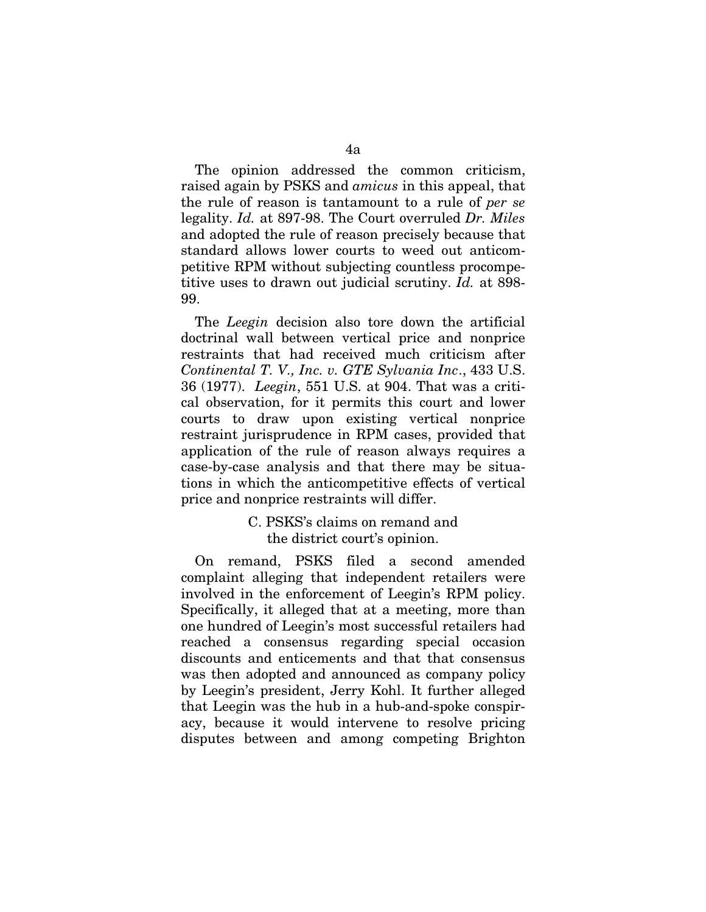The opinion addressed the common criticism, raised again by PSKS and *amicus* in this appeal, that the rule of reason is tantamount to a rule of *per se* legality. *Id.* at 897-98. The Court overruled *Dr. Miles* and adopted the rule of reason precisely because that standard allows lower courts to weed out anticompetitive RPM without subjecting countless procompetitive uses to drawn out judicial scrutiny. *Id.* at 898- 99.

The *Leegin* decision also tore down the artificial doctrinal wall between vertical price and nonprice restraints that had received much criticism after *Continental T. V., Inc. v. GTE Sylvania Inc*., 433 U.S. 36 (1977). *Leegin*, 551 U.S. at 904. That was a critical observation, for it permits this court and lower courts to draw upon existing vertical nonprice restraint jurisprudence in RPM cases, provided that application of the rule of reason always requires a case-by-case analysis and that there may be situations in which the anticompetitive effects of vertical price and nonprice restraints will differ.

## C. PSKS's claims on remand and the district court's opinion.

On remand, PSKS filed a second amended complaint alleging that independent retailers were involved in the enforcement of Leegin's RPM policy. Specifically, it alleged that at a meeting, more than one hundred of Leegin's most successful retailers had reached a consensus regarding special occasion discounts and enticements and that that consensus was then adopted and announced as company policy by Leegin's president, Jerry Kohl. It further alleged that Leegin was the hub in a hub-and-spoke conspiracy, because it would intervene to resolve pricing disputes between and among competing Brighton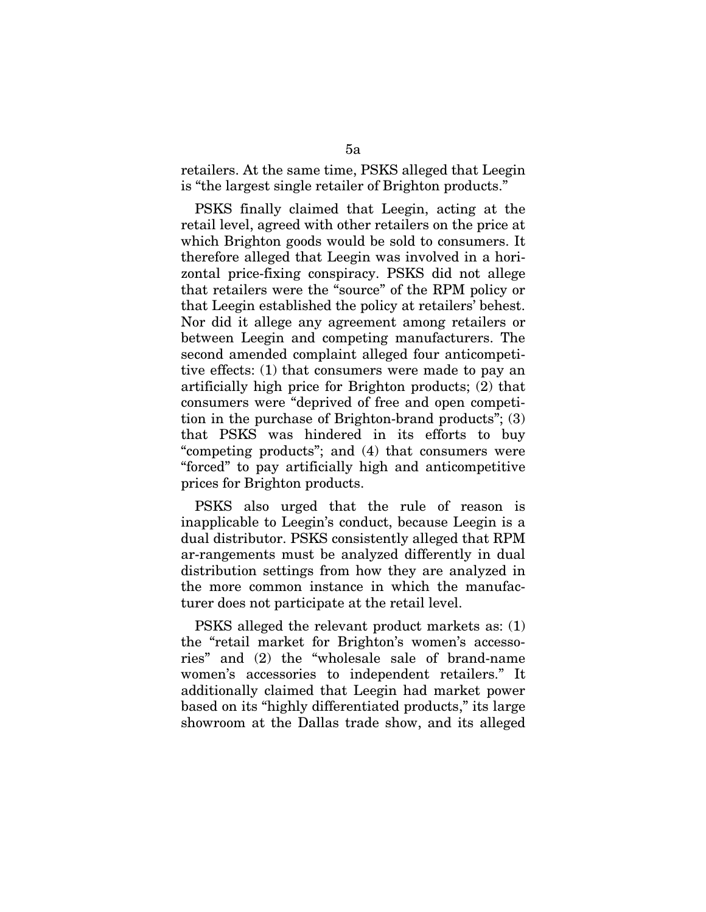retailers. At the same time, PSKS alleged that Leegin is "the largest single retailer of Brighton products."

PSKS finally claimed that Leegin, acting at the retail level, agreed with other retailers on the price at which Brighton goods would be sold to consumers. It therefore alleged that Leegin was involved in a horizontal price-fixing conspiracy. PSKS did not allege that retailers were the "source" of the RPM policy or that Leegin established the policy at retailers' behest. Nor did it allege any agreement among retailers or between Leegin and competing manufacturers. The second amended complaint alleged four anticompetitive effects: (1) that consumers were made to pay an artificially high price for Brighton products; (2) that consumers were "deprived of free and open competition in the purchase of Brighton-brand products"; (3) that PSKS was hindered in its efforts to buy "competing products"; and (4) that consumers were "forced" to pay artificially high and anticompetitive prices for Brighton products.

PSKS also urged that the rule of reason is inapplicable to Leegin's conduct, because Leegin is a dual distributor. PSKS consistently alleged that RPM ar-rangements must be analyzed differently in dual distribution settings from how they are analyzed in the more common instance in which the manufacturer does not participate at the retail level.

PSKS alleged the relevant product markets as: (1) the "retail market for Brighton's women's accessories" and (2) the "wholesale sale of brand-name women's accessories to independent retailers." It additionally claimed that Leegin had market power based on its "highly differentiated products," its large showroom at the Dallas trade show, and its alleged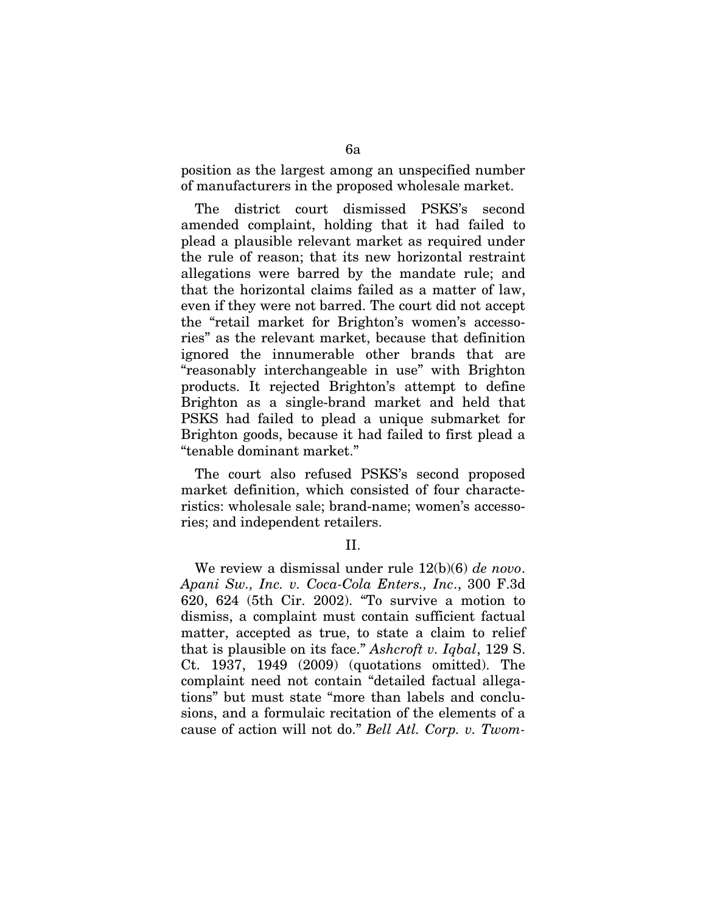position as the largest among an unspecified number of manufacturers in the proposed wholesale market.

The district court dismissed PSKS's second amended complaint, holding that it had failed to plead a plausible relevant market as required under the rule of reason; that its new horizontal restraint allegations were barred by the mandate rule; and that the horizontal claims failed as a matter of law, even if they were not barred. The court did not accept the "retail market for Brighton's women's accessories" as the relevant market, because that definition ignored the innumerable other brands that are "reasonably interchangeable in use" with Brighton products. It rejected Brighton's attempt to define Brighton as a single-brand market and held that PSKS had failed to plead a unique submarket for Brighton goods, because it had failed to first plead a "tenable dominant market."

The court also refused PSKS's second proposed market definition, which consisted of four characteristics: wholesale sale; brand-name; women's accessories; and independent retailers.

### II.

We review a dismissal under rule 12(b)(6) *de novo*. *Apani Sw., Inc. v. Coca-Cola Enters., Inc*., 300 F.3d 620, 624 (5th Cir. 2002). "To survive a motion to dismiss, a complaint must contain sufficient factual matter, accepted as true, to state a claim to relief that is plausible on its face." *Ashcroft v. Iqbal*, 129 S. Ct. 1937, 1949 (2009) (quotations omitted). The complaint need not contain "detailed factual allegations" but must state "more than labels and conclusions, and a formulaic recitation of the elements of a cause of action will not do." *Bell Atl. Corp. v. Twom-*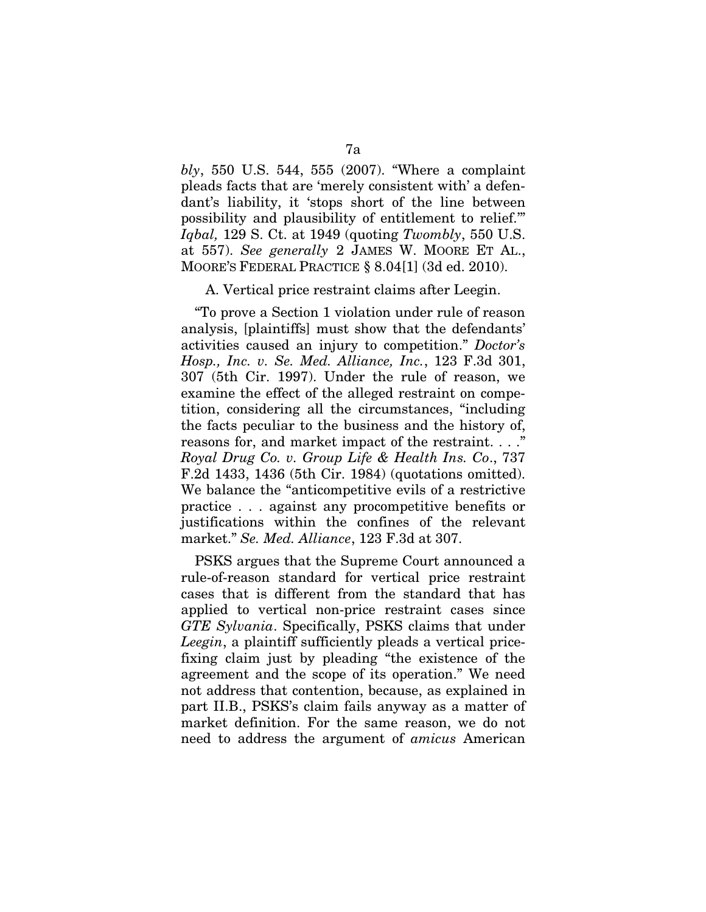*bly*, 550 U.S. 544, 555 (2007). "Where a complaint pleads facts that are 'merely consistent with' a defendant's liability, it 'stops short of the line between possibility and plausibility of entitlement to relief.'" *Iqbal,* 129 S. Ct. at 1949 (quoting *Twombly*, 550 U.S. at 557). *See generally* 2 JAMES W. MOORE ET AL., MOORE'S FEDERAL PRACTICE § 8.04[1] (3d ed. 2010).

#### A. Vertical price restraint claims after Leegin.

"To prove a Section 1 violation under rule of reason analysis, [plaintiffs] must show that the defendants' activities caused an injury to competition." *Doctor's Hosp., Inc. v. Se. Med. Alliance, Inc.*, 123 F.3d 301, 307 (5th Cir. 1997). Under the rule of reason, we examine the effect of the alleged restraint on competition, considering all the circumstances, "including the facts peculiar to the business and the history of, reasons for, and market impact of the restraint. . . ." *Royal Drug Co. v. Group Life & Health Ins. Co*., 737 F.2d 1433, 1436 (5th Cir. 1984) (quotations omitted). We balance the "anticompetitive evils of a restrictive practice . . . against any procompetitive benefits or justifications within the confines of the relevant market." *Se. Med. Alliance*, 123 F.3d at 307.

PSKS argues that the Supreme Court announced a rule-of-reason standard for vertical price restraint cases that is different from the standard that has applied to vertical non-price restraint cases since *GTE Sylvania*. Specifically, PSKS claims that under *Leegin*, a plaintiff sufficiently pleads a vertical pricefixing claim just by pleading "the existence of the agreement and the scope of its operation." We need not address that contention, because, as explained in part II.B., PSKS's claim fails anyway as a matter of market definition. For the same reason, we do not need to address the argument of *amicus* American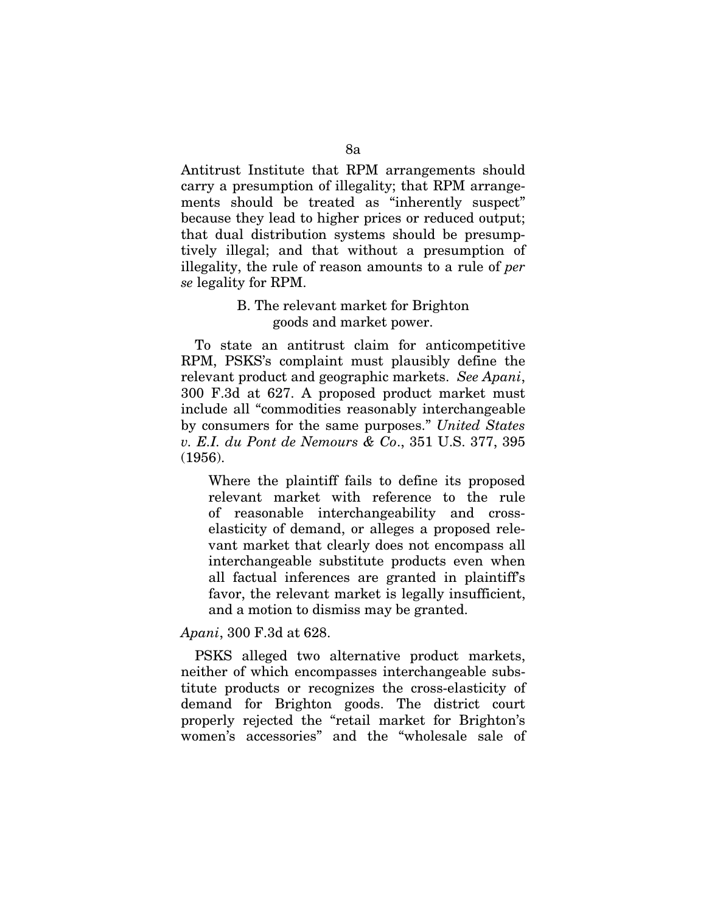Antitrust Institute that RPM arrangements should carry a presumption of illegality; that RPM arrangements should be treated as "inherently suspect" because they lead to higher prices or reduced output; that dual distribution systems should be presumptively illegal; and that without a presumption of illegality, the rule of reason amounts to a rule of *per se* legality for RPM.

## B. The relevant market for Brighton goods and market power.

To state an antitrust claim for anticompetitive RPM, PSKS's complaint must plausibly define the relevant product and geographic markets. *See Apani*, 300 F.3d at 627. A proposed product market must include all "commodities reasonably interchangeable by consumers for the same purposes." *United States v. E.I. du Pont de Nemours & Co*., 351 U.S. 377, 395 (1956).

Where the plaintiff fails to define its proposed relevant market with reference to the rule of reasonable interchangeability and crosselasticity of demand, or alleges a proposed relevant market that clearly does not encompass all interchangeable substitute products even when all factual inferences are granted in plaintiff's favor, the relevant market is legally insufficient, and a motion to dismiss may be granted.

*Apani*, 300 F.3d at 628.

PSKS alleged two alternative product markets, neither of which encompasses interchangeable substitute products or recognizes the cross-elasticity of demand for Brighton goods. The district court properly rejected the "retail market for Brighton's women's accessories" and the "wholesale sale of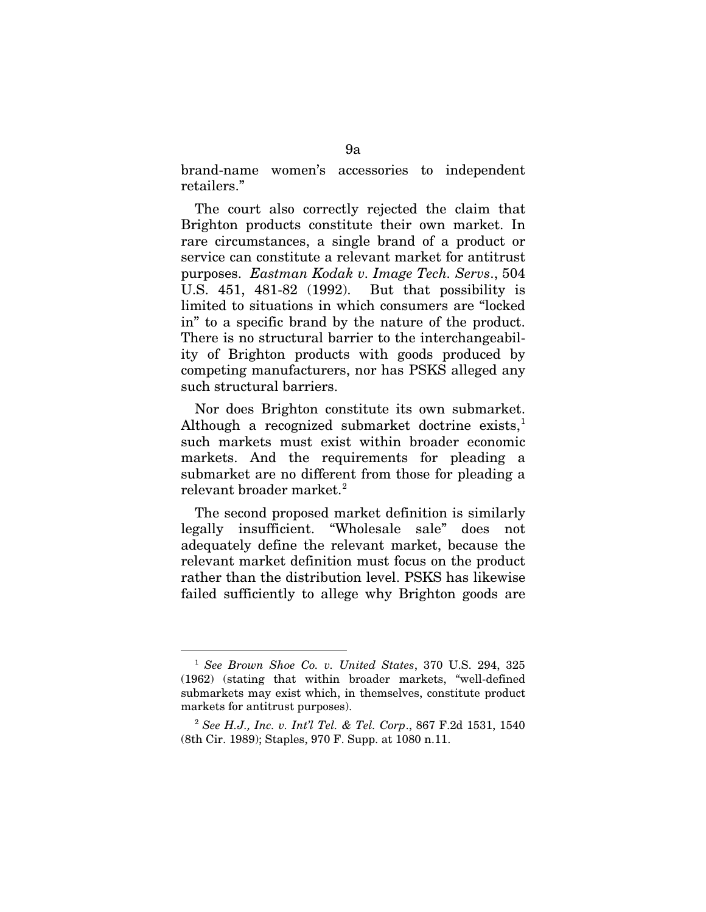brand-name women's accessories to independent retailers."

The court also correctly rejected the claim that Brighton products constitute their own market. In rare circumstances, a single brand of a product or service can constitute a relevant market for antitrust purposes. *Eastman Kodak v. Image Tech. Servs*., 504 U.S. 451, 481-82 (1992). But that possibility is limited to situations in which consumers are "locked in" to a specific brand by the nature of the product. There is no structural barrier to the interchangeability of Brighton products with goods produced by competing manufacturers, nor has PSKS alleged any such structural barriers.

Nor does Brighton constitute its own submarket. Although a recognized submarket doctrine exists, $<sup>1</sup>$  $<sup>1</sup>$  $<sup>1</sup>$ </sup> such markets must exist within broader economic markets. And the requirements for pleading a submarket are no different from those for pleading a  $r$ elevant broader market. $^{2}$  $^{2}$  $^{2}$ 

The second proposed market definition is similarly legally insufficient. "Wholesale sale" does not adequately define the relevant market, because the relevant market definition must focus on the product rather than the distribution level. PSKS has likewise failed sufficiently to allege why Brighton goods are

<span id="page-55-0"></span> <sup>1</sup> *See Brown Shoe Co. v. United States*, 370 U.S. 294, 325 (1962) (stating that within broader markets, "well-defined submarkets may exist which, in themselves, constitute product markets for antitrust purposes).

<span id="page-55-1"></span><sup>2</sup> *See H.J., Inc. v. Int'l Tel. & Tel. Corp*., 867 F.2d 1531, 1540 (8th Cir. 1989); Staples, 970 F. Supp. at 1080 n.11.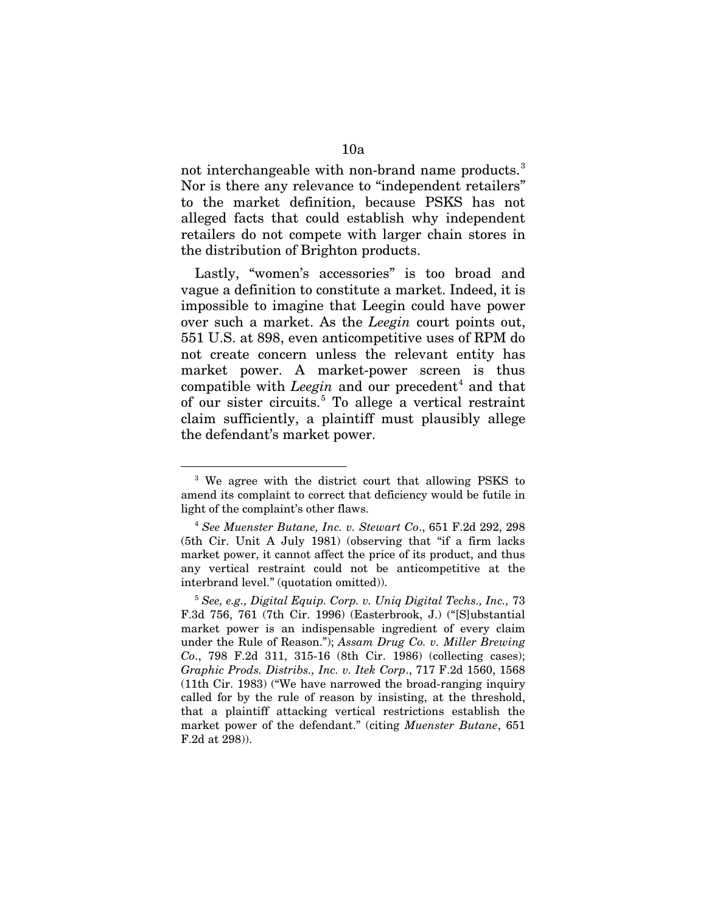not interchangeable with non-brand name products.<sup>[3](#page-56-0)</sup> Nor is there any relevance to "independent retailers" to the market definition, because PSKS has not alleged facts that could establish why independent retailers do not compete with larger chain stores in the distribution of Brighton products.

Lastly, "women's accessories" is too broad and vague a definition to constitute a market. Indeed, it is impossible to imagine that Leegin could have power over such a market. As the *Leegin* court points out, 551 U.S. at 898, even anticompetitive uses of RPM do not create concern unless the relevant entity has market power. A market-power screen is thus compatible with *Leegin* and our precedent [4](#page-56-1) and that of our sister circuits.<sup>[5](#page-56-2)</sup> To allege a vertical restraint claim sufficiently, a plaintiff must plausibly allege the defendant's market power.

<span id="page-56-0"></span><sup>&</sup>lt;sup>3</sup> We agree with the district court that allowing PSKS to amend its complaint to correct that deficiency would be futile in light of the complaint's other flaws.

<span id="page-56-1"></span><sup>4</sup> *See Muenster Butane, Inc. v. Stewart Co*., 651 F.2d 292, 298 (5th Cir. Unit A July 1981) (observing that "if a firm lacks market power, it cannot affect the price of its product, and thus any vertical restraint could not be anticompetitive at the interbrand level." (quotation omitted)).

<span id="page-56-2"></span><sup>5</sup> *See, e.g., Digital Equip. Corp. v. Uniq Digital Techs., Inc.,* 73 F.3d 756, 761 (7th Cir. 1996) (Easterbrook, J.) ("[S]ubstantial market power is an indispensable ingredient of every claim under the Rule of Reason."); *Assam Drug Co. v. Miller Brewing Co*., 798 F.2d 311, 315-16 (8th Cir. 1986) (collecting cases); *Graphic Prods. Distribs., Inc. v. Itek Corp*., 717 F.2d 1560, 1568 (11th Cir. 1983) ("We have narrowed the broad-ranging inquiry called for by the rule of reason by insisting, at the threshold, that a plaintiff attacking vertical restrictions establish the market power of the defendant." (citing *Muenster Butane*, 651 F.2d at 298)).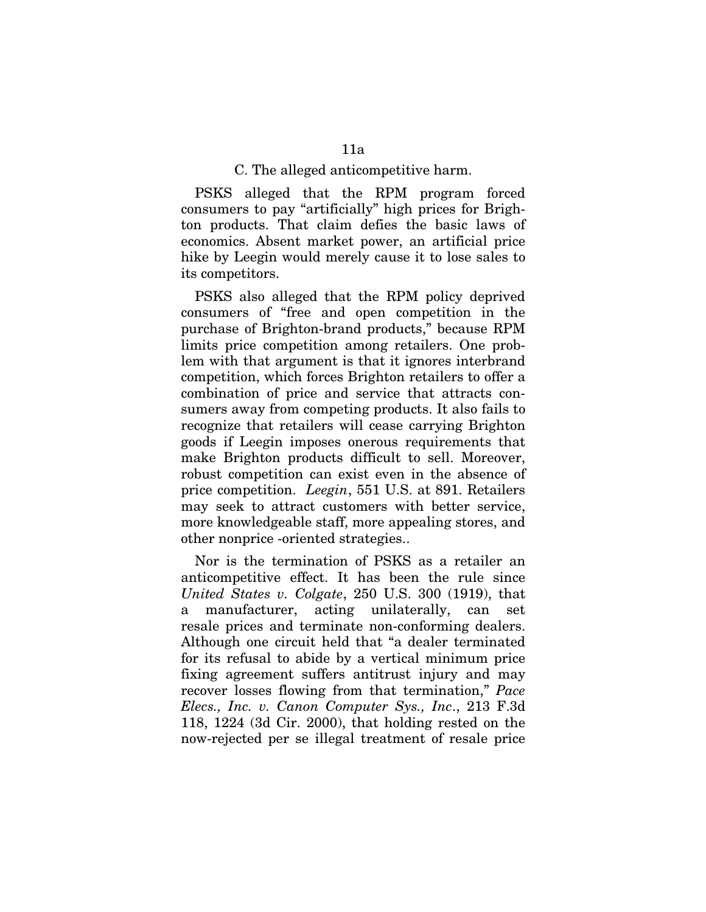#### C. The alleged anticompetitive harm.

PSKS alleged that the RPM program forced consumers to pay "artificially" high prices for Brighton products. That claim defies the basic laws of economics. Absent market power, an artificial price hike by Leegin would merely cause it to lose sales to its competitors.

PSKS also alleged that the RPM policy deprived consumers of "free and open competition in the purchase of Brighton-brand products," because RPM limits price competition among retailers. One problem with that argument is that it ignores interbrand competition, which forces Brighton retailers to offer a combination of price and service that attracts consumers away from competing products. It also fails to recognize that retailers will cease carrying Brighton goods if Leegin imposes onerous requirements that make Brighton products difficult to sell. Moreover, robust competition can exist even in the absence of price competition. *Leegin*, 551 U.S. at 891. Retailers may seek to attract customers with better service, more knowledgeable staff, more appealing stores, and other nonprice -oriented strategies..

Nor is the termination of PSKS as a retailer an anticompetitive effect. It has been the rule since *United States v. Colgate*, 250 U.S. 300 (1919), that a manufacturer, acting unilaterally, can set resale prices and terminate non-conforming dealers. Although one circuit held that "a dealer terminated for its refusal to abide by a vertical minimum price fixing agreement suffers antitrust injury and may recover losses flowing from that termination," *Pace Elecs., Inc. v. Canon Computer Sys., Inc*., 213 F.3d 118, 1224 (3d Cir. 2000), that holding rested on the now-rejected per se illegal treatment of resale price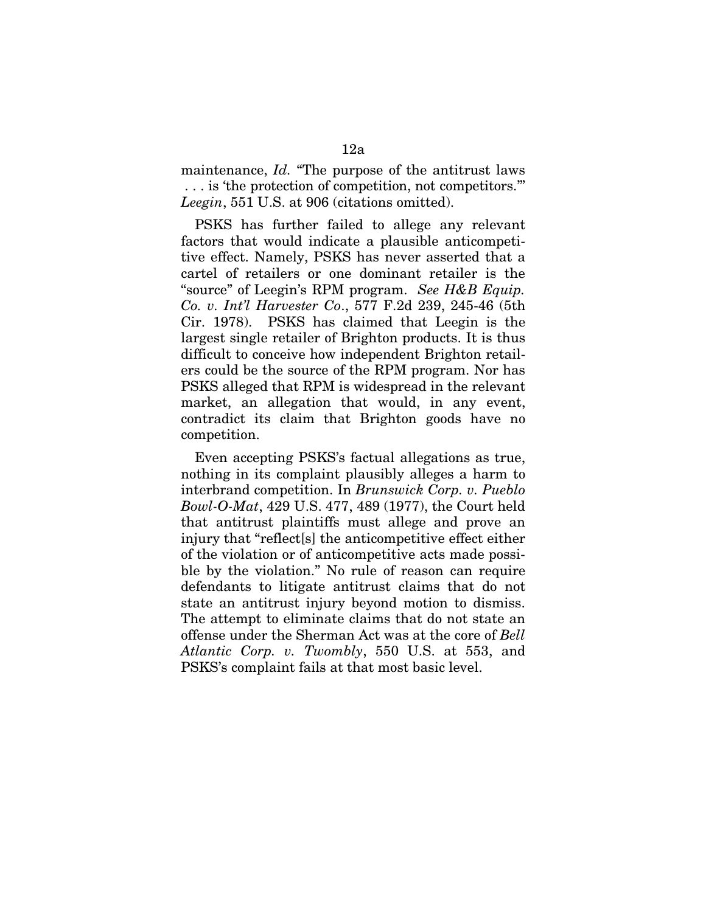maintenance, *Id.* "The purpose of the antitrust laws . . . is 'the protection of competition, not competitors.'" *Leegin*, 551 U.S. at 906 (citations omitted).

PSKS has further failed to allege any relevant factors that would indicate a plausible anticompetitive effect. Namely, PSKS has never asserted that a cartel of retailers or one dominant retailer is the "source" of Leegin's RPM program. *See H&B Equip. Co. v. Int'l Harvester Co*., 577 F.2d 239, 245-46 (5th Cir. 1978). PSKS has claimed that Leegin is the largest single retailer of Brighton products. It is thus difficult to conceive how independent Brighton retailers could be the source of the RPM program. Nor has PSKS alleged that RPM is widespread in the relevant market, an allegation that would, in any event, contradict its claim that Brighton goods have no competition.

Even accepting PSKS's factual allegations as true, nothing in its complaint plausibly alleges a harm to interbrand competition. In *Brunswick Corp. v. Pueblo Bowl-O-Mat*, 429 U.S. 477, 489 (1977), the Court held that antitrust plaintiffs must allege and prove an injury that "reflect[s] the anticompetitive effect either of the violation or of anticompetitive acts made possible by the violation." No rule of reason can require defendants to litigate antitrust claims that do not state an antitrust injury beyond motion to dismiss. The attempt to eliminate claims that do not state an offense under the Sherman Act was at the core of *Bell Atlantic Corp. v. Twombly*, 550 U.S. at 553, and PSKS's complaint fails at that most basic level.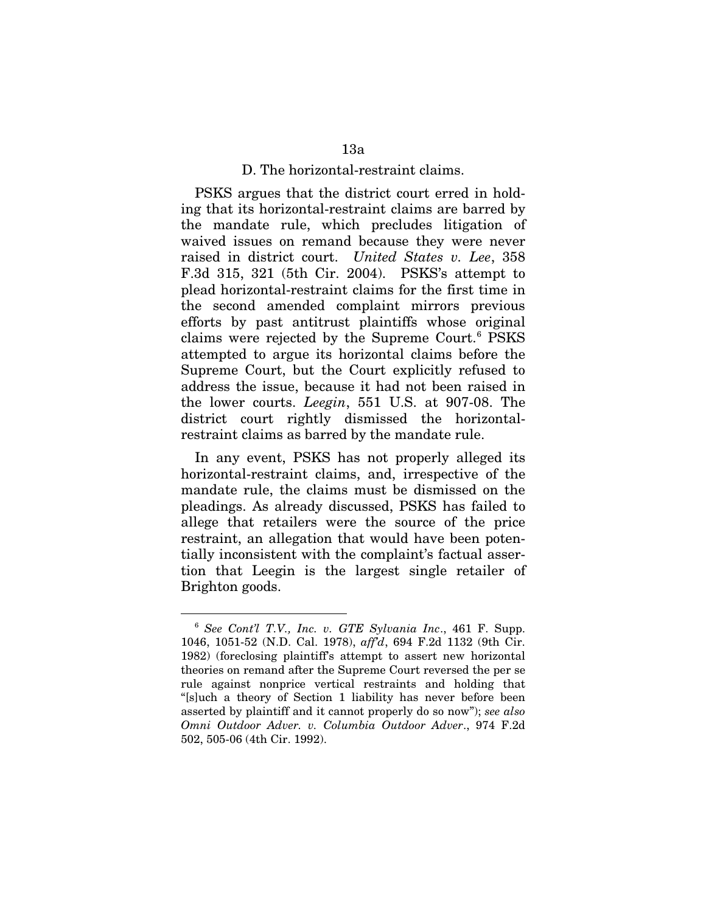#### D. The horizontal-restraint claims.

PSKS argues that the district court erred in holding that its horizontal-restraint claims are barred by the mandate rule, which precludes litigation of waived issues on remand because they were never raised in district court. *United States v. Lee*, 358 F.3d 315, 321 (5th Cir. 2004). PSKS's attempt to plead horizontal-restraint claims for the first time in the second amended complaint mirrors previous efforts by past antitrust plaintiffs whose original claims were rejected by the Supreme Court.<sup>[6](#page-59-0)</sup> PSKS attempted to argue its horizontal claims before the Supreme Court, but the Court explicitly refused to address the issue, because it had not been raised in the lower courts. *Leegin*, 551 U.S. at 907-08. The district court rightly dismissed the horizontalrestraint claims as barred by the mandate rule.

In any event, PSKS has not properly alleged its horizontal-restraint claims, and, irrespective of the mandate rule, the claims must be dismissed on the pleadings. As already discussed, PSKS has failed to allege that retailers were the source of the price restraint, an allegation that would have been potentially inconsistent with the complaint's factual assertion that Leegin is the largest single retailer of Brighton goods.

<span id="page-59-0"></span> <sup>6</sup> *See Cont'l T.V., Inc. v. GTE Sylvania Inc*., 461 F. Supp. 1046, 1051-52 (N.D. Cal. 1978), *aff'd*, 694 F.2d 1132 (9th Cir. 1982) (foreclosing plaintiff's attempt to assert new horizontal theories on remand after the Supreme Court reversed the per se rule against nonprice vertical restraints and holding that "[s]uch a theory of Section 1 liability has never before been asserted by plaintiff and it cannot properly do so now"); *see also Omni Outdoor Adver. v. Columbia Outdoor Adver*., 974 F.2d 502, 505-06 (4th Cir. 1992).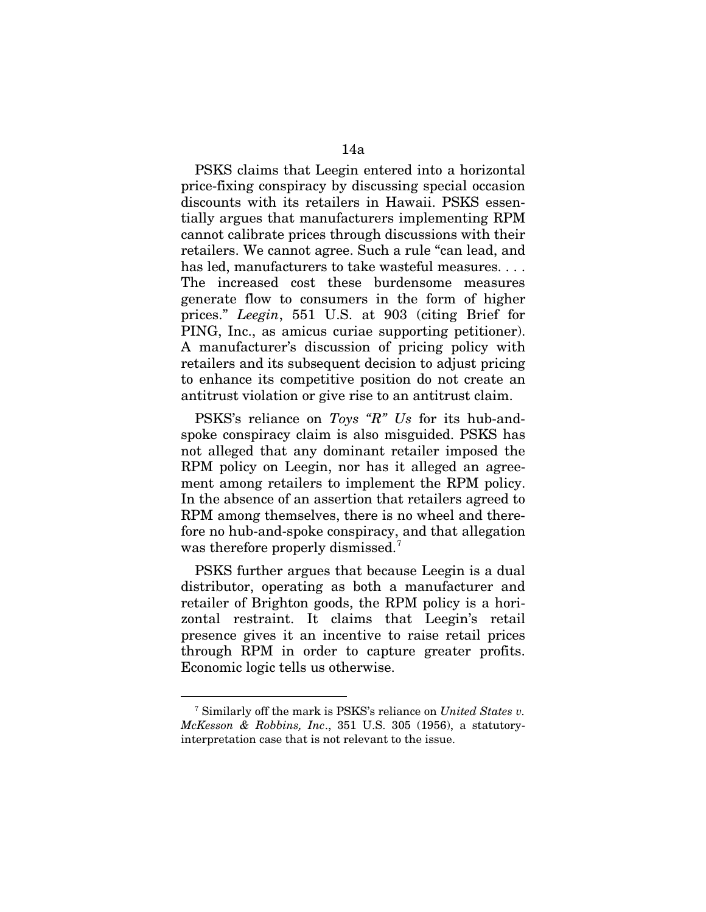PSKS claims that Leegin entered into a horizontal price-fixing conspiracy by discussing special occasion discounts with its retailers in Hawaii. PSKS essentially argues that manufacturers implementing RPM cannot calibrate prices through discussions with their retailers. We cannot agree. Such a rule "can lead, and has led, manufacturers to take wasteful measures.... The increased cost these burdensome measures generate flow to consumers in the form of higher prices." *Leegin*, 551 U.S. at 903 (citing Brief for PING, Inc., as amicus curiae supporting petitioner). A manufacturer's discussion of pricing policy with retailers and its subsequent decision to adjust pricing to enhance its competitive position do not create an antitrust violation or give rise to an antitrust claim.

PSKS's reliance on *Toys "R" Us* for its hub-andspoke conspiracy claim is also misguided. PSKS has not alleged that any dominant retailer imposed the RPM policy on Leegin, nor has it alleged an agreement among retailers to implement the RPM policy. In the absence of an assertion that retailers agreed to RPM among themselves, there is no wheel and therefore no hub-and-spoke conspiracy, and that allegation was therefore properly dismissed.<sup>[7](#page-60-0)</sup>

PSKS further argues that because Leegin is a dual distributor, operating as both a manufacturer and retailer of Brighton goods, the RPM policy is a horizontal restraint. It claims that Leegin's retail presence gives it an incentive to raise retail prices through RPM in order to capture greater profits. Economic logic tells us otherwise.

<span id="page-60-0"></span> <sup>7</sup> Similarly off the mark is PSKS's reliance on *United States v. McKesson & Robbins, Inc*., 351 U.S. 305 (1956), a statutoryinterpretation case that is not relevant to the issue.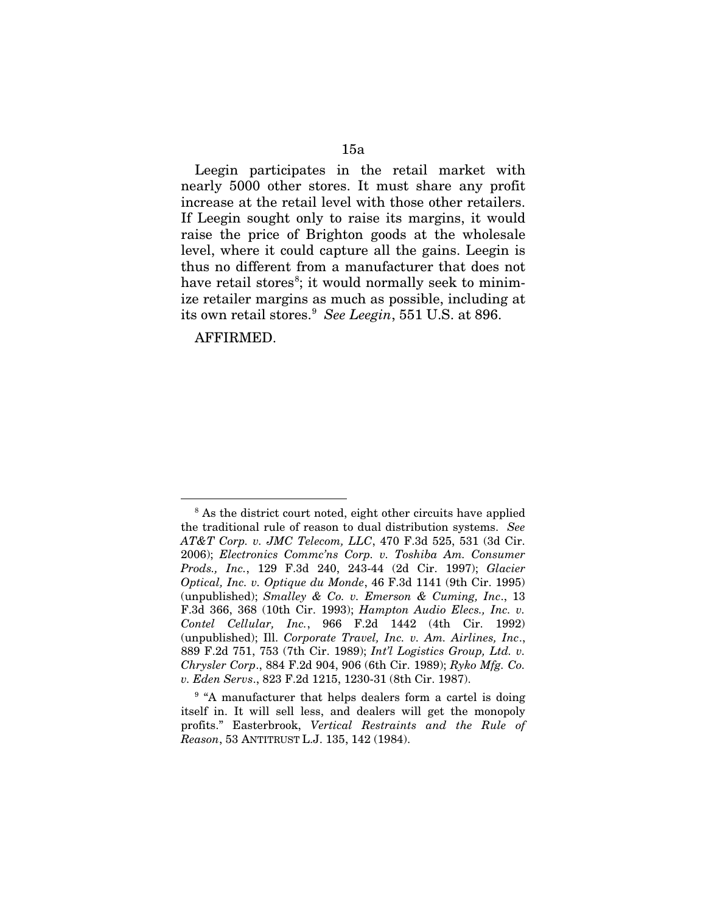Leegin participates in the retail market with nearly 5000 other stores. It must share any profit increase at the retail level with those other retailers. If Leegin sought only to raise its margins, it would raise the price of Brighton goods at the wholesale level, where it could capture all the gains. Leegin is thus no different from a manufacturer that does not have retail stores<sup>[8](#page-61-0)</sup>; it would normally seek to minimize retailer margins as much as possible, including at its own retail stores.[9](#page-61-1) *See Leegin*, 551 U.S. at 896.

AFFIRMED.

<span id="page-61-0"></span><sup>&</sup>lt;sup>8</sup> As the district court noted, eight other circuits have applied the traditional rule of reason to dual distribution systems. *See AT&T Corp. v. JMC Telecom, LLC*, 470 F.3d 525, 531 (3d Cir. 2006); *Electronics Commc'ns Corp. v. Toshiba Am. Consumer Prods., Inc.*, 129 F.3d 240, 243-44 (2d Cir. 1997); *Glacier Optical, Inc. v. Optique du Monde*, 46 F.3d 1141 (9th Cir. 1995) (unpublished); *Smalley & Co. v. Emerson & Cuming, Inc*., 13 F.3d 366, 368 (10th Cir. 1993); *Hampton Audio Elecs., Inc. v. Contel Cellular, Inc.*, 966 F.2d 1442 (4th Cir. 1992) (unpublished); Ill. *Corporate Travel, Inc. v. Am. Airlines, Inc*., 889 F.2d 751, 753 (7th Cir. 1989); *Int'l Logistics Group, Ltd. v. Chrysler Corp*., 884 F.2d 904, 906 (6th Cir. 1989); *Ryko Mfg. Co. v. Eden Servs*., 823 F.2d 1215, 1230-31 (8th Cir. 1987).

<span id="page-61-1"></span><sup>&</sup>lt;sup>9</sup> "A manufacturer that helps dealers form a cartel is doing itself in. It will sell less, and dealers will get the monopoly profits." Easterbrook, *Vertical Restraints and the Rule of Reason*, 53 ANTITRUST L.J. 135, 142 (1984).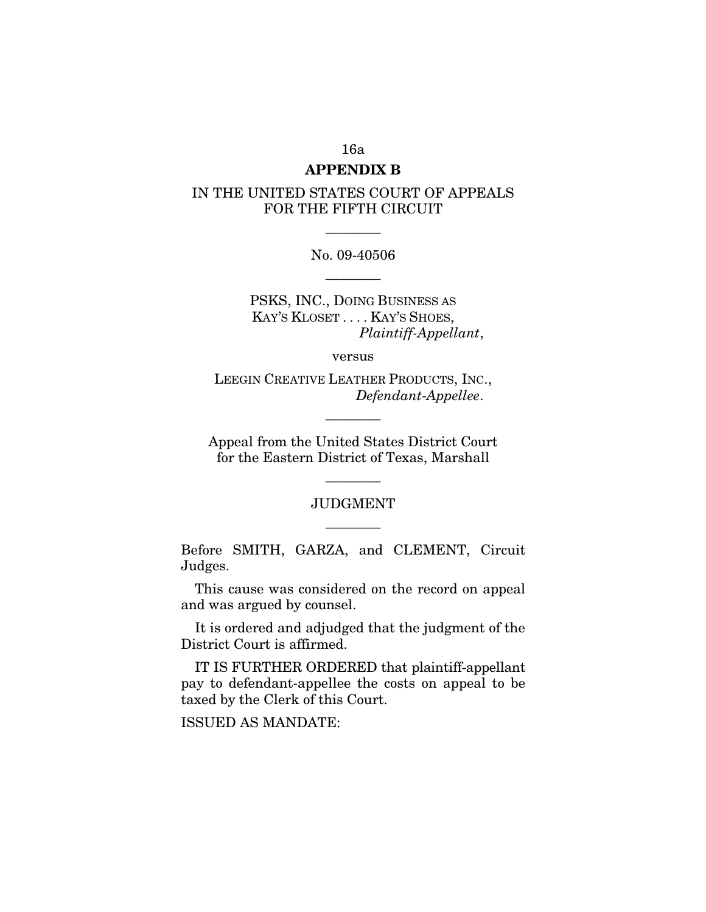# 16a

## **APPENDIX B**

## IN THE UNITED STATES COURT OF APPEALS FOR THE FIFTH CIRCUIT

No. 09-40506 ————

————

PSKS, INC., DOING BUSINESS AS KAY'S KLOSET . . . . KAY'S SHOES, *Plaintiff-Appellant*,

versus

LEEGIN CREATIVE LEATHER PRODUCTS, INC., *Defendant*-*Appellee*.

————

Appeal from the United States District Court for the Eastern District of Texas, Marshall

# JUDGMENT ————

————

Before SMITH, GARZA, and CLEMENT, Circuit Judges.

This cause was considered on the record on appeal and was argued by counsel.

It is ordered and adjudged that the judgment of the District Court is affirmed.

IT IS FURTHER ORDERED that plaintiff-appellant pay to defendant-appellee the costs on appeal to be taxed by the Clerk of this Court.

ISSUED AS MANDATE: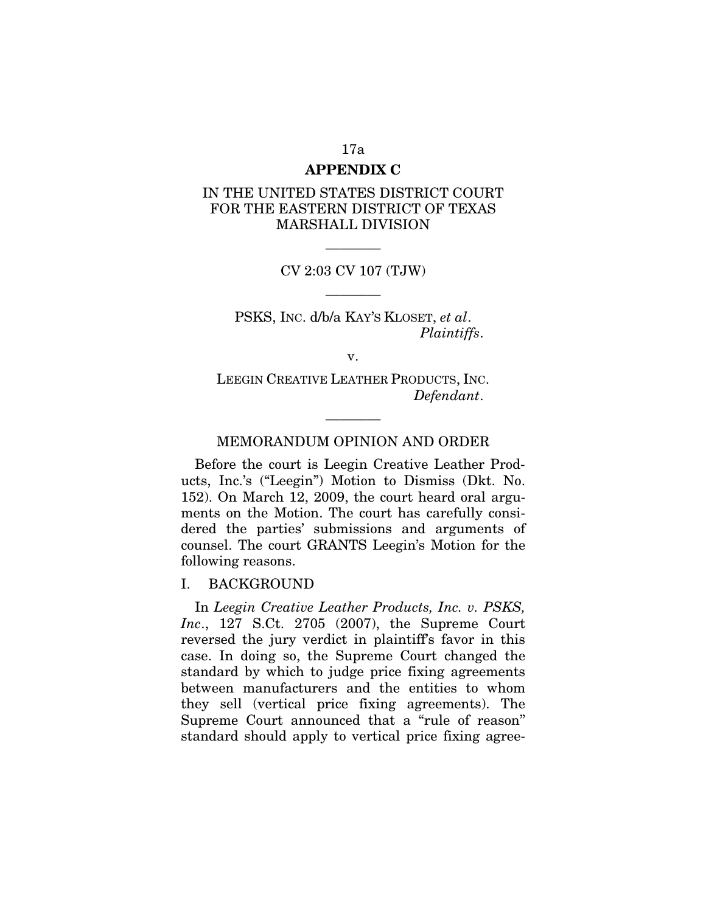# 17a **APPENDIX C**

# IN THE UNITED STATES DISTRICT COURT FOR THE EASTERN DISTRICT OF TEXAS MARSHALL DIVISION

———— CV 2:03 CV 107 (TJW)

————

PSKS, INC. d/b/a KAY'S KLOSET, *et al*. *Plaintiffs*.

v.

LEEGIN CREATIVE LEATHER PRODUCTS, INC. *Defendant*.

### MEMORANDUM OPINION AND ORDER

————

Before the court is Leegin Creative Leather Products, Inc.'s ("Leegin") Motion to Dismiss (Dkt. No. 152). On March 12, 2009, the court heard oral arguments on the Motion. The court has carefully considered the parties' submissions and arguments of counsel. The court GRANTS Leegin's Motion for the following reasons.

#### I. BACKGROUND

In *Leegin Creative Leather Products, Inc. v. PSKS, Inc*., 127 S.Ct. 2705 (2007), the Supreme Court reversed the jury verdict in plaintiff's favor in this case. In doing so, the Supreme Court changed the standard by which to judge price fixing agreements between manufacturers and the entities to whom they sell (vertical price fixing agreements). The Supreme Court announced that a "rule of reason" standard should apply to vertical price fixing agree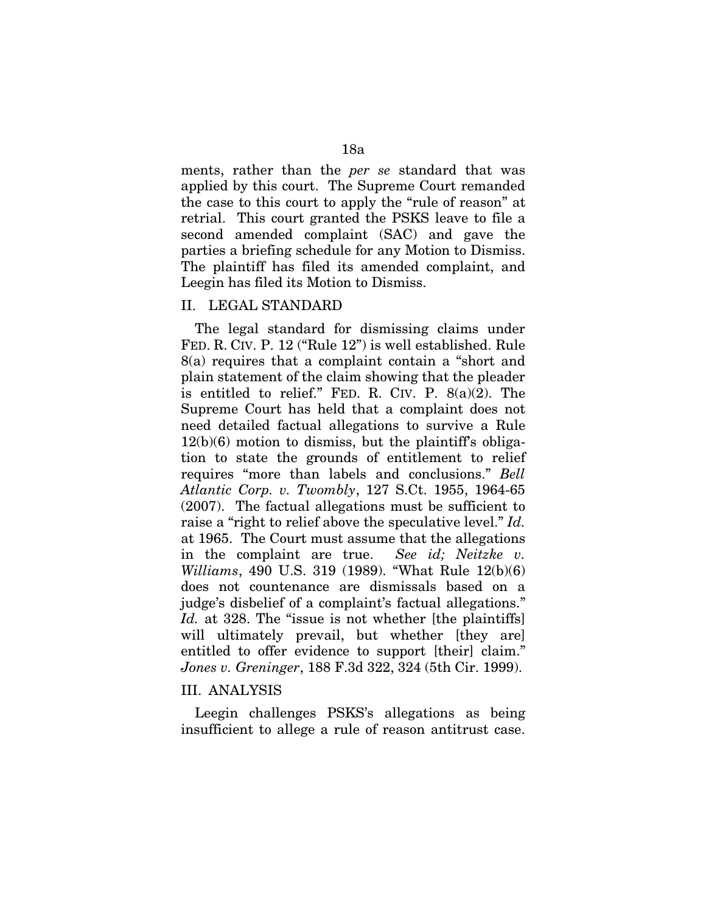ments, rather than the *per se* standard that was applied by this court. The Supreme Court remanded the case to this court to apply the "rule of reason" at retrial. This court granted the PSKS leave to file a second amended complaint (SAC) and gave the parties a briefing schedule for any Motion to Dismiss. The plaintiff has filed its amended complaint, and Leegin has filed its Motion to Dismiss.

### II. LEGAL STANDARD

The legal standard for dismissing claims under FED. R. CIV. P. 12 ("Rule 12") is well established. Rule 8(a) requires that a complaint contain a "short and plain statement of the claim showing that the pleader is entitled to relief." FED. R. CIV. P.  $8(a)(2)$ . The Supreme Court has held that a complaint does not need detailed factual allegations to survive a Rule  $12(b)(6)$  motion to dismiss, but the plaintiff's obligation to state the grounds of entitlement to relief requires "more than labels and conclusions." *Bell Atlantic Corp. v. Twombly*, 127 S.Ct. 1955, 1964-65 (2007). The factual allegations must be sufficient to raise a "right to relief above the speculative level." *Id.* at 1965. The Court must assume that the allegations in the complaint are true. *See id; Neitzke v. Williams*, 490 U.S. 319 (1989). "What Rule 12(b)(6) does not countenance are dismissals based on a judge's disbelief of a complaint's factual allegations." *Id.* at 328. The "issue is not whether [the plaintiffs] will ultimately prevail, but whether [they are] entitled to offer evidence to support [their] claim." *Jones v. Greninger*, 188 F.3d 322, 324 (5th Cir. 1999).

### III. ANALYSIS

Leegin challenges PSKS's allegations as being insufficient to allege a rule of reason antitrust case.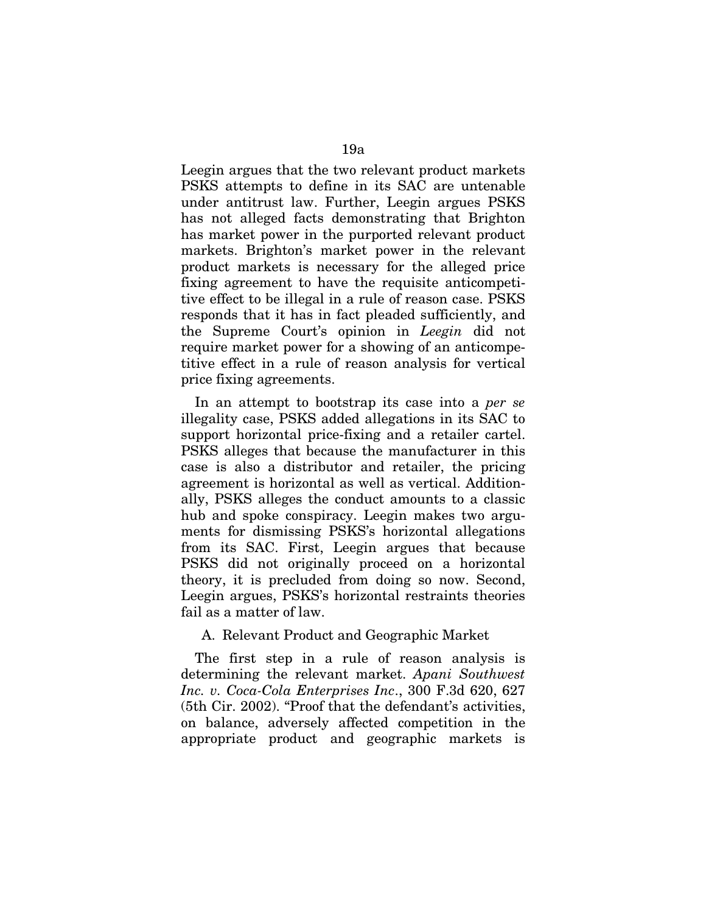Leegin argues that the two relevant product markets PSKS attempts to define in its SAC are untenable under antitrust law. Further, Leegin argues PSKS has not alleged facts demonstrating that Brighton has market power in the purported relevant product markets. Brighton's market power in the relevant product markets is necessary for the alleged price fixing agreement to have the requisite anticompetitive effect to be illegal in a rule of reason case. PSKS responds that it has in fact pleaded sufficiently, and the Supreme Court's opinion in *Leegin* did not require market power for a showing of an anticompetitive effect in a rule of reason analysis for vertical price fixing agreements.

In an attempt to bootstrap its case into a *per se* illegality case, PSKS added allegations in its SAC to support horizontal price-fixing and a retailer cartel. PSKS alleges that because the manufacturer in this case is also a distributor and retailer, the pricing agreement is horizontal as well as vertical. Additionally, PSKS alleges the conduct amounts to a classic hub and spoke conspiracy. Leegin makes two arguments for dismissing PSKS's horizontal allegations from its SAC. First, Leegin argues that because PSKS did not originally proceed on a horizontal theory, it is precluded from doing so now. Second, Leegin argues, PSKS's horizontal restraints theories fail as a matter of law.

### A. Relevant Product and Geographic Market

The first step in a rule of reason analysis is determining the relevant market. *Apani Southwest Inc. v. Coca-Cola Enterprises Inc*., 300 F.3d 620, 627 (5th Cir. 2002). "Proof that the defendant's activities, on balance, adversely affected competition in the appropriate product and geographic markets is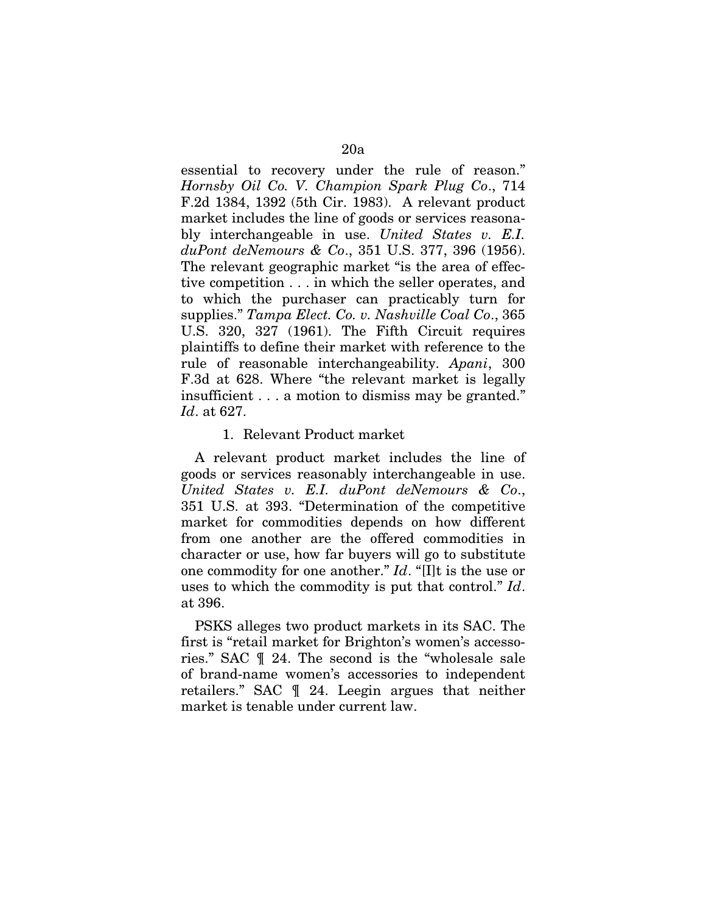essential to recovery under the rule of reason." *Hornsby Oil Co. V. Champion Spark Plug Co*., 714 F.2d 1384, 1392 (5th Cir. 1983). A relevant product market includes the line of goods or services reasonably interchangeable in use. *United States v. E.I. duPont deNemours & Co*., 351 U.S. 377, 396 (1956). The relevant geographic market "is the area of effective competition . . . in which the seller operates, and to which the purchaser can practicably turn for supplies." *Tampa Elect. Co. v. Nashville Coal Co*., 365 U.S. 320, 327 (1961). The Fifth Circuit requires plaintiffs to define their market with reference to the rule of reasonable interchangeability. *Apani*, 300 F.3d at 628. Where "the relevant market is legally insufficient . . . a motion to dismiss may be granted." *Id*. at 627.

#### 1. Relevant Product market

A relevant product market includes the line of goods or services reasonably interchangeable in use. *United States v. E.I. duPont deNemours & Co*., 351 U.S. at 393. "Determination of the competitive market for commodities depends on how different from one another are the offered commodities in character or use, how far buyers will go to substitute one commodity for one another." *Id*. "[I]t is the use or uses to which the commodity is put that control." *Id*. at 396.

PSKS alleges two product markets in its SAC. The first is "retail market for Brighton's women's accessories." SAC ¶ 24. The second is the "wholesale sale of brand-name women's accessories to independent retailers." SAC ¶ 24. Leegin argues that neither market is tenable under current law.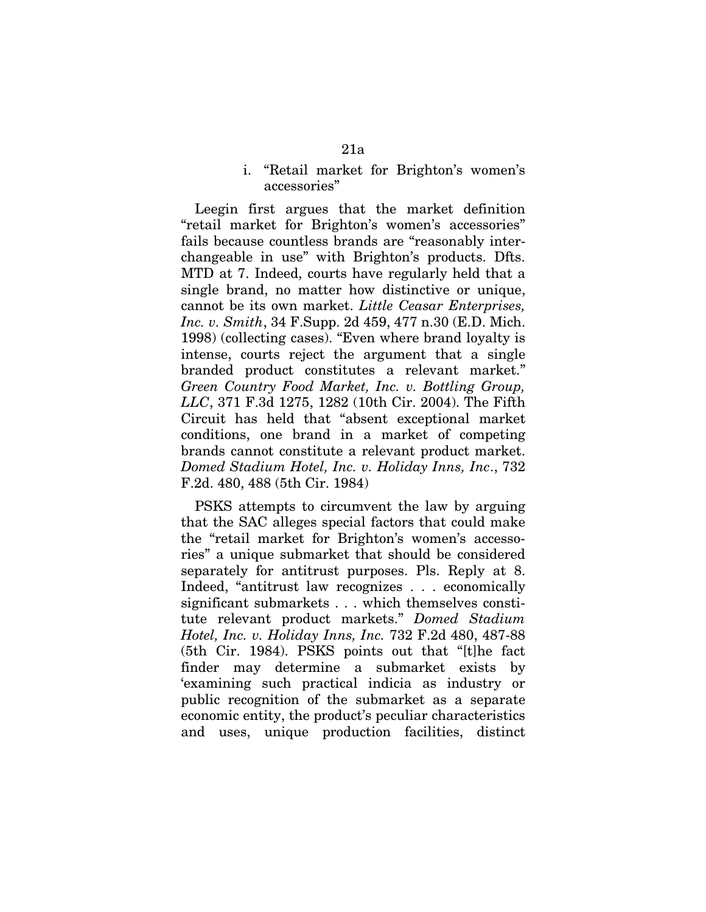### i. "Retail market for Brighton's women's accessories"

Leegin first argues that the market definition "retail market for Brighton's women's accessories" fails because countless brands are "reasonably interchangeable in use" with Brighton's products. Dfts. MTD at 7. Indeed, courts have regularly held that a single brand, no matter how distinctive or unique, cannot be its own market. *Little Ceasar Enterprises, Inc. v. Smith*, 34 F.Supp. 2d 459, 477 n.30 (E.D. Mich. 1998) (collecting cases). "Even where brand loyalty is intense, courts reject the argument that a single branded product constitutes a relevant market." *Green Country Food Market, Inc. v. Bottling Group, LLC*, 371 F.3d 1275, 1282 (10th Cir. 2004). The Fifth Circuit has held that "absent exceptional market conditions, one brand in a market of competing brands cannot constitute a relevant product market. *Domed Stadium Hotel, Inc. v. Holiday Inns, Inc*., 732 F.2d. 480, 488 (5th Cir. 1984)

PSKS attempts to circumvent the law by arguing that the SAC alleges special factors that could make the "retail market for Brighton's women's accessories" a unique submarket that should be considered separately for antitrust purposes. Pls. Reply at 8. Indeed, "antitrust law recognizes . . . economically significant submarkets . . . which themselves constitute relevant product markets." *Domed Stadium Hotel, Inc. v. Holiday Inns, Inc.* 732 F.2d 480, 487-88 (5th Cir. 1984). PSKS points out that "[t]he fact finder may determine a submarket exists by 'examining such practical indicia as industry or public recognition of the submarket as a separate economic entity, the product's peculiar characteristics and uses, unique production facilities, distinct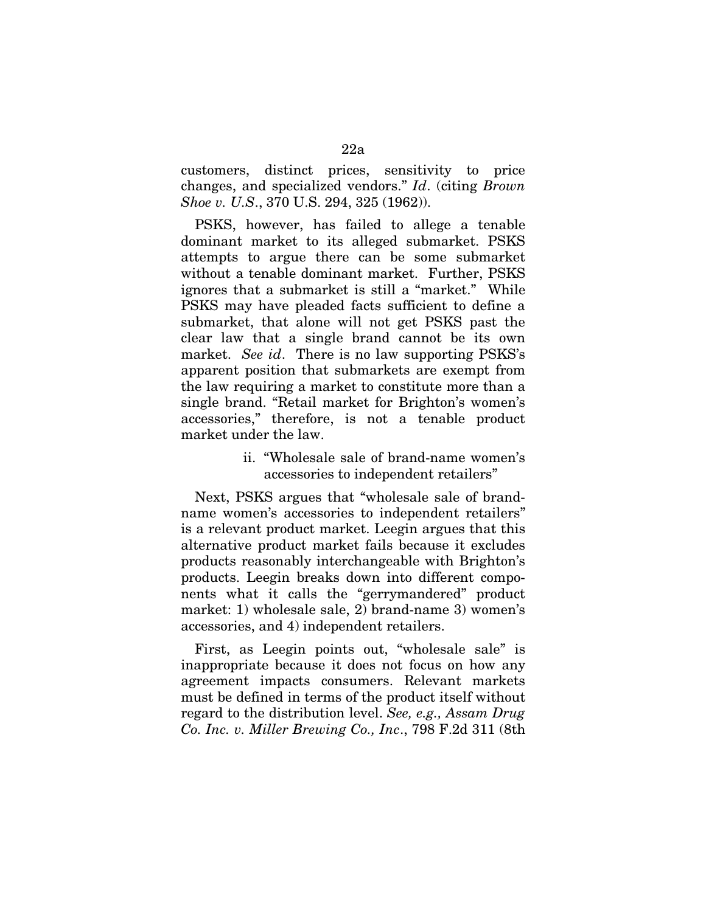customers, distinct prices, sensitivity to price changes, and specialized vendors." *Id*. (citing *Brown Shoe v. U.S*., 370 U.S. 294, 325 (1962)).

PSKS, however, has failed to allege a tenable dominant market to its alleged submarket. PSKS attempts to argue there can be some submarket without a tenable dominant market. Further, PSKS ignores that a submarket is still a "market." While PSKS may have pleaded facts sufficient to define a submarket, that alone will not get PSKS past the clear law that a single brand cannot be its own market. *See id*. There is no law supporting PSKS's apparent position that submarkets are exempt from the law requiring a market to constitute more than a single brand. "Retail market for Brighton's women's accessories," therefore, is not a tenable product market under the law.

# ii. "Wholesale sale of brand-name women's accessories to independent retailers"

Next, PSKS argues that "wholesale sale of brandname women's accessories to independent retailers" is a relevant product market. Leegin argues that this alternative product market fails because it excludes products reasonably interchangeable with Brighton's products. Leegin breaks down into different components what it calls the "gerrymandered" product market: 1) wholesale sale, 2) brand-name 3) women's accessories, and 4) independent retailers.

First, as Leegin points out, "wholesale sale" is inappropriate because it does not focus on how any agreement impacts consumers. Relevant markets must be defined in terms of the product itself without regard to the distribution level. *See, e.g., Assam Drug Co. Inc. v. Miller Brewing Co., Inc*., 798 F.2d 311 (8th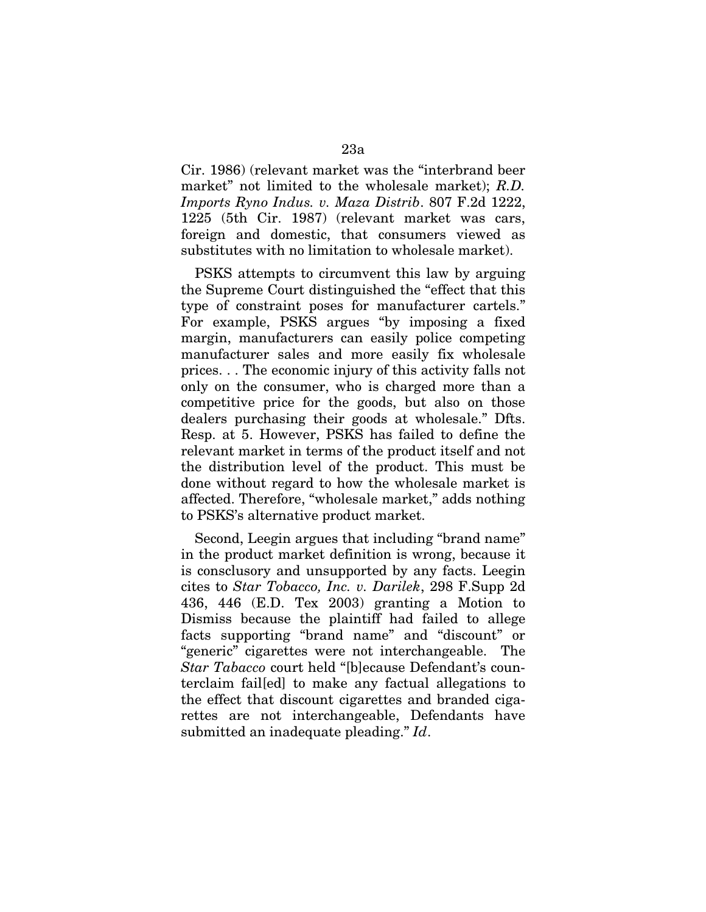Cir. 1986) (relevant market was the "interbrand beer market" not limited to the wholesale market); *R.D. Imports Ryno Indus. v. Maza Distrib*. 807 F.2d 1222, 1225 (5th Cir. 1987) (relevant market was cars, foreign and domestic, that consumers viewed as substitutes with no limitation to wholesale market).

PSKS attempts to circumvent this law by arguing the Supreme Court distinguished the "effect that this type of constraint poses for manufacturer cartels." For example, PSKS argues "by imposing a fixed margin, manufacturers can easily police competing manufacturer sales and more easily fix wholesale prices. . . The economic injury of this activity falls not only on the consumer, who is charged more than a competitive price for the goods, but also on those dealers purchasing their goods at wholesale." Dfts. Resp. at 5. However, PSKS has failed to define the relevant market in terms of the product itself and not the distribution level of the product. This must be done without regard to how the wholesale market is affected. Therefore, "wholesale market," adds nothing to PSKS's alternative product market.

Second, Leegin argues that including "brand name" in the product market definition is wrong, because it is consclusory and unsupported by any facts. Leegin cites to *Star Tobacco, Inc. v. Darilek*, 298 F.Supp 2d 436, 446 (E.D. Tex 2003) granting a Motion to Dismiss because the plaintiff had failed to allege facts supporting "brand name" and "discount" or "generic" cigarettes were not interchangeable. The *Star Tabacco* court held "[b]ecause Defendant's counterclaim fail[ed] to make any factual allegations to the effect that discount cigarettes and branded cigarettes are not interchangeable, Defendants have submitted an inadequate pleading." *Id*.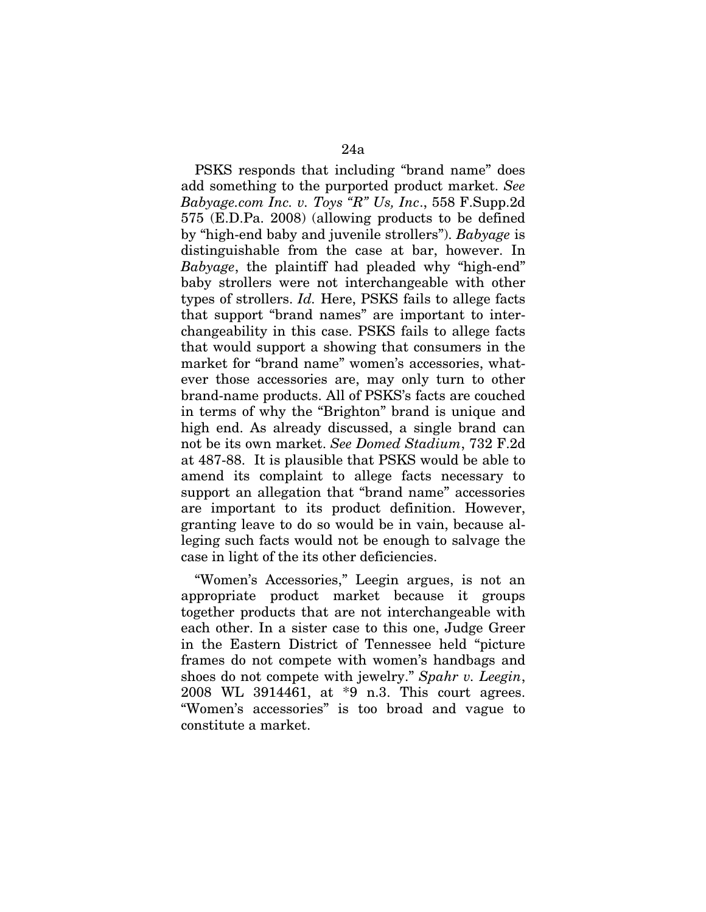PSKS responds that including "brand name" does add something to the purported product market. *See Babyage.com Inc. v. Toys "R" Us, Inc*., 558 F.Supp.2d 575 (E.D.Pa. 2008) (allowing products to be defined by "high-end baby and juvenile strollers"). *Babyage* is distinguishable from the case at bar, however. In *Babyage*, the plaintiff had pleaded why "high-end" baby strollers were not interchangeable with other types of strollers. *Id.* Here, PSKS fails to allege facts that support "brand names" are important to interchangeability in this case. PSKS fails to allege facts that would support a showing that consumers in the market for "brand name" women's accessories, whatever those accessories are, may only turn to other brand-name products. All of PSKS's facts are couched in terms of why the "Brighton" brand is unique and high end. As already discussed, a single brand can not be its own market. *See Domed Stadium*, 732 F.2d at 487-88. It is plausible that PSKS would be able to amend its complaint to allege facts necessary to support an allegation that "brand name" accessories are important to its product definition. However, granting leave to do so would be in vain, because alleging such facts would not be enough to salvage the case in light of the its other deficiencies.

"Women's Accessories," Leegin argues, is not an appropriate product market because it groups together products that are not interchangeable with each other. In a sister case to this one, Judge Greer in the Eastern District of Tennessee held "picture frames do not compete with women's handbags and shoes do not compete with jewelry." *Spahr v. Leegin*, 2008 WL 3914461, at \*9 n.3. This court agrees. "Women's accessories" is too broad and vague to constitute a market.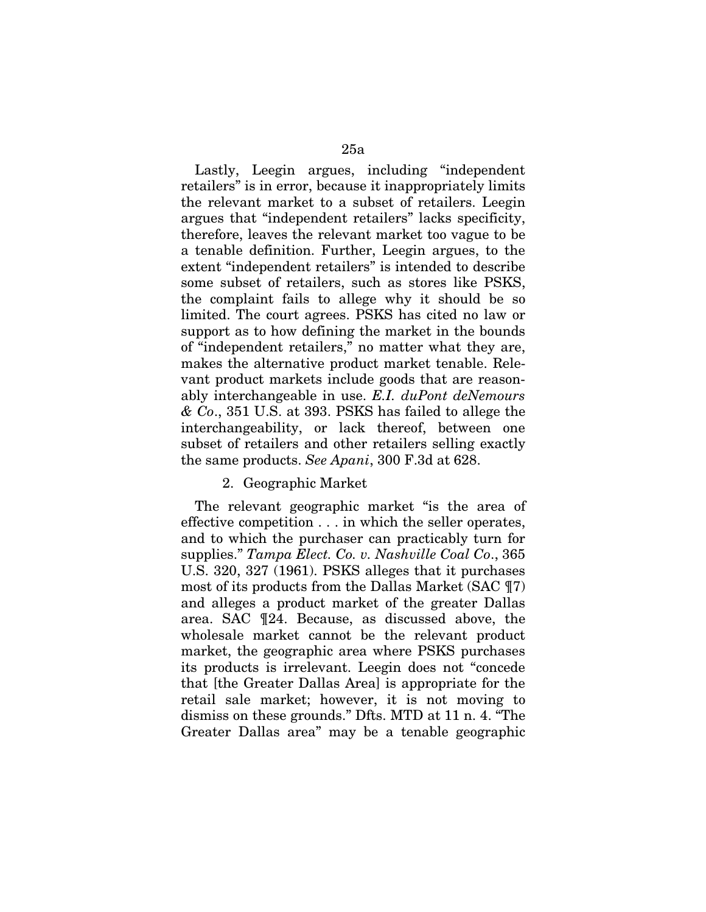Lastly, Leegin argues, including "independent retailers" is in error, because it inappropriately limits the relevant market to a subset of retailers. Leegin argues that "independent retailers" lacks specificity, therefore, leaves the relevant market too vague to be a tenable definition. Further, Leegin argues, to the extent "independent retailers" is intended to describe some subset of retailers, such as stores like PSKS, the complaint fails to allege why it should be so limited. The court agrees. PSKS has cited no law or support as to how defining the market in the bounds of "independent retailers," no matter what they are, makes the alternative product market tenable. Relevant product markets include goods that are reasonably interchangeable in use. *E.I. duPont deNemours & Co*., 351 U.S. at 393. PSKS has failed to allege the interchangeability, or lack thereof, between one subset of retailers and other retailers selling exactly the same products. *See Apani*, 300 F.3d at 628.

### 2. Geographic Market

The relevant geographic market "is the area of effective competition . . . in which the seller operates, and to which the purchaser can practicably turn for supplies." *Tampa Elect. Co. v. Nashville Coal Co*., 365 U.S. 320, 327 (1961). PSKS alleges that it purchases most of its products from the Dallas Market (SAC ¶7) and alleges a product market of the greater Dallas area. SAC ¶24. Because, as discussed above, the wholesale market cannot be the relevant product market, the geographic area where PSKS purchases its products is irrelevant. Leegin does not "concede that [the Greater Dallas Area] is appropriate for the retail sale market; however, it is not moving to dismiss on these grounds." Dfts. MTD at 11 n. 4. "The Greater Dallas area" may be a tenable geographic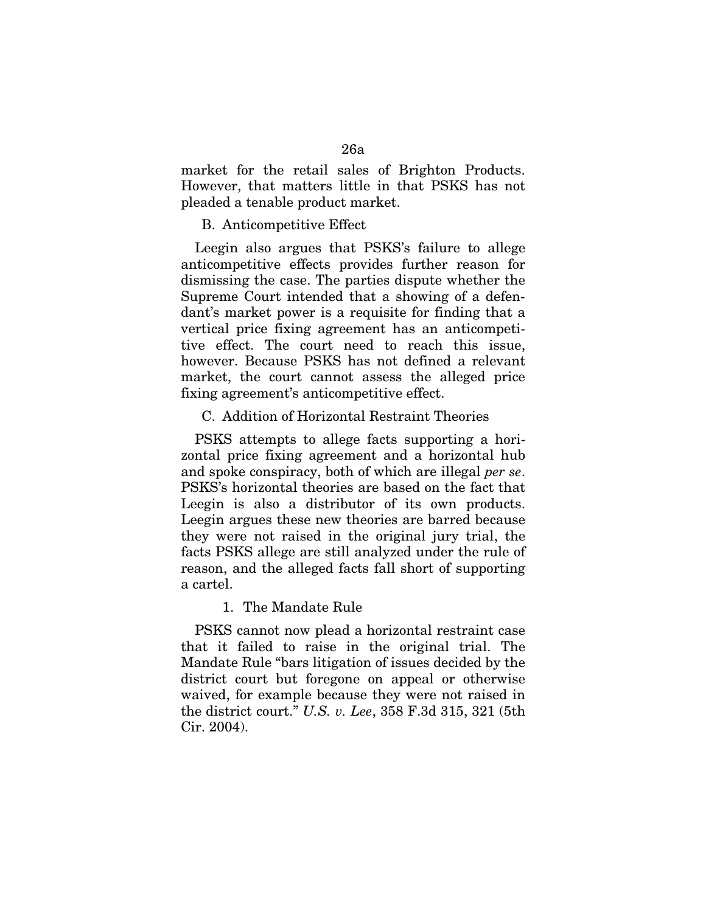market for the retail sales of Brighton Products. However, that matters little in that PSKS has not pleaded a tenable product market.

# B. Anticompetitive Effect

Leegin also argues that PSKS's failure to allege anticompetitive effects provides further reason for dismissing the case. The parties dispute whether the Supreme Court intended that a showing of a defendant's market power is a requisite for finding that a vertical price fixing agreement has an anticompetitive effect. The court need to reach this issue, however. Because PSKS has not defined a relevant market, the court cannot assess the alleged price fixing agreement's anticompetitive effect.

# C. Addition of Horizontal Restraint Theories

PSKS attempts to allege facts supporting a horizontal price fixing agreement and a horizontal hub and spoke conspiracy, both of which are illegal *per se*. PSKS's horizontal theories are based on the fact that Leegin is also a distributor of its own products. Leegin argues these new theories are barred because they were not raised in the original jury trial, the facts PSKS allege are still analyzed under the rule of reason, and the alleged facts fall short of supporting a cartel.

#### 1. The Mandate Rule

PSKS cannot now plead a horizontal restraint case that it failed to raise in the original trial. The Mandate Rule "bars litigation of issues decided by the district court but foregone on appeal or otherwise waived, for example because they were not raised in the district court." *U.S. v. Lee*, 358 F.3d 315, 321 (5th Cir. 2004).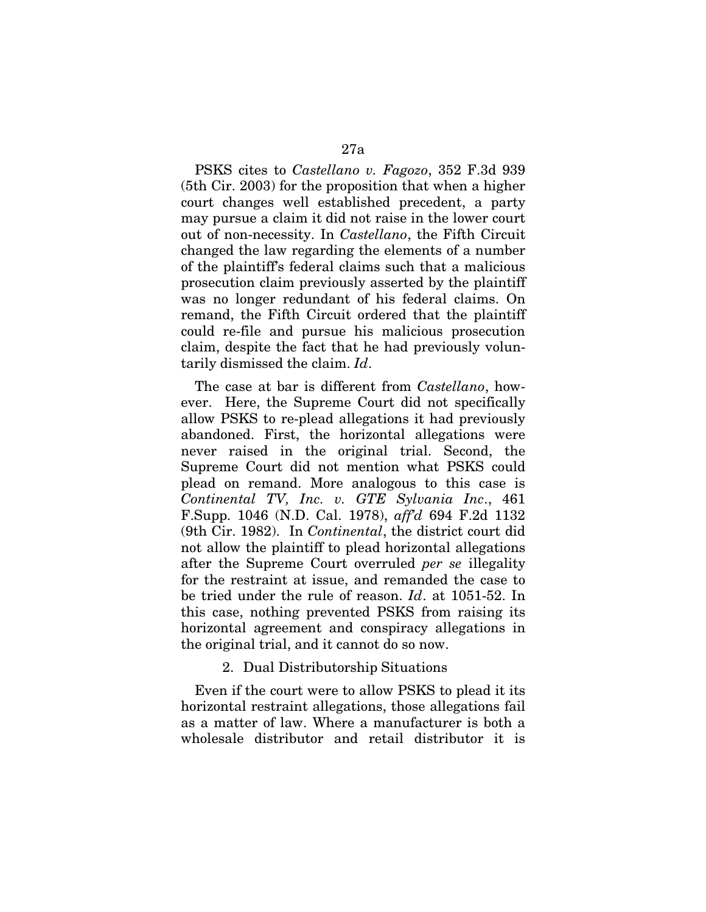PSKS cites to *Castellano v. Fagozo*, 352 F.3d 939 (5th Cir. 2003) for the proposition that when a higher court changes well established precedent, a party may pursue a claim it did not raise in the lower court out of non-necessity. In *Castellano*, the Fifth Circuit changed the law regarding the elements of a number of the plaintiff's federal claims such that a malicious prosecution claim previously asserted by the plaintiff was no longer redundant of his federal claims. On remand, the Fifth Circuit ordered that the plaintiff could re-file and pursue his malicious prosecution claim, despite the fact that he had previously voluntarily dismissed the claim. *Id*.

The case at bar is different from *Castellano*, however. Here, the Supreme Court did not specifically allow PSKS to re-plead allegations it had previously abandoned. First, the horizontal allegations were never raised in the original trial. Second, the Supreme Court did not mention what PSKS could plead on remand. More analogous to this case is *Continental TV, Inc. v. GTE Sylvania Inc*., 461 F.Supp. 1046 (N.D. Cal. 1978), *aff'd* 694 F.2d 1132 (9th Cir. 1982). In *Continental*, the district court did not allow the plaintiff to plead horizontal allegations after the Supreme Court overruled *per se* illegality for the restraint at issue, and remanded the case to be tried under the rule of reason. *Id*. at 1051-52. In this case, nothing prevented PSKS from raising its horizontal agreement and conspiracy allegations in the original trial, and it cannot do so now.

### 2. Dual Distributorship Situations

Even if the court were to allow PSKS to plead it its horizontal restraint allegations, those allegations fail as a matter of law. Where a manufacturer is both a wholesale distributor and retail distributor it is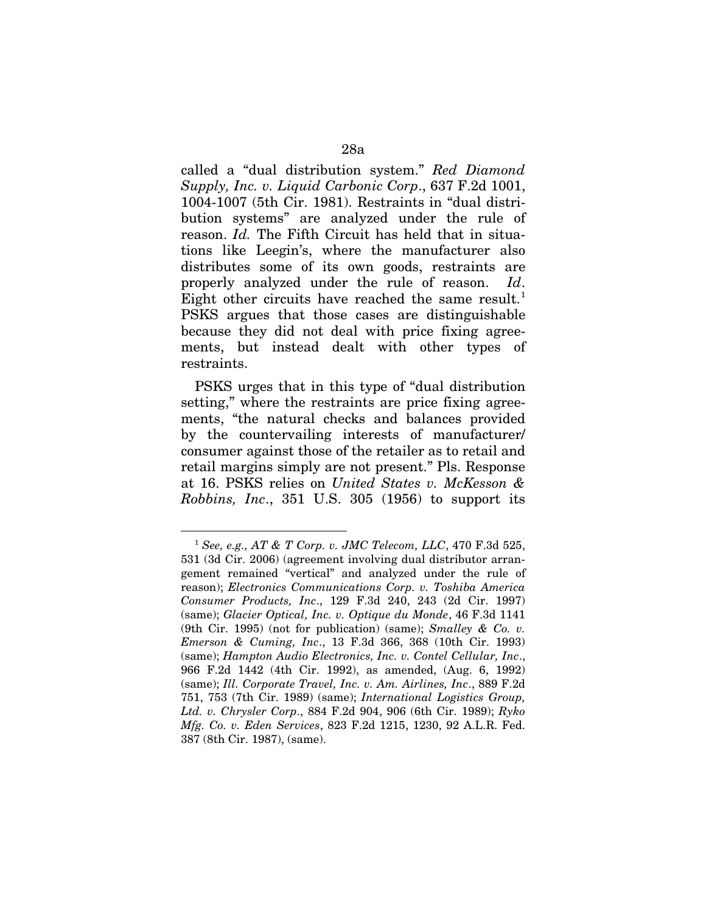called a "dual distribution system." *Red Diamond Supply, Inc. v. Liquid Carbonic Corp*., 637 F.2d 1001, 1004-1007 (5th Cir. 1981). Restraints in "dual distribution systems" are analyzed under the rule of reason. *Id.* The Fifth Circuit has held that in situations like Leegin's, where the manufacturer also distributes some of its own goods, restraints are properly analyzed under the rule of reason. *Id*. Eight other circuits have reached the same result.<sup>[1](#page-74-0)</sup> PSKS argues that those cases are distinguishable because they did not deal with price fixing agreements, but instead dealt with other types of restraints.

PSKS urges that in this type of "dual distribution setting," where the restraints are price fixing agreements, "the natural checks and balances provided by the countervailing interests of manufacturer/ consumer against those of the retailer as to retail and retail margins simply are not present." Pls. Response at 16. PSKS relies on *United States v. McKesson & Robbins, Inc*., 351 U.S. 305 (1956) to support its

<span id="page-74-0"></span> <sup>1</sup> *See, e.g., AT & T Corp. v. JMC Telecom, LLC*, 470 F.3d 525, 531 (3d Cir. 2006) (agreement involving dual distributor arrangement remained "vertical" and analyzed under the rule of reason); *Electronics Communications Corp. v. Toshiba America Consumer Products, Inc*., 129 F.3d 240, 243 (2d Cir. 1997) (same); *Glacier Optical, Inc. v. Optique du Monde*, 46 F.3d 1141 (9th Cir. 1995) (not for publication) (same); *Smalley & Co. v. Emerson & Cuming, Inc*., 13 F.3d 366, 368 (10th Cir. 1993) (same); *Hampton Audio Electronics, Inc. v. Contel Cellular, Inc*., 966 F.2d 1442 (4th Cir. 1992), as amended, (Aug. 6, 1992) (same); *Ill. Corporate Travel, Inc. v. Am. Airlines, Inc*., 889 F.2d 751, 753 (7th Cir. 1989) (same); *International Logistics Group, Ltd. v. Chrysler Corp*., 884 F.2d 904, 906 (6th Cir. 1989); *Ryko Mfg. Co. v. Eden Services*, 823 F.2d 1215, 1230, 92 A.L.R. Fed. 387 (8th Cir. 1987), (same).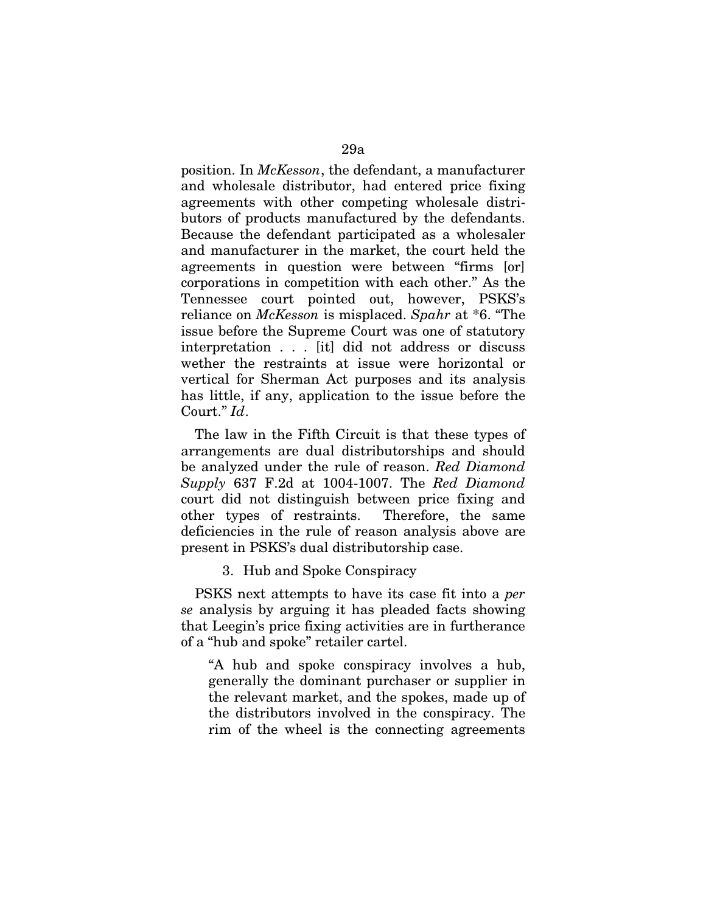position. In *McKesson*, the defendant, a manufacturer and wholesale distributor, had entered price fixing agreements with other competing wholesale distributors of products manufactured by the defendants. Because the defendant participated as a wholesaler and manufacturer in the market, the court held the agreements in question were between "firms [or] corporations in competition with each other." As the Tennessee court pointed out, however, PSKS's reliance on *McKesson* is misplaced. *Spahr* at \*6. "The issue before the Supreme Court was one of statutory interpretation . . . [it] did not address or discuss wether the restraints at issue were horizontal or vertical for Sherman Act purposes and its analysis has little, if any, application to the issue before the Court." *Id*.

The law in the Fifth Circuit is that these types of arrangements are dual distributorships and should be analyzed under the rule of reason. *Red Diamond Supply* 637 F.2d at 1004-1007. The *Red Diamond* court did not distinguish between price fixing and other types of restraints. Therefore, the same deficiencies in the rule of reason analysis above are present in PSKS's dual distributorship case.

3. Hub and Spoke Conspiracy

PSKS next attempts to have its case fit into a *per se* analysis by arguing it has pleaded facts showing that Leegin's price fixing activities are in furtherance of a "hub and spoke" retailer cartel.

"A hub and spoke conspiracy involves a hub, generally the dominant purchaser or supplier in the relevant market, and the spokes, made up of the distributors involved in the conspiracy. The rim of the wheel is the connecting agreements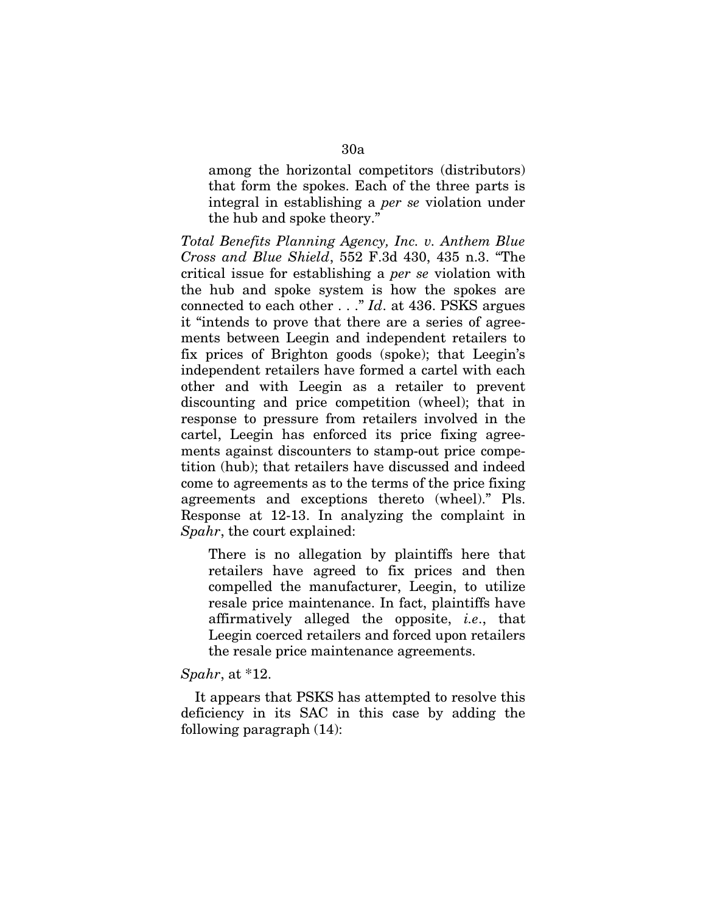among the horizontal competitors (distributors) that form the spokes. Each of the three parts is integral in establishing a *per se* violation under the hub and spoke theory."

*Total Benefits Planning Agency, Inc. v. Anthem Blue Cross and Blue Shield*, 552 F.3d 430, 435 n.3. "The critical issue for establishing a *per se* violation with the hub and spoke system is how the spokes are connected to each other . . ." *Id*. at 436. PSKS argues it "intends to prove that there are a series of agreements between Leegin and independent retailers to fix prices of Brighton goods (spoke); that Leegin's independent retailers have formed a cartel with each other and with Leegin as a retailer to prevent discounting and price competition (wheel); that in response to pressure from retailers involved in the cartel, Leegin has enforced its price fixing agreements against discounters to stamp-out price competition (hub); that retailers have discussed and indeed come to agreements as to the terms of the price fixing agreements and exceptions thereto (wheel)." Pls. Response at 12-13. In analyzing the complaint in *Spahr*, the court explained:

There is no allegation by plaintiffs here that retailers have agreed to fix prices and then compelled the manufacturer, Leegin, to utilize resale price maintenance. In fact, plaintiffs have affirmatively alleged the opposite, *i.e*., that Leegin coerced retailers and forced upon retailers the resale price maintenance agreements.

#### *Spahr*, at \*12.

It appears that PSKS has attempted to resolve this deficiency in its SAC in this case by adding the following paragraph (14):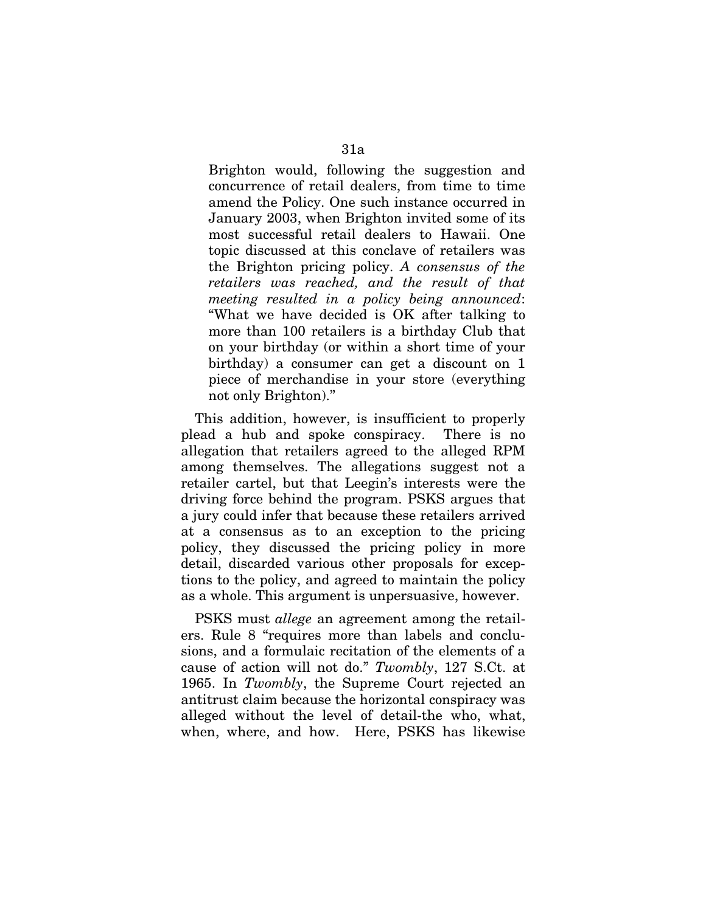Brighton would, following the suggestion and concurrence of retail dealers, from time to time amend the Policy. One such instance occurred in January 2003, when Brighton invited some of its most successful retail dealers to Hawaii. One topic discussed at this conclave of retailers was the Brighton pricing policy. *A consensus of the retailers was reached, and the result of that meeting resulted in a policy being announced*: "What we have decided is OK after talking to more than 100 retailers is a birthday Club that on your birthday (or within a short time of your birthday) a consumer can get a discount on 1 piece of merchandise in your store (everything not only Brighton)."

This addition, however, is insufficient to properly plead a hub and spoke conspiracy. There is no allegation that retailers agreed to the alleged RPM among themselves. The allegations suggest not a retailer cartel, but that Leegin's interests were the driving force behind the program. PSKS argues that a jury could infer that because these retailers arrived at a consensus as to an exception to the pricing policy, they discussed the pricing policy in more detail, discarded various other proposals for exceptions to the policy, and agreed to maintain the policy as a whole. This argument is unpersuasive, however.

PSKS must *allege* an agreement among the retailers. Rule 8 "requires more than labels and conclusions, and a formulaic recitation of the elements of a cause of action will not do." *Twombly*, 127 S.Ct. at 1965. In *Twombly*, the Supreme Court rejected an antitrust claim because the horizontal conspiracy was alleged without the level of detail-the who, what, when, where, and how. Here, PSKS has likewise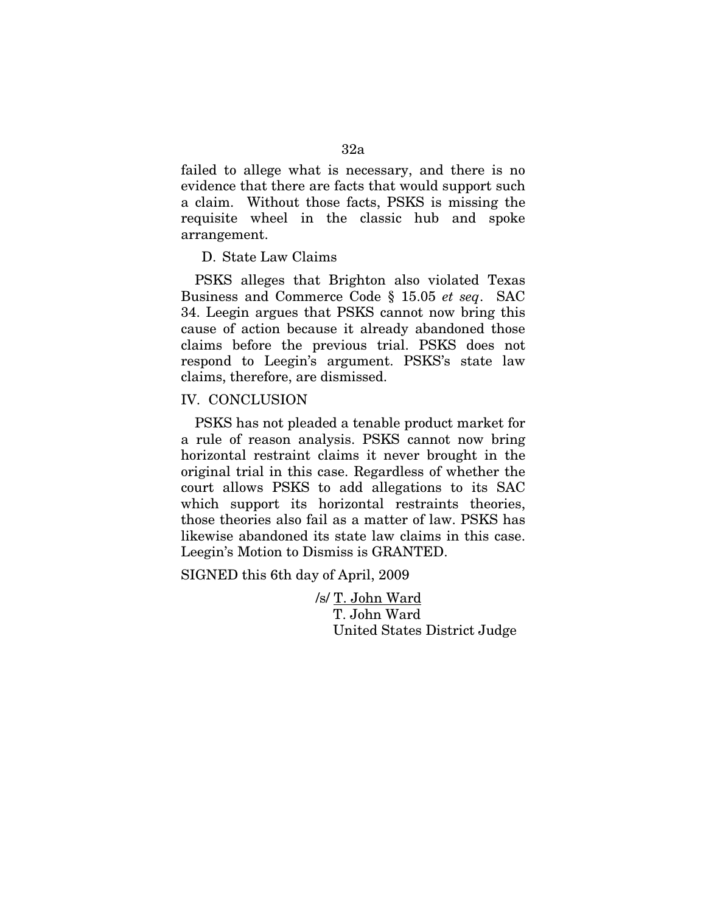failed to allege what is necessary, and there is no evidence that there are facts that would support such a claim. Without those facts, PSKS is missing the requisite wheel in the classic hub and spoke arrangement.

D. State Law Claims

PSKS alleges that Brighton also violated Texas Business and Commerce Code § 15.05 *et seq*. SAC 34. Leegin argues that PSKS cannot now bring this cause of action because it already abandoned those claims before the previous trial. PSKS does not respond to Leegin's argument. PSKS's state law claims, therefore, are dismissed.

### IV. CONCLUSION

PSKS has not pleaded a tenable product market for a rule of reason analysis. PSKS cannot now bring horizontal restraint claims it never brought in the original trial in this case. Regardless of whether the court allows PSKS to add allegations to its SAC which support its horizontal restraints theories, those theories also fail as a matter of law. PSKS has likewise abandoned its state law claims in this case. Leegin's Motion to Dismiss is GRANTED.

SIGNED this 6th day of April, 2009

/s/ T. John Ward T. John Ward United States District Judge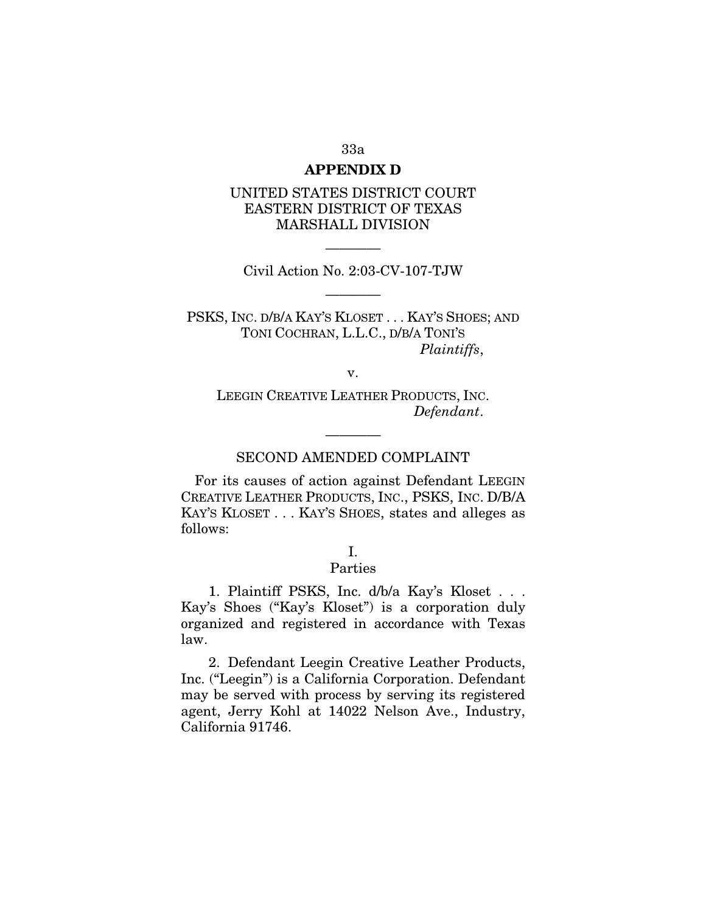#### 33a

### **APPENDIX D**

# UNITED STATES DISTRICT COURT EASTERN DISTRICT OF TEXAS MARSHALL DIVISION

———— Civil Action No. 2:03-CV-107-TJW

————

PSKS, INC. D/B/A KAY'S KLOSET . . . KAY'S SHOES; AND TONI COCHRAN, L.L.C., D/B/A TONI'S *Plaintiffs*,

v.

LEEGIN CREATIVE LEATHER PRODUCTS, INC. *Defendant*.

# ———— SECOND AMENDED COMPLAINT

For its causes of action against Defendant LEEGIN CREATIVE LEATHER PRODUCTS, INC., PSKS, INC. D/B/A KAY'S KLOSET . . . KAY'S SHOES, states and alleges as follows:

# I.

# Parties

1. Plaintiff PSKS, Inc. d/b/a Kay's Kloset . . . Kay's Shoes ("Kay's Kloset") is a corporation duly organized and registered in accordance with Texas law.

2. Defendant Leegin Creative Leather Products, Inc. ("Leegin") is a California Corporation. Defendant may be served with process by serving its registered agent, Jerry Kohl at 14022 Nelson Ave., Industry, California 91746.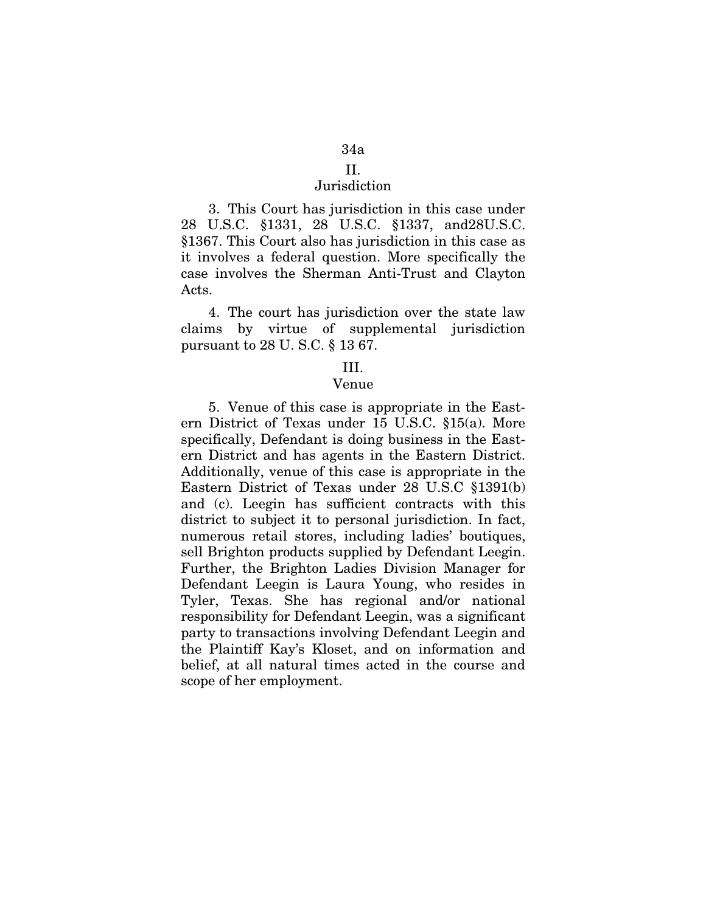## II.

# Jurisdiction

3. This Court has jurisdiction in this case under 28 U.S.C. §1331, 28 U.S.C. §1337, and28U.S.C. §1367. This Court also has jurisdiction in this case as it involves a federal question. More specifically the case involves the Sherman Anti-Trust and Clayton Acts.

4. The court has jurisdiction over the state law claims by virtue of supplemental jurisdiction pursuant to 28 U. S.C. § 13 67.

#### III.

### Venue

5. Venue of this case is appropriate in the Eastern District of Texas under 15 U.S.C. §15(a). More specifically, Defendant is doing business in the Eastern District and has agents in the Eastern District. Additionally, venue of this case is appropriate in the Eastern District of Texas under 28 U.S.C §1391(b) and (c). Leegin has sufficient contracts with this district to subject it to personal jurisdiction. In fact, numerous retail stores, including ladies' boutiques, sell Brighton products supplied by Defendant Leegin. Further, the Brighton Ladies Division Manager for Defendant Leegin is Laura Young, who resides in Tyler, Texas. She has regional and/or national responsibility for Defendant Leegin, was a significant party to transactions involving Defendant Leegin and the Plaintiff Kay's Kloset, and on information and belief, at all natural times acted in the course and scope of her employment.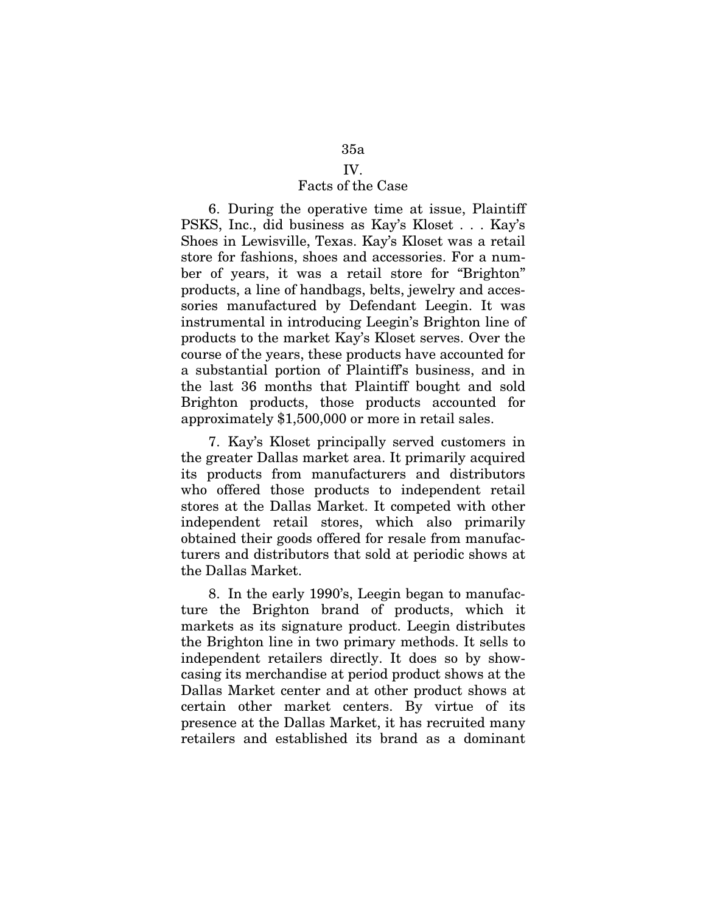# 35a

# IV.

# Facts of the Case

6. During the operative time at issue, Plaintiff PSKS, Inc., did business as Kay's Kloset . . . Kay's Shoes in Lewisville, Texas. Kay's Kloset was a retail store for fashions, shoes and accessories. For a number of years, it was a retail store for "Brighton" products, a line of handbags, belts, jewelry and accessories manufactured by Defendant Leegin. It was instrumental in introducing Leegin's Brighton line of products to the market Kay's Kloset serves. Over the course of the years, these products have accounted for a substantial portion of Plaintiff's business, and in the last 36 months that Plaintiff bought and sold Brighton products, those products accounted for approximately \$1,500,000 or more in retail sales.

7. Kay's Kloset principally served customers in the greater Dallas market area. It primarily acquired its products from manufacturers and distributors who offered those products to independent retail stores at the Dallas Market. It competed with other independent retail stores, which also primarily obtained their goods offered for resale from manufacturers and distributors that sold at periodic shows at the Dallas Market.

8. In the early 1990's, Leegin began to manufacture the Brighton brand of products, which it markets as its signature product. Leegin distributes the Brighton line in two primary methods. It sells to independent retailers directly. It does so by showcasing its merchandise at period product shows at the Dallas Market center and at other product shows at certain other market centers. By virtue of its presence at the Dallas Market, it has recruited many retailers and established its brand as a dominant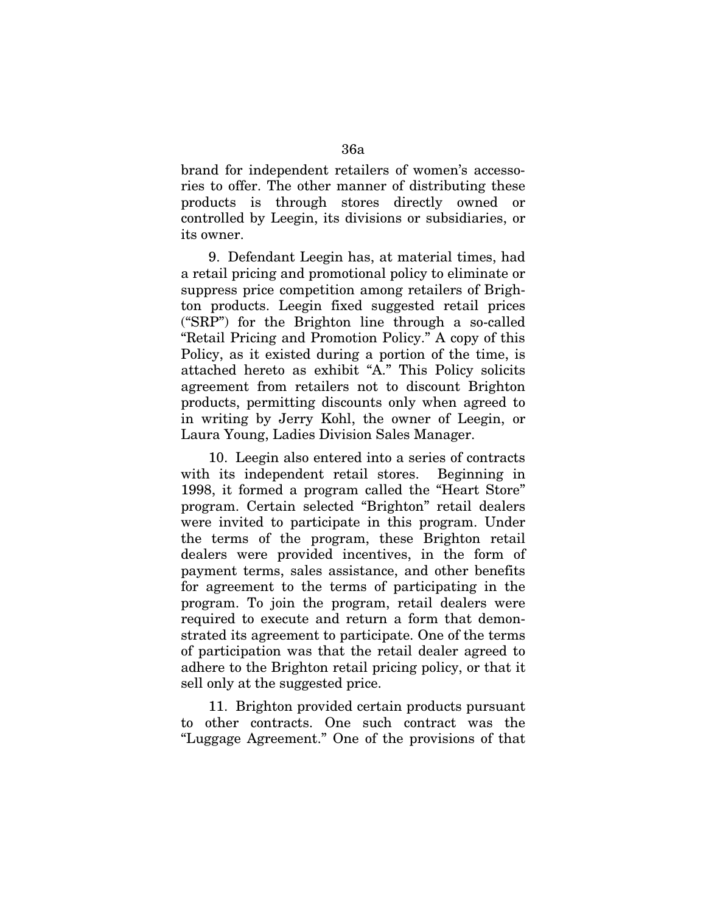brand for independent retailers of women's accessories to offer. The other manner of distributing these products is through stores directly owned or controlled by Leegin, its divisions or subsidiaries, or its owner.

9. Defendant Leegin has, at material times, had a retail pricing and promotional policy to eliminate or suppress price competition among retailers of Brighton products. Leegin fixed suggested retail prices ("SRP") for the Brighton line through a so-called "Retail Pricing and Promotion Policy." A copy of this Policy, as it existed during a portion of the time, is attached hereto as exhibit "A." This Policy solicits agreement from retailers not to discount Brighton products, permitting discounts only when agreed to in writing by Jerry Kohl, the owner of Leegin, or Laura Young, Ladies Division Sales Manager.

10. Leegin also entered into a series of contracts with its independent retail stores. Beginning in 1998, it formed a program called the "Heart Store" program. Certain selected "Brighton" retail dealers were invited to participate in this program. Under the terms of the program, these Brighton retail dealers were provided incentives, in the form of payment terms, sales assistance, and other benefits for agreement to the terms of participating in the program. To join the program, retail dealers were required to execute and return a form that demonstrated its agreement to participate. One of the terms of participation was that the retail dealer agreed to adhere to the Brighton retail pricing policy, or that it sell only at the suggested price.

11. Brighton provided certain products pursuant to other contracts. One such contract was the "Luggage Agreement." One of the provisions of that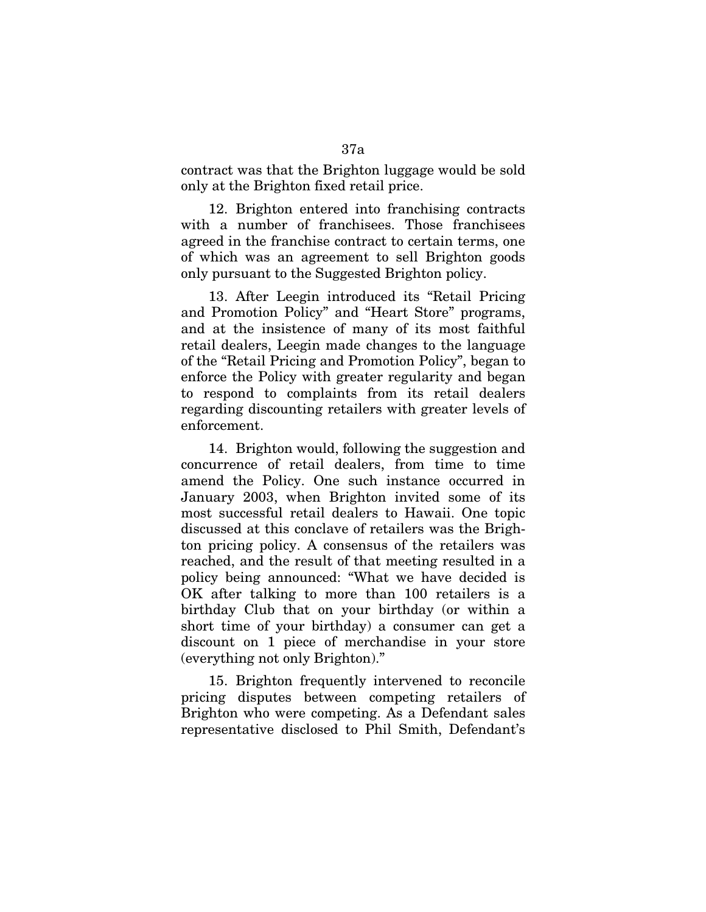contract was that the Brighton luggage would be sold only at the Brighton fixed retail price.

12. Brighton entered into franchising contracts with a number of franchisees. Those franchisees agreed in the franchise contract to certain terms, one of which was an agreement to sell Brighton goods only pursuant to the Suggested Brighton policy.

13. After Leegin introduced its "Retail Pricing and Promotion Policy" and "Heart Store" programs, and at the insistence of many of its most faithful retail dealers, Leegin made changes to the language of the "Retail Pricing and Promotion Policy", began to enforce the Policy with greater regularity and began to respond to complaints from its retail dealers regarding discounting retailers with greater levels of enforcement.

14. Brighton would, following the suggestion and concurrence of retail dealers, from time to time amend the Policy. One such instance occurred in January 2003, when Brighton invited some of its most successful retail dealers to Hawaii. One topic discussed at this conclave of retailers was the Brighton pricing policy. A consensus of the retailers was reached, and the result of that meeting resulted in a policy being announced: "What we have decided is OK after talking to more than 100 retailers is a birthday Club that on your birthday (or within a short time of your birthday) a consumer can get a discount on 1 piece of merchandise in your store (everything not only Brighton)."

15. Brighton frequently intervened to reconcile pricing disputes between competing retailers of Brighton who were competing. As a Defendant sales representative disclosed to Phil Smith, Defendant's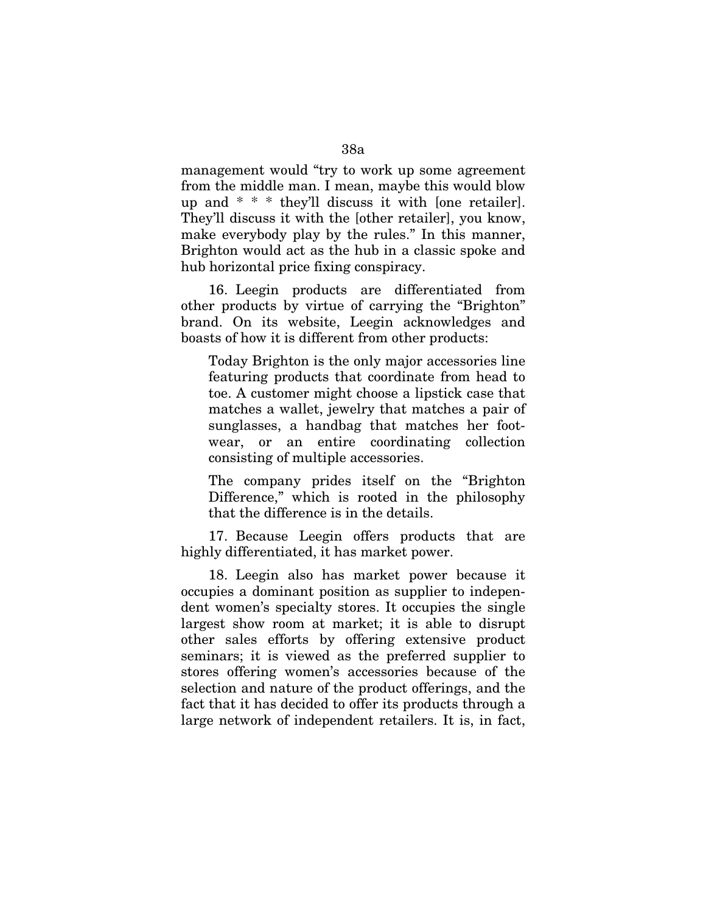management would "try to work up some agreement from the middle man. I mean, maybe this would blow up and \* \* \* they'll discuss it with [one retailer]. They'll discuss it with the [other retailer], you know, make everybody play by the rules." In this manner, Brighton would act as the hub in a classic spoke and hub horizontal price fixing conspiracy.

16. Leegin products are differentiated from other products by virtue of carrying the "Brighton" brand. On its website, Leegin acknowledges and boasts of how it is different from other products:

Today Brighton is the only major accessories line featuring products that coordinate from head to toe. A customer might choose a lipstick case that matches a wallet, jewelry that matches a pair of sunglasses, a handbag that matches her footwear, or an entire coordinating collection consisting of multiple accessories.

The company prides itself on the "Brighton Difference," which is rooted in the philosophy that the difference is in the details.

17. Because Leegin offers products that are highly differentiated, it has market power.

18. Leegin also has market power because it occupies a dominant position as supplier to independent women's specialty stores. It occupies the single largest show room at market; it is able to disrupt other sales efforts by offering extensive product seminars; it is viewed as the preferred supplier to stores offering women's accessories because of the selection and nature of the product offerings, and the fact that it has decided to offer its products through a large network of independent retailers. It is, in fact,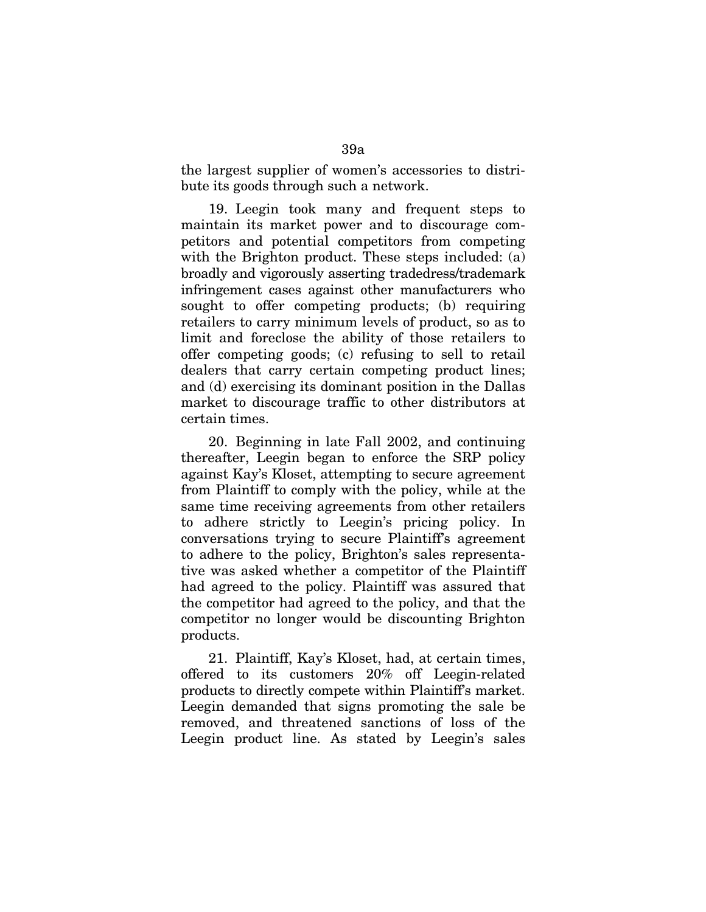the largest supplier of women's accessories to distribute its goods through such a network.

19. Leegin took many and frequent steps to maintain its market power and to discourage competitors and potential competitors from competing with the Brighton product. These steps included: (a) broadly and vigorously asserting tradedress/trademark infringement cases against other manufacturers who sought to offer competing products; (b) requiring retailers to carry minimum levels of product, so as to limit and foreclose the ability of those retailers to offer competing goods; (c) refusing to sell to retail dealers that carry certain competing product lines; and (d) exercising its dominant position in the Dallas market to discourage traffic to other distributors at certain times.

20. Beginning in late Fall 2002, and continuing thereafter, Leegin began to enforce the SRP policy against Kay's Kloset, attempting to secure agreement from Plaintiff to comply with the policy, while at the same time receiving agreements from other retailers to adhere strictly to Leegin's pricing policy. In conversations trying to secure Plaintiff's agreement to adhere to the policy, Brighton's sales representative was asked whether a competitor of the Plaintiff had agreed to the policy. Plaintiff was assured that the competitor had agreed to the policy, and that the competitor no longer would be discounting Brighton products.

21. Plaintiff, Kay's Kloset, had, at certain times, offered to its customers 20% off Leegin-related products to directly compete within Plaintiff's market. Leegin demanded that signs promoting the sale be removed, and threatened sanctions of loss of the Leegin product line. As stated by Leegin's sales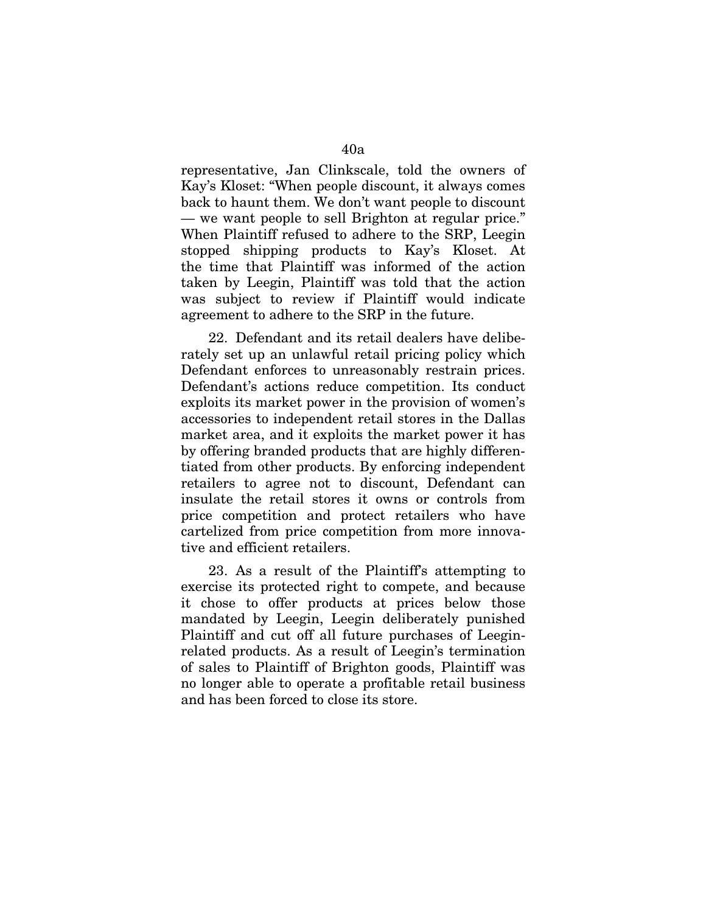representative, Jan Clinkscale, told the owners of Kay's Kloset: "When people discount, it always comes back to haunt them. We don't want people to discount — we want people to sell Brighton at regular price." When Plaintiff refused to adhere to the SRP, Leegin stopped shipping products to Kay's Kloset. At the time that Plaintiff was informed of the action taken by Leegin, Plaintiff was told that the action was subject to review if Plaintiff would indicate agreement to adhere to the SRP in the future.

22. Defendant and its retail dealers have deliberately set up an unlawful retail pricing policy which Defendant enforces to unreasonably restrain prices. Defendant's actions reduce competition. Its conduct exploits its market power in the provision of women's accessories to independent retail stores in the Dallas market area, and it exploits the market power it has by offering branded products that are highly differentiated from other products. By enforcing independent retailers to agree not to discount, Defendant can insulate the retail stores it owns or controls from price competition and protect retailers who have cartelized from price competition from more innovative and efficient retailers.

23. As a result of the Plaintiff's attempting to exercise its protected right to compete, and because it chose to offer products at prices below those mandated by Leegin, Leegin deliberately punished Plaintiff and cut off all future purchases of Leeginrelated products. As a result of Leegin's termination of sales to Plaintiff of Brighton goods, Plaintiff was no longer able to operate a profitable retail business and has been forced to close its store.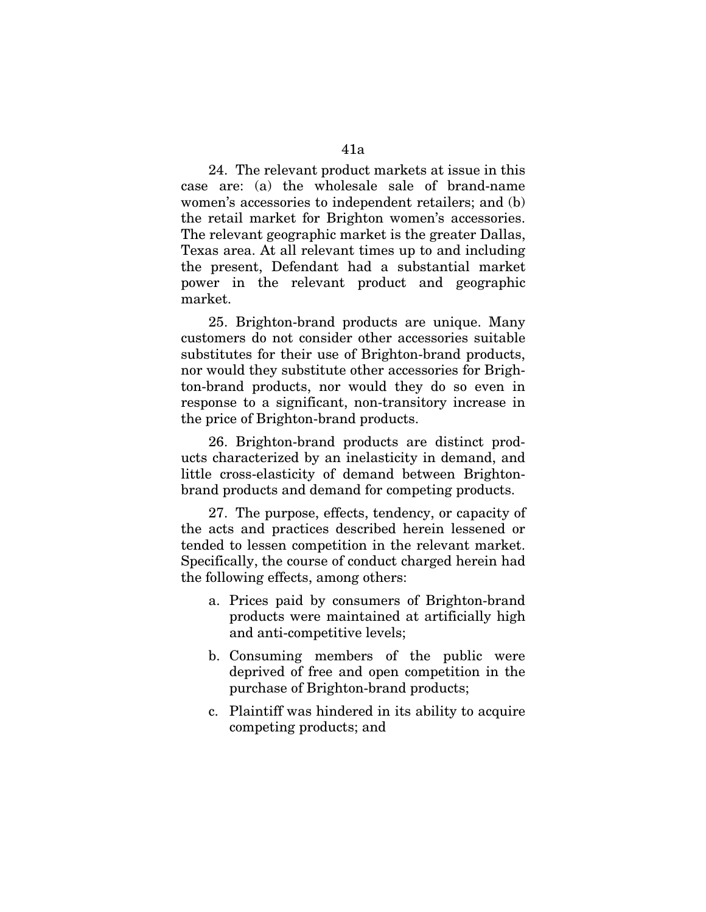24. The relevant product markets at issue in this case are: (a) the wholesale sale of brand-name women's accessories to independent retailers; and (b) the retail market for Brighton women's accessories. The relevant geographic market is the greater Dallas, Texas area. At all relevant times up to and including the present, Defendant had a substantial market power in the relevant product and geographic market.

25. Brighton-brand products are unique. Many customers do not consider other accessories suitable substitutes for their use of Brighton-brand products, nor would they substitute other accessories for Brighton-brand products, nor would they do so even in response to a significant, non-transitory increase in the price of Brighton-brand products.

26. Brighton-brand products are distinct products characterized by an inelasticity in demand, and little cross-elasticity of demand between Brightonbrand products and demand for competing products.

27. The purpose, effects, tendency, or capacity of the acts and practices described herein lessened or tended to lessen competition in the relevant market. Specifically, the course of conduct charged herein had the following effects, among others:

- a. Prices paid by consumers of Brighton-brand products were maintained at artificially high and anti-competitive levels;
- b. Consuming members of the public were deprived of free and open competition in the purchase of Brighton-brand products;
- c. Plaintiff was hindered in its ability to acquire competing products; and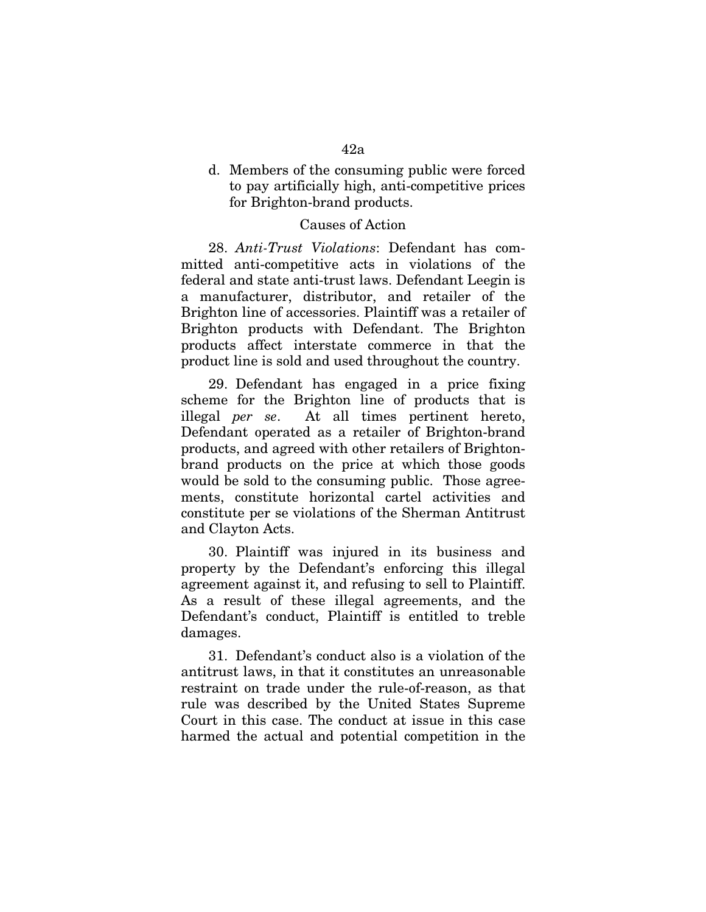# d. Members of the consuming public were forced to pay artificially high, anti-competitive prices for Brighton-brand products.

# Causes of Action

28. *Anti-Trust Violations*: Defendant has committed anti-competitive acts in violations of the federal and state anti-trust laws. Defendant Leegin is a manufacturer, distributor, and retailer of the Brighton line of accessories. Plaintiff was a retailer of Brighton products with Defendant. The Brighton products affect interstate commerce in that the product line is sold and used throughout the country.

29. Defendant has engaged in a price fixing scheme for the Brighton line of products that is illegal *per se*. At all times pertinent hereto, Defendant operated as a retailer of Brighton-brand products, and agreed with other retailers of Brightonbrand products on the price at which those goods would be sold to the consuming public. Those agreements, constitute horizontal cartel activities and constitute per se violations of the Sherman Antitrust and Clayton Acts.

30. Plaintiff was injured in its business and property by the Defendant's enforcing this illegal agreement against it, and refusing to sell to Plaintiff. As a result of these illegal agreements, and the Defendant's conduct, Plaintiff is entitled to treble damages.

31. Defendant's conduct also is a violation of the antitrust laws, in that it constitutes an unreasonable restraint on trade under the rule-of-reason, as that rule was described by the United States Supreme Court in this case. The conduct at issue in this case harmed the actual and potential competition in the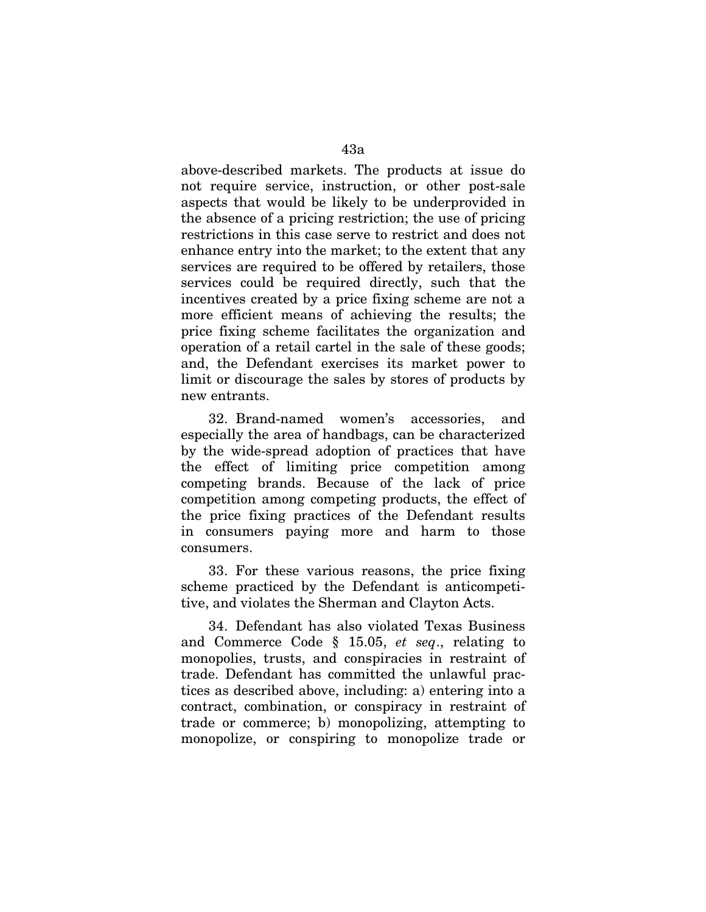above-described markets. The products at issue do not require service, instruction, or other post-sale aspects that would be likely to be underprovided in the absence of a pricing restriction; the use of pricing restrictions in this case serve to restrict and does not enhance entry into the market; to the extent that any services are required to be offered by retailers, those services could be required directly, such that the incentives created by a price fixing scheme are not a more efficient means of achieving the results; the price fixing scheme facilitates the organization and operation of a retail cartel in the sale of these goods; and, the Defendant exercises its market power to limit or discourage the sales by stores of products by new entrants.

32. Brand-named women's accessories, and especially the area of handbags, can be characterized by the wide-spread adoption of practices that have the effect of limiting price competition among competing brands. Because of the lack of price competition among competing products, the effect of the price fixing practices of the Defendant results in consumers paying more and harm to those consumers.

33. For these various reasons, the price fixing scheme practiced by the Defendant is anticompetitive, and violates the Sherman and Clayton Acts.

34. Defendant has also violated Texas Business and Commerce Code § 15.05, *et seq*., relating to monopolies, trusts, and conspiracies in restraint of trade. Defendant has committed the unlawful practices as described above, including: a) entering into a contract, combination, or conspiracy in restraint of trade or commerce; b) monopolizing, attempting to monopolize, or conspiring to monopolize trade or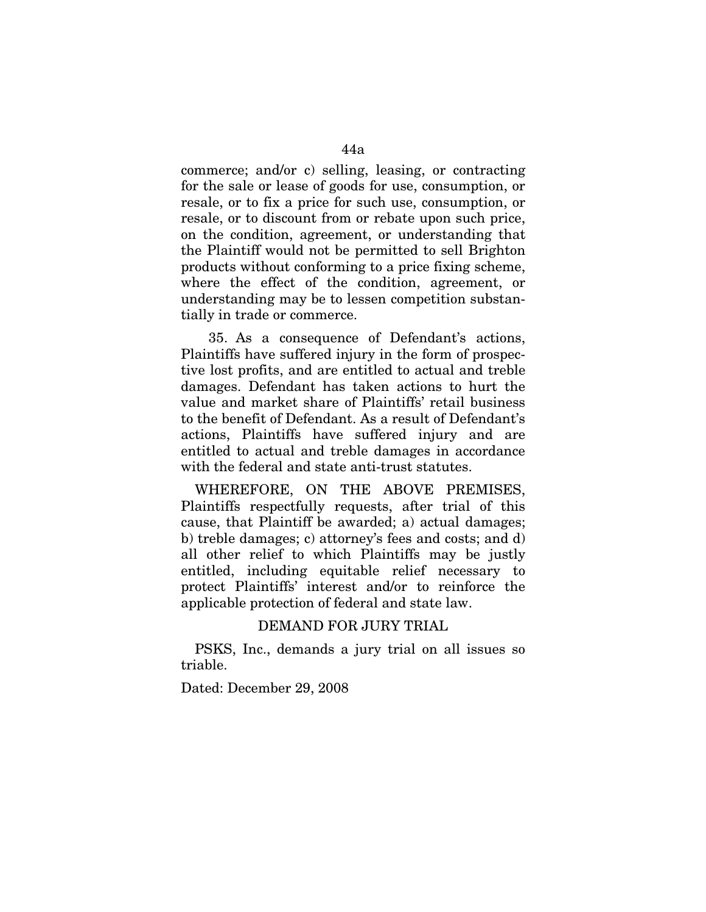commerce; and/or c) selling, leasing, or contracting for the sale or lease of goods for use, consumption, or resale, or to fix a price for such use, consumption, or resale, or to discount from or rebate upon such price, on the condition, agreement, or understanding that the Plaintiff would not be permitted to sell Brighton products without conforming to a price fixing scheme, where the effect of the condition, agreement, or understanding may be to lessen competition substantially in trade or commerce.

35. As a consequence of Defendant's actions, Plaintiffs have suffered injury in the form of prospective lost profits, and are entitled to actual and treble damages. Defendant has taken actions to hurt the value and market share of Plaintiffs' retail business to the benefit of Defendant. As a result of Defendant's actions, Plaintiffs have suffered injury and are entitled to actual and treble damages in accordance with the federal and state anti-trust statutes.

WHEREFORE, ON THE ABOVE PREMISES, Plaintiffs respectfully requests, after trial of this cause, that Plaintiff be awarded; a) actual damages; b) treble damages; c) attorney's fees and costs; and d) all other relief to which Plaintiffs may be justly entitled, including equitable relief necessary to protect Plaintiffs' interest and/or to reinforce the applicable protection of federal and state law.

### DEMAND FOR JURY TRIAL

PSKS, Inc., demands a jury trial on all issues so triable.

Dated: December 29, 2008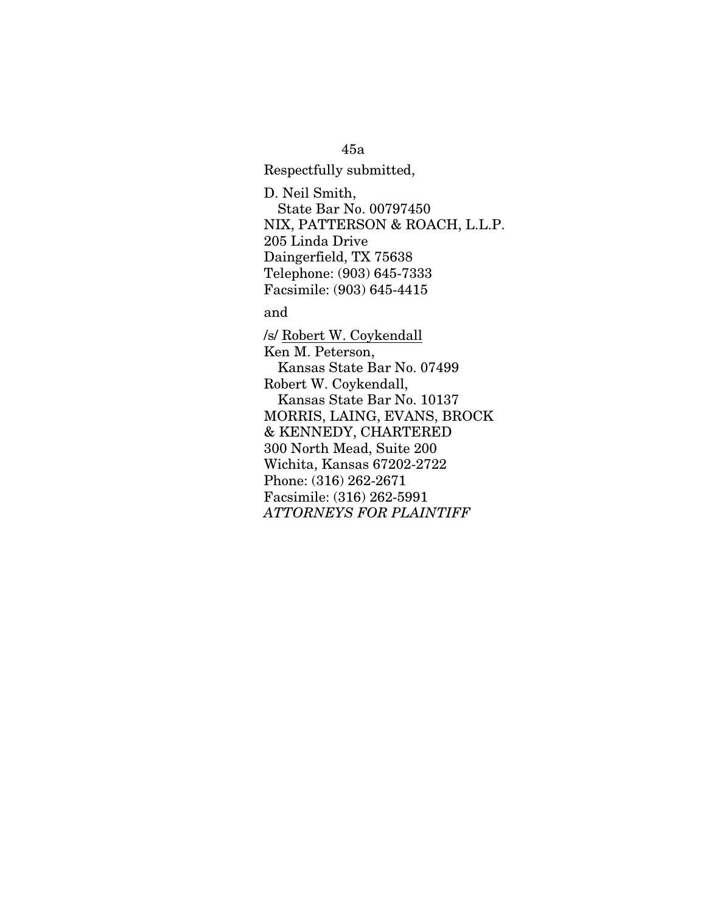45a

Respectfully submitted,

D. Neil Smith, State Bar No. 00797450 NIX, PATTERSON & ROACH, L.L.P. 205 Linda Drive Daingerfield, TX 75638 Telephone: (903) 645-7333 Facsimile: (903) 645-4415

and

/s/ Robert W. Coykendall Ken M. Peterson, Kansas State Bar No. 07499 Robert W. Coykendall, Kansas State Bar No. 10137 MORRIS, LAING, EVANS, BROCK & KENNEDY, CHARTERED 300 North Mead, Suite 200 Wichita, Kansas 67202-2722 Phone: (316) 262-2671 Facsimile: (316) 262-5991 *ATTORNEYS FOR PLAINTIFF*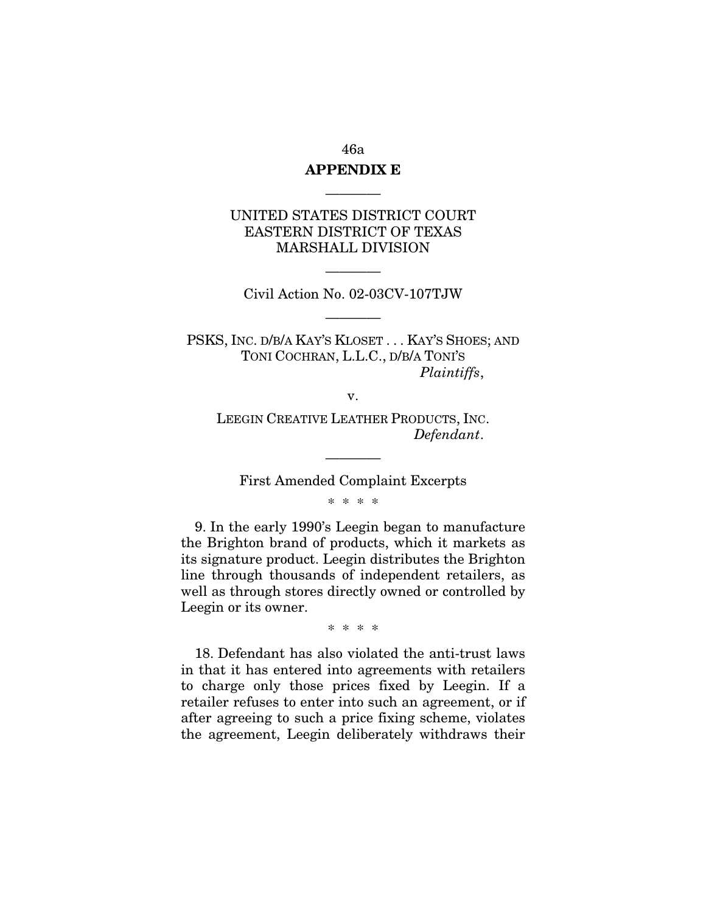# 46a

# **APPENDIX E** ————

# UNITED STATES DISTRICT COURT EASTERN DISTRICT OF TEXAS MARSHALL DIVISION

———— Civil Action No. 02-03CV-107TJW

————

PSKS, INC. D/B/A KAY'S KLOSET . . . KAY'S SHOES; AND TONI COCHRAN, L.L.C., D/B/A TONI'S *Plaintiffs*,

v.

LEEGIN CREATIVE LEATHER PRODUCTS, INC. *Defendant*.

———— First Amended Complaint Excerpts

\* \* \* \*

9. In the early 1990's Leegin began to manufacture the Brighton brand of products, which it markets as its signature product. Leegin distributes the Brighton line through thousands of independent retailers, as well as through stores directly owned or controlled by Leegin or its owner.

\* \* \* \*

18. Defendant has also violated the anti-trust laws in that it has entered into agreements with retailers to charge only those prices fixed by Leegin. If a retailer refuses to enter into such an agreement, or if after agreeing to such a price fixing scheme, violates the agreement, Leegin deliberately withdraws their